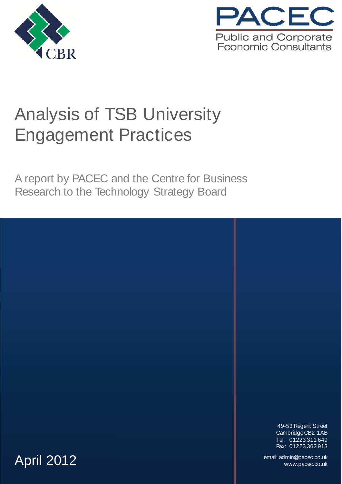



# Analysis of TSB University Engagement Practices

A report by PACEC and the Centre for Business Research to the Technology Strategy Board

> 49-53 Regent Street Cambridge CB2 1AB Tel: 01223 311 649 Fax: 01223 362 913

www.pacec.co.uk email: admin@pacec.co.uk **April 2012** and December 2012 and December 2012 and December 2012 and December 2014 and December 2014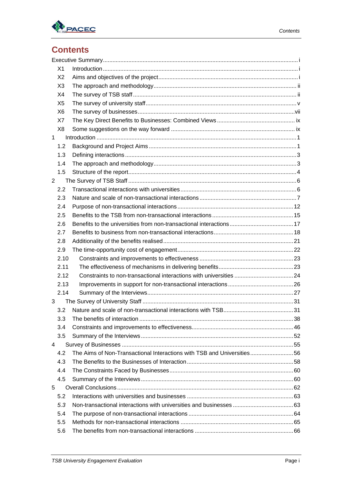

## **Contents**

|                | X <sub>1</sub> |                                                                         |  |
|----------------|----------------|-------------------------------------------------------------------------|--|
|                | X <sub>2</sub> |                                                                         |  |
|                | X <sub>3</sub> |                                                                         |  |
|                | X4             |                                                                         |  |
|                | X <sub>5</sub> |                                                                         |  |
|                | X <sub>6</sub> |                                                                         |  |
|                | X7             |                                                                         |  |
|                | X <sub>8</sub> |                                                                         |  |
| $\mathbf{1}$   |                |                                                                         |  |
|                | 1.2            |                                                                         |  |
|                | 1.3            |                                                                         |  |
|                | 1.4            |                                                                         |  |
|                | 1.5            |                                                                         |  |
| $\overline{2}$ |                |                                                                         |  |
|                | 2.2            |                                                                         |  |
|                | 2.3            |                                                                         |  |
|                | 2.4            |                                                                         |  |
|                | 2.5            |                                                                         |  |
|                | 2.6            |                                                                         |  |
|                | 2.7            |                                                                         |  |
|                | 2.8            |                                                                         |  |
|                | 2.9            |                                                                         |  |
|                | 2.10           |                                                                         |  |
|                | 2.11           |                                                                         |  |
|                | 2.12           |                                                                         |  |
|                | 2.13           |                                                                         |  |
|                | 2.14           |                                                                         |  |
| 3              |                |                                                                         |  |
|                | 3.2            |                                                                         |  |
|                | 3.3            |                                                                         |  |
|                | 3.4            |                                                                         |  |
|                | 3.5            |                                                                         |  |
| 4              |                |                                                                         |  |
|                | 4.2            | The Aims of Non-Transactional Interactions with TSB and Universities 56 |  |
|                | 4.3            |                                                                         |  |
|                | 4.4            |                                                                         |  |
|                | 4.5            |                                                                         |  |
| 5              |                |                                                                         |  |
|                | 5.2            |                                                                         |  |
|                | 5.3            |                                                                         |  |
|                | 5.4            |                                                                         |  |
|                | 5.5            |                                                                         |  |
|                | 5.6            |                                                                         |  |
|                |                |                                                                         |  |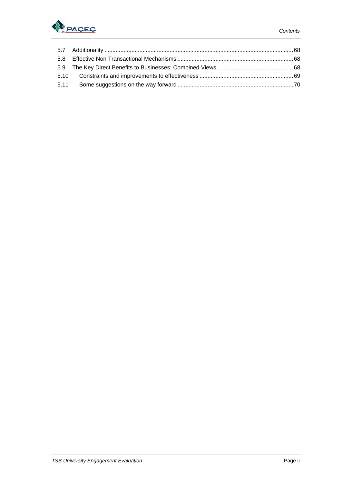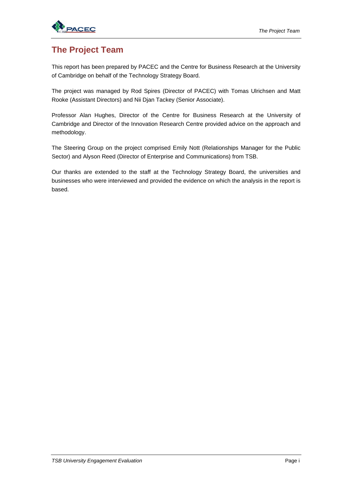

### **The Project Team**

This report has been prepared by PACEC and the Centre for Business Research at the University of Cambridge on behalf of the Technology Strategy Board.

The project was managed by Rod Spires (Director of PACEC) with Tomas Ulrichsen and Matt Rooke (Assistant Directors) and Nii Djan Tackey (Senior Associate).

Professor Alan Hughes, Director of the Centre for Business Research at the University of Cambridge and Director of the Innovation Research Centre provided advice on the approach and methodology.

The Steering Group on the project comprised Emily Nott (Relationships Manager for the Public Sector) and Alyson Reed (Director of Enterprise and Communications) from TSB.

Our thanks are extended to the staff at the Technology Strategy Board, the universities and businesses who were interviewed and provided the evidence on which the analysis in the report is based.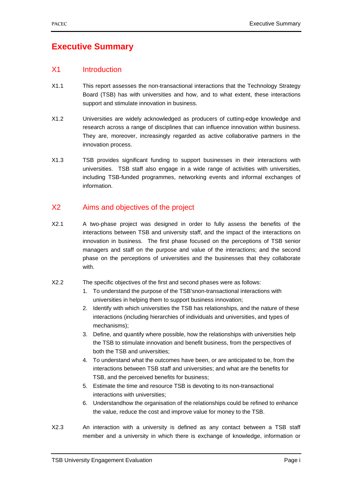### **Executive Summary**

### X1 Introduction

- X1.1 This report assesses the non-transactional interactions that the Technology Strategy Board (TSB) has with universities and how, and to what extent, these interactions support and stimulate innovation in business.
- X1.2 Universities are widely acknowledged as producers of cutting-edge knowledge and research across a range of disciplines that can influence innovation within business. They are, moreover, increasingly regarded as active collaborative partners in the innovation process.
- X1.3 TSB provides significant funding to support businesses in their interactions with universities. TSB staff also engage in a wide range of activities with universities, including TSB-funded programmes, networking events and informal exchanges of information.

### X2 Aims and objectives of the project

X2.1 A two-phase project was designed in order to fully assess the benefits of the interactions between TSB and university staff, and the impact of the interactions on innovation in business. The first phase focused on the perceptions of TSB senior managers and staff on the purpose and value of the interactions; and the second phase on the perceptions of universities and the businesses that they collaborate with.

### X2.2 The specific objectives of the first and second phases were as follows:

- 1. To understand the purpose of the TSB'snon-transactional interactions with universities in helping them to support business innovation;
- 2. Identify with which universities the TSB has relationships, and the nature of these interactions (including hierarchies of individuals and universities, and types of mechanisms);
- 3. Define, and quantify where possible, how the relationships with universities help the TSB to stimulate innovation and benefit business, from the perspectives of both the TSB and universities;
- 4. To understand what the outcomes have been, or are anticipated to be, from the interactions between TSB staff and universities; and what are the benefits for TSB, and the perceived benefits for business;
- 5. Estimate the time and resource TSB is devoting to its non-transactional interactions with universities;
- 6. Understandhow the organisation of the relationships could be refined to enhance the value, reduce the cost and improve value for money to the TSB.
- X2.3 An interaction with a university is defined as any contact between a TSB staff member and a university in which there is exchange of knowledge, information or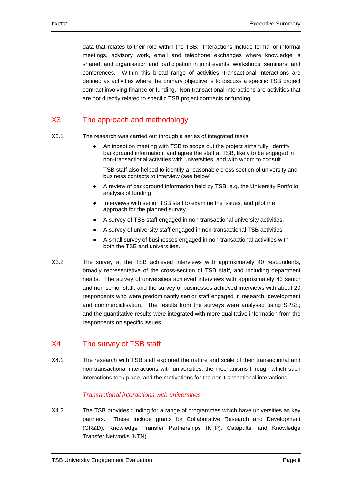data that relates to their role within the TSB. Interactions include formal or informal meetings, advisory work, email and telephone exchanges where knowledge is shared, and organisation and participation in joint events, workshops, seminars, and conferences. Within this broad range of activities, transactional interactions are defined as activities where the primary objective is to discuss a specific TSB project contract involving finance or funding. Non-transactional interactions are activities that are not directly related to specific TSB project contracts or funding.

### X3 The approach and methodology

- X3.1 The research was carried out through a series of integrated tasks:
	- An inception meeting with TSB to scope out the project aims fully, identify background information, and agree the staff at TSB, likely to be engaged in non-transactional activities with universities, and with whom to consult

TSB staff also helped to identify a reasonable cross section of university and business contacts to interview (see below)

- A review of background information held by TSB, e.g. the University Portfolio analysis of funding
- Interviews with senior TSB staff to examine the issues, and pilot the approach for the planned survey
- A survey of TSB staff engaged in non-transactional university activities.
- A survey of university staff engaged in non-transactional TSB activities
- A small survey of businesses engaged in non-transactional activities with both the TSB and universities.
- X3.2 The survey at the TSB achieved interviews with approximately 40 respondents, broadly representative of the cross-section of TSB staff, and including department heads. The survey of universities achieved interviews with approximately 43 senior and non-senior staff; and the survey of businesses achieved interviews with about 20 respondents who were predominantly senior staff engaged in research, development and commercialisation. The results from the surveys were analysed using SPSS; and the quantitative results were integrated with more qualitative information from the respondents on specific issues.

### X4 The survey of TSB staff

X4.1 The research with TSB staff explored the nature and scale of their transactional and non-transactional interactions with universities, the mechanisms through which such interactions took place, and the motivations for the non-transactional interactions.

### *Transactional interactions with universities*

X4.2 The TSB provides funding for a range of programmes which have universities as key partners. These include grants for Collaborative Research and Development (CR&D), Knowledge Transfer Partnerships (KTP), Catapults, and Knowledge Transfer Networks (KTN).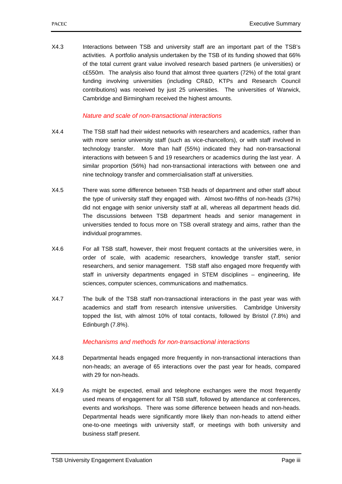X4.3 Interactions between TSB and university staff are an important part of the TSB's activities. A portfolio analysis undertaken by the TSB of its funding showed that 66% of the total current grant value involved research based partners (ie universities) or c£550m. The analysis also found that almost three quarters (72%) of the total grant funding involving universities (including CR&D, KTPs and Research Council contributions) was received by just 25 universities. The universities of Warwick, Cambridge and Birmingham received the highest amounts.

### *Nature and scale of non-transactional interactions*

- X4.4 The TSB staff had their widest networks with researchers and academics, rather than with more senior university staff (such as vice-chancellors), or with staff involved in technology transfer. More than half (55%) indicated they had non-transactional interactions with between 5 and 19 researchers or academics during the last year. A similar proportion (56%) had non-transactional interactions with between one and nine technology transfer and commercialisation staff at universities.
- X4.5 There was some difference between TSB heads of department and other staff about the type of university staff they engaged with. Almost two-fifths of non-heads (37%) did not engage with senior university staff at all, whereas all department heads did. The discussions between TSB department heads and senior management in universities tended to focus more on TSB overall strategy and aims, rather than the individual programmes.
- X4.6 For all TSB staff, however, their most frequent contacts at the universities were, in order of scale, with academic researchers, knowledge transfer staff, senior researchers, and senior management. TSB staff also engaged more frequently with staff in university departments engaged in STEM disciplines – engineering, life sciences, computer sciences, communications and mathematics.
- X4.7 The bulk of the TSB staff non-transactional interactions in the past year was with academics and staff from research intensive universities. Cambridge University topped the list, with almost 10% of total contacts, followed by Bristol (7.8%) and Edinburgh (7.8%).

### *Mechanisms and methods for non-transactional interactions*

- X4.8 Departmental heads engaged more frequently in non-transactional interactions than non-heads; an average of 65 interactions over the past year for heads, compared with 29 for non-heads.
- X4.9 As might be expected, email and telephone exchanges were the most frequently used means of engagement for all TSB staff, followed by attendance at conferences, events and workshops. There was some difference between heads and non-heads. Departmental heads were significantly more likely than non-heads to attend either one-to-one meetings with university staff, or meetings with both university and business staff present.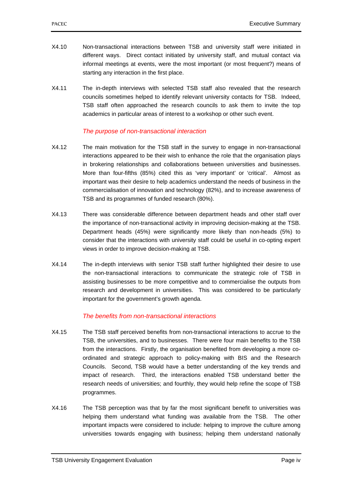- X4.10 Non-transactional interactions between TSB and university staff were initiated in different ways. Direct contact initiated by university staff, and mutual contact via informal meetings at events, were the most important (or most frequent?) means of starting any interaction in the first place.
- X4.11 The in-depth interviews with selected TSB staff also revealed that the research councils sometimes helped to identify relevant university contacts for TSB. Indeed, TSB staff often approached the research councils to ask them to invite the top academics in particular areas of interest to a workshop or other such event.

### *The purpose of non-transactional interaction*

- X4.12 The main motivation for the TSB staff in the survey to engage in non-transactional interactions appeared to be their wish to enhance the role that the organisation plays in brokering relationships and collaborations between universities and businesses. More than four-fifths (85%) cited this as 'very important' or 'critical'. Almost as important was their desire to help academics understand the needs of business in the commercialisation of innovation and technology (82%), and to increase awareness of TSB and its programmes of funded research (80%).
- X4.13 There was considerable difference between department heads and other staff over the importance of non-transactional activity in improving decision-making at the TSB. Department heads (45%) were significantly more likely than non-heads (5%) to consider that the interactions with university staff could be useful in co-opting expert views in order to improve decision-making at TSB.
- X4.14 The in-depth interviews with senior TSB staff further highlighted their desire to use the non-transactional interactions to communicate the strategic role of TSB in assisting businesses to be more competitive and to commercialise the outputs from research and development in universities. This was considered to be particularly important for the government's growth agenda.

### *The benefits from non-transactional interactions*

- X4.15 The TSB staff perceived benefits from non-transactional interactions to accrue to the TSB, the universities, and to businesses. There were four main benefits to the TSB from the interactions. Firstly, the organisation benefited from developing a more coordinated and strategic approach to policy-making with BIS and the Research Councils. Second, TSB would have a better understanding of the key trends and impact of research. Third, the interactions enabled TSB understand better the research needs of universities; and fourthly, they would help refine the scope of TSB programmes.
- X4.16 The TSB perception was that by far the most significant benefit to universities was helping them understand what funding was available from the TSB. The other important impacts were considered to include: helping to improve the culture among universities towards engaging with business; helping them understand nationally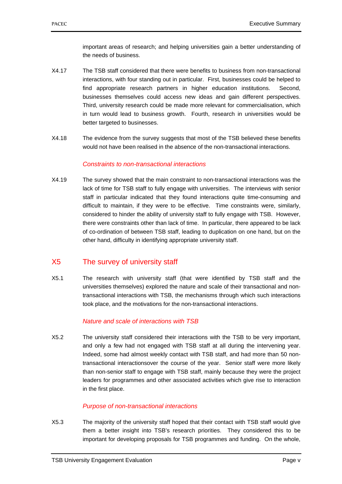important areas of research; and helping universities gain a better understanding of the needs of business.

- X4.17 The TSB staff considered that there were benefits to business from non-transactional interactions, with four standing out in particular. First, businesses could be helped to find appropriate research partners in higher education institutions. Second, businesses themselves could access new ideas and gain different perspectives. Third, university research could be made more relevant for commercialisation, which in turn would lead to business growth. Fourth, research in universities would be better targeted to businesses.
- X4.18 The evidence from the survey suggests that most of the TSB believed these benefits would not have been realised in the absence of the non-transactional interactions.

### *Constraints to non-transactional interactions*

X4.19 The survey showed that the main constraint to non-transactional interactions was the lack of time for TSB staff to fully engage with universities. The interviews with senior staff in particular indicated that they found interactions quite time-consuming and difficult to maintain, if they were to be effective. Time constraints were, similarly, considered to hinder the ability of university staff to fully engage with TSB. However, there were constraints other than lack of time. In particular, there appeared to be lack of co-ordination of between TSB staff, leading to duplication on one hand, but on the other hand, difficulty in identifying appropriate university staff.

### X5 The survey of university staff

X5.1 The research with university staff (that were identified by TSB staff and the universities themselves) explored the nature and scale of their transactional and nontransactional interactions with TSB, the mechanisms through which such interactions took place, and the motivations for the non-transactional interactions.

### *Nature and scale of interactions with TSB*

X5.2 The university staff considered their interactions with the TSB to be very important, and only a few had not engaged with TSB staff at all during the intervening year. Indeed, some had almost weekly contact with TSB staff, and had more than 50 nontransactional interactionsover the course of the year. Senior staff were more likely than non-senior staff to engage with TSB staff, mainly because they were the project leaders for programmes and other associated activities which give rise to interaction in the first place.

### *Purpose of non-transactional interactions*

X5.3 The majority of the university staff hoped that their contact with TSB staff would give them a better insight into TSB's research priorities. They considered this to be important for developing proposals for TSB programmes and funding. On the whole,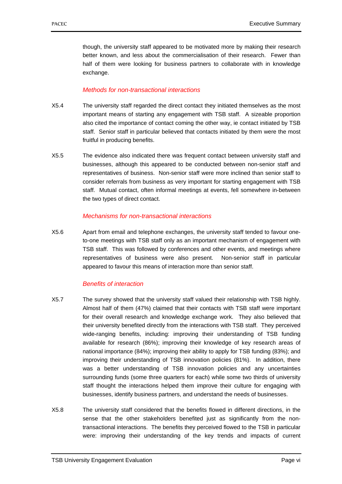though, the university staff appeared to be motivated more by making their research better known, and less about the commercialisation of their research. Fewer than half of them were looking for business partners to collaborate with in knowledge exchange.

#### *Methods for non-transactional interactions*

- X5.4 The university staff regarded the direct contact they initiated themselves as the most important means of starting any engagement with TSB staff. A sizeable proportion also cited the importance of contact coming the other way, ie contact initiated by TSB staff. Senior staff in particular believed that contacts initiated by them were the most fruitful in producing benefits.
- X5.5 The evidence also indicated there was frequent contact between university staff and businesses, although this appeared to be conducted between non-senior staff and representatives of business. Non-senior staff were more inclined than senior staff to consider referrals from business as very important for starting engagement with TSB staff. Mutual contact, often informal meetings at events, fell somewhere in-between the two types of direct contact.

#### *Mechanisms for non-transactional interactions*

X5.6 Apart from email and telephone exchanges, the university staff tended to favour oneto-one meetings with TSB staff only as an important mechanism of engagement with TSB staff. This was followed by conferences and other events, and meetings where representatives of business were also present. Non-senior staff in particular appeared to favour this means of interaction more than senior staff.

#### *Benefits of interaction*

- X5.7 The survey showed that the university staff valued their relationship with TSB highly. Almost half of them (47%) claimed that their contacts with TSB staff were important for their overall research and knowledge exchange work. They also believed that their university benefited directly from the interactions with TSB staff. They perceived wide-ranging benefits, including: improving their understanding of TSB funding available for research (86%); improving their knowledge of key research areas of national importance (84%); improving their ability to apply for TSB funding (83%); and improving their understanding of TSB innovation policies (81%). In addition, there was a better understanding of TSB innovation policies and any uncertainties surrounding funds (some three quarters for each) while some two thirds of university staff thought the interactions helped them improve their culture for engaging with businesses, identify business partners, and understand the needs of businesses.
- X5.8 The university staff considered that the benefits flowed in different directions, in the sense that the other stakeholders benefited just as significantly from the nontransactional interactions. The benefits they perceived flowed to the TSB in particular were: improving their understanding of the key trends and impacts of current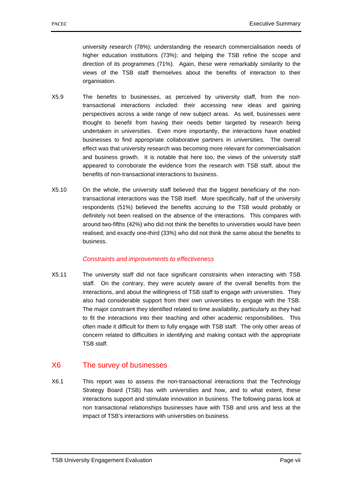university research (78%); understanding the research commercialisation needs of higher education institutions (73%); and helping the TSB refine the scope and direction of its programmes (71%). Again, these were remarkably similarity to the views of the TSB staff themselves about the benefits of interaction to their organisation.

- X5.9 The benefits to businesses, as perceived by university staff, from the nontransactional interactions included: their accessing new ideas and gaining perspectives across a wide range of new subject areas. As well, businesses were thought to benefit from having their needs better targeted by research being undertaken in universities. Even more importantly, the interactions have enabled businesses to find appropriate collaborative partners in universities. The overall effect was that university research was becoming more relevant for commercialisation and business growth. It is notable that here too, the views of the university staff appeared to corroborate the evidence from the research with TSB staff, about the benefits of non-transactional interactions to business.
- X5.10 On the whole, the university staff believed that the biggest beneficiary of the nontransactional interactions was the TSB itself. More specifically, half of the university respondents (51%) believed the benefits accruing to the TSB would probably or definitely not been realised on the absence of the interactions. This compares with around two-fifths (42%) who did not think the benefits to universities would have been realised; and exactly one-third (33%) who did not think the same about the benefits to business.

### *Constraints and improvements to effectiveness*

X5.11 The university staff did not face significant constraints when interacting with TSB staff. On the contrary, they were acutely aware of the overall benefits from the interactions, and about the willingness of TSB staff to engage with universities. They also had considerable support from their own universities to engage with the TSB. The major constraint they identified related to time availability, particularly as they had to fit the interactions into their teaching and other academic responsibilities. This often made it difficult for them to fully engage with TSB staff. The only other areas of concern related to difficulties in identifying and making contact with the appropriate TSB staff.

### X6 The survey of businesses

X6.1 This report was to assess the non-transactional interactions that the Technology Strategy Board (TSB) has with universities and how, and to what extent, these interactions support and stimulate innovation in business. The following paras look at non transactional relationships businesses have with TSB and unis and less at the impact of TSB's interactions with universities on business.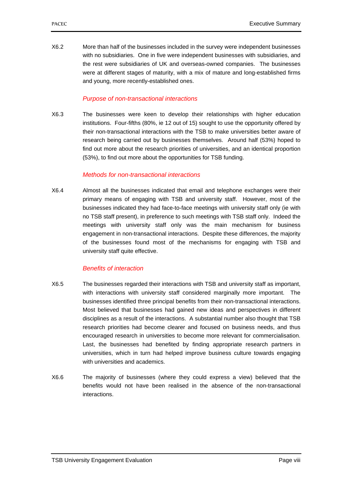X6.2 More than half of the businesses included in the survey were independent businesses with no subsidiaries. One in five were independent businesses with subsidiaries, and the rest were subsidiaries of UK and overseas-owned companies. The businesses were at different stages of maturity, with a mix of mature and long-established firms and young, more recently-established ones.

### *Purpose of non-transactional interactions*

X6.3 The businesses were keen to develop their relationships with higher education institutions. Four-fifths (80%, ie 12 out of 15) sought to use the opportunity offered by their non-transactional interactions with the TSB to make universities better aware of research being carried out by businesses themselves. Around half (53%) hoped to find out more about the research priorities of universities, and an identical proportion (53%), to find out more about the opportunities for TSB funding.

#### *Methods for non-transactional interactions*

X6.4 Almost all the businesses indicated that email and telephone exchanges were their primary means of engaging with TSB and university staff. However, most of the businesses indicated they had face-to-face meetings with university staff only (ie with no TSB staff present), in preference to such meetings with TSB staff only. Indeed the meetings with university staff only was the main mechanism for business engagement in non-transactional interactions. Despite these differences, the majority of the businesses found most of the mechanisms for engaging with TSB and university staff quite effective.

### *Benefits of interaction*

- X6.5 The businesses regarded their interactions with TSB and university staff as important, with interactions with university staff considered marginally more important. The businesses identified three principal benefits from their non-transactional interactions. Most believed that businesses had gained new ideas and perspectives in different disciplines as a result of the interactions. A substantial number also thought that TSB research priorities had become clearer and focused on business needs, and thus encouraged research in universities to become more relevant for commercialisation. Last, the businesses had benefited by finding appropriate research partners in universities, which in turn had helped improve business culture towards engaging with universities and academics.
- X6.6 The majority of businesses (where they could express a view) believed that the benefits would not have been realised in the absence of the non-transactional interactions.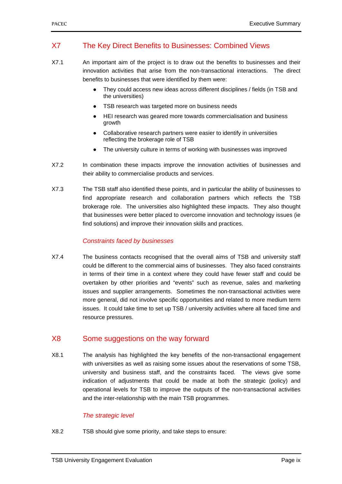### X7 The Key Direct Benefits to Businesses: Combined Views

- X7.1 An important aim of the project is to draw out the benefits to businesses and their innovation activities that arise from the non-transactional interactions. The direct benefits to businesses that were identified by them were:
	- They could access new ideas across different disciplines / fields (in TSB and the universities)
	- TSB research was targeted more on business needs
	- HEI research was geared more towards commercialisation and business growth
	- Collaborative research partners were easier to identify in universities reflecting the brokerage role of TSB
	- The university culture in terms of working with businesses was improved
- X7.2 In combination these impacts improve the innovation activities of businesses and their ability to commercialise products and services.
- X7.3 The TSB staff also identified these points, and in particular the ability of businesses to find appropriate research and collaboration partners which reflects the TSB brokerage role. The universities also highlighted these impacts. They also thought that businesses were better placed to overcome innovation and technology issues (ie find solutions) and improve their innovation skills and practices.

### *Constraints faced by businesses*

X7.4 The business contacts recognised that the overall aims of TSB and university staff could be different to the commercial aims of businesses. They also faced constraints in terms of their time in a context where they could have fewer staff and could be overtaken by other priorities and "events" such as revenue, sales and marketing issues and supplier arrangements. Sometimes the non-transactional activities were more general, did not involve specific opportunities and related to more medium term issues. It could take time to set up TSB / university activities where all faced time and resource pressures.

### X8 Some suggestions on the way forward

X8.1 The analysis has highlighted the key benefits of the non-transactional engagement with universities as well as raising some issues about the reservations of some TSB, university and business staff, and the constraints faced. The views give some indication of adjustments that could be made at both the strategic (policy) and operational levels for TSB to improve the outputs of the non-transactional activities and the inter-relationship with the main TSB programmes.

### *The strategic level*

X8.2 TSB should give some priority, and take steps to ensure: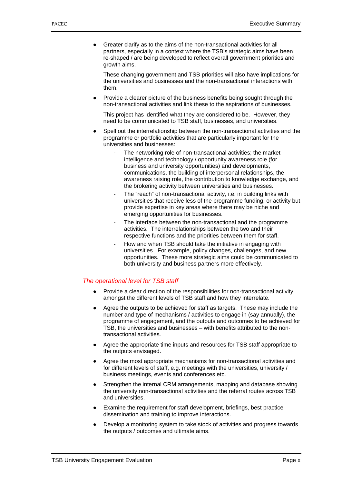● Greater clarify as to the aims of the non-transactional activities for all partners, especially in a context where the TSB's strategic aims have been re-shaped / are being developed to reflect overall government priorities and growth aims.

These changing government and TSB priorities will also have implications for the universities and businesses and the non-transactional interactions with them.

Provide a clearer picture of the business benefits being sought through the non-transactional activities and link these to the aspirations of businesses.

This project has identified what they are considered to be. However, they need to be communicated to TSB staff, businesses, and universities.

- Spell out the interrelationship between the non-transactional activities and the programme or portfolio activities that are particularly important for the universities and businesses:
	- The networking role of non-transactional activities; the market intelligence and technology / opportunity awareness role (for business and university opportunities) and developments, communications, the building of interpersonal relationships, the awareness raising role, the contribution to knowledge exchange, and the brokering activity between universities and businesses.
	- The "reach" of non-transactional activity, i.e. in building links with universities that receive less of the programme funding, or activity but provide expertise in key areas where there may be niche and emerging opportunities for businesses.
	- The interface between the non-transactional and the programme activities. The interrelationships between the two and their respective functions and the priorities between them for staff.
	- How and when TSB should take the initiative in engaging with universities. For example, policy changes, challenges, and new opportunities. These more strategic aims could be communicated to both university and business partners more effectively.

### *The operational level for TSB staff*

- Provide a clear direction of the responsibilities for non-transactional activity amongst the different levels of TSB staff and how they interrelate.
- Agree the outputs to be achieved for staff as targets. These may include the number and type of mechanisms / activities to engage in (say annually), the programme of engagement, and the outputs and outcomes to be achieved for TSB, the universities and businesses – with benefits attributed to the nontransactional activities.
- Agree the appropriate time inputs and resources for TSB staff appropriate to the outputs envisaged.
- Agree the most appropriate mechanisms for non-transactional activities and for different levels of staff, e.g. meetings with the universities, university / business meetings, events and conferences etc.
- Strengthen the internal CRM arrangements, mapping and database showing the university non-transactional activities and the referral routes across TSB and universities.
- Examine the requirement for staff development, briefings, best practice dissemination and training to improve interactions.
- Develop a monitoring system to take stock of activities and progress towards the outputs / outcomes and ultimate aims.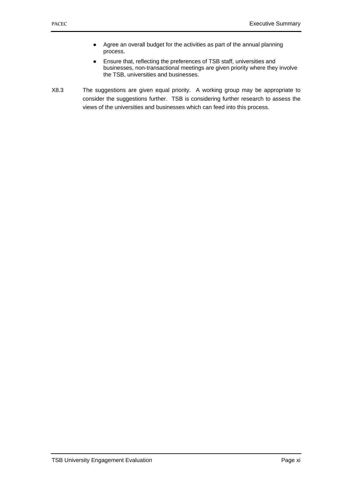- Agree an overall budget for the activities as part of the annual planning process.
- Ensure that, reflecting the preferences of TSB staff, universities and businesses, non-transactional meetings are given priority where they involve the TSB, universities and businesses.
- X8.3 The suggestions are given equal priority. A working group may be appropriate to consider the suggestions further. TSB is considering further research to assess the views of the universities and businesses which can feed into this process.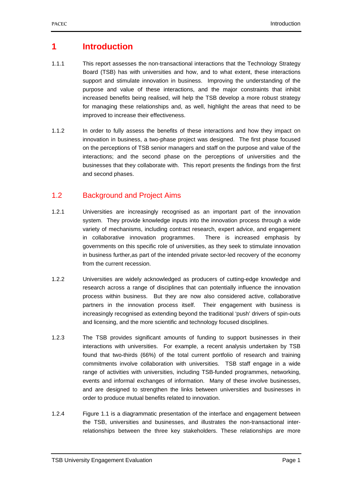### **1 Introduction**

- 1.1.1 This report assesses the non-transactional interactions that the Technology Strategy Board (TSB) has with universities and how, and to what extent, these interactions support and stimulate innovation in business. Improving the understanding of the purpose and value of these interactions, and the major constraints that inhibit increased benefits being realised, will help the TSB develop a more robust strategy for managing these relationships and, as well, highlight the areas that need to be improved to increase their effectiveness.
- 1.1.2 In order to fully assess the benefits of these interactions and how they impact on innovation in business, a two-phase project was designed. The first phase focused on the perceptions of TSB senior managers and staff on the purpose and value of the interactions; and the second phase on the perceptions of universities and the businesses that they collaborate with. This report presents the findings from the first and second phases.

### 1.2 Background and Project Aims

- 1.2.1 Universities are increasingly recognised as an important part of the innovation system. They provide knowledge inputs into the innovation process through a wide variety of mechanisms, including contract research, expert advice, and engagement in collaborative innovation programmes. There is increased emphasis by governments on this specific role of universities, as they seek to stimulate innovation in business further,as part of the intended private sector-led recovery of the economy from the current recession.
- 1.2.2 Universities are widely acknowledged as producers of cutting-edge knowledge and research across a range of disciplines that can potentially influence the innovation process within business. But they are now also considered active, collaborative partners in the innovation process itself. Their engagement with business is increasingly recognised as extending beyond the traditional 'push' drivers of spin-outs and licensing, and the more scientific and technology focused disciplines.
- 1.2.3 The TSB provides significant amounts of funding to support businesses in their interactions with universities. For example, a recent analysis undertaken by TSB found that two-thirds (66%) of the total current portfolio of research and training commitments involve collaboration with universities. TSB staff engage in a wide range of activities with universities, including TSB-funded programmes, networking, events and informal exchanges of information. Many of these involve businesses, and are designed to strengthen the links between universities and businesses in order to produce mutual benefits related to innovation.
- 1.2.4 Figure 1.1 is a diagrammatic presentation of the interface and engagement between the TSB, universities and businesses, and illustrates the non-transactional interrelationships between the three key stakeholders. These relationships are more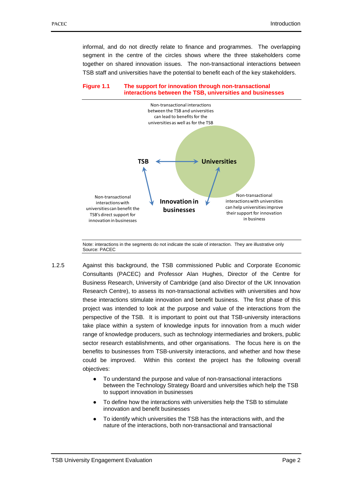informal, and do not directly relate to finance and programmes. The overlapping segment in the centre of the circles shows where the three stakeholders come together on shared innovation issues. The non-transactional interactions between TSB staff and universities have the potential to benefit each of the key stakeholders.





Note: interactions in the segments do not indicate the scale of interaction. They are illustrative only Source: PACEC

- 1.2.5 Against this background, the TSB commissioned Public and Corporate Economic Consultants (PACEC) and Professor Alan Hughes, Director of the Centre for Business Research, University of Cambridge (and also Director of the UK Innovation Research Centre), to assess its non-transactional activities with universities and how these interactions stimulate innovation and benefit business. The first phase of this project was intended to look at the purpose and value of the interactions from the perspective of the TSB. It is important to point out that TSB-university interactions take place within a system of knowledge inputs for innovation from a much wider range of knowledge producers, such as technology intermediaries and brokers, public sector research establishments, and other organisations. The focus here is on the benefits to businesses from TSB-university interactions, and whether and how these could be improved. Within this context the project has the following overall objectives:
	- To understand the purpose and value of non-transactional interactions between the Technology Strategy Board and universities which help the TSB to support innovation in businesses
	- To define how the interactions with universities help the TSB to stimulate innovation and benefit businesses
	- To identify which universities the TSB has the interactions with, and the nature of the interactions, both non-transactional and transactional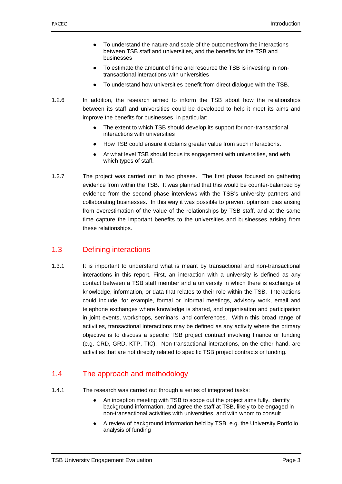- To understand the nature and scale of the outcomesfrom the interactions between TSB staff and universities, and the benefits for the TSB and businesses
- To estimate the amount of time and resource the TSB is investing in nontransactional interactions with universities
- To understand how universities benefit from direct dialogue with the TSB.
- 1.2.6 In addition, the research aimed to inform the TSB about how the relationships between its staff and universities could be developed to help it meet its aims and improve the benefits for businesses, in particular:
	- The extent to which TSB should develop its support for non-transactional interactions with universities
	- How TSB could ensure it obtains greater value from such interactions.
	- At what level TSB should focus its engagement with universities, and with which types of staff.
- 1.2.7 The project was carried out in two phases. The first phase focused on gathering evidence from within the TSB. It was planned that this would be counter-balanced by evidence from the second phase interviews with the TSB's university partners and collaborating businesses. In this way it was possible to prevent optimism bias arising from overestimation of the value of the relationships by TSB staff, and at the same time capture the important benefits to the universities and businesses arising from these relationships.

### 1.3 Defining interactions

1.3.1 It is important to understand what is meant by transactional and non-transactional interactions in this report. First, an interaction with a university is defined as any contact between a TSB staff member and a university in which there is exchange of knowledge, information, or data that relates to their role within the TSB. Interactions could include, for example, formal or informal meetings, advisory work, email and telephone exchanges where knowledge is shared, and organisation and participation in joint events, workshops, seminars, and conferences. Within this broad range of activities, transactional interactions may be defined as any activity where the primary objective is to discuss a specific TSB project contract involving finance or funding (e.g. CRD, GRD, KTP, TIC). Non-transactional interactions, on the other hand, are activities that are not directly related to specific TSB project contracts or funding.

### 1.4 The approach and methodology

- 1.4.1 The research was carried out through a series of integrated tasks:
	- An inception meeting with TSB to scope out the project aims fully, identify background information, and agree the staff at TSB, likely to be engaged in non-transactional activities with universities, and with whom to consult
	- A review of background information held by TSB, e.g. the University Portfolio analysis of funding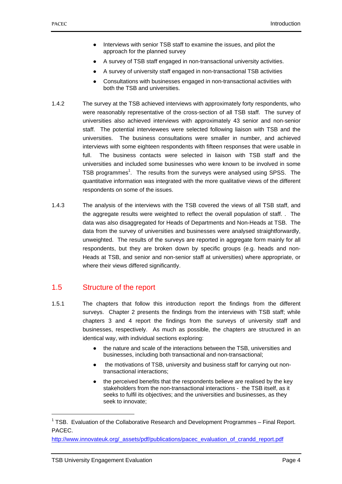- Interviews with senior TSB staff to examine the issues, and pilot the approach for the planned survey
- A survey of TSB staff engaged in non-transactional university activities.
- A survey of university staff engaged in non-transactional TSB activities
- Consultations with businesses engaged in non-transactional activities with both the TSB and universities.
- 1.4.2 The survey at the TSB achieved interviews with approximately forty respondents, who were reasonably representative of the cross-section of all TSB staff. The survey of universities also achieved interviews with approximately 43 senior and non-senior staff. The potential interviewees were selected following liaison with TSB and the universities. The business consultations were smaller in number, and achieved interviews with some eighteen respondents with fifteen responses that were usable in full. The business contacts were selected in liaison with TSB staff and the universities and included some businesses who were known to be involved in some TSB programmes<sup>1</sup>. The results from the surveys were analysed using SPSS. The quantitative information was integrated with the more qualitative views of the different respondents on some of the issues.
- 1.4.3 The analysis of the interviews with the TSB covered the views of all TSB staff, and the aggregate results were weighted to reflect the overall population of staff. . The data was also disaggregated for Heads of Departments and Non-Heads at TSB. The data from the survey of universities and businesses were analysed straightforwardly, unweighted. The results of the surveys are reported in aggregate form mainly for all respondents, but they are broken down by specific groups (e.g. heads and non-Heads at TSB, and senior and non-senior staff at universities) where appropriate, or where their views differed significantly.

### 1.5 Structure of the report

- 1.5.1 The chapters that follow this introduction report the findings from the different surveys. Chapter 2 presents the findings from the interviews with TSB staff; while chapters 3 and 4 report the findings from the surveys of university staff and businesses, respectively. As much as possible, the chapters are structured in an identical way, with individual sections exploring:
	- the nature and scale of the interactions between the TSB, universities and businesses, including both transactional and non-transactional;
	- the motivations of TSB, university and business staff for carrying out nontransactional interactions;
	- the perceived benefits that the respondents believe are realised by the key stakeholders from the non-transactional interactions - the TSB itself, as it seeks to fulfil its objectives; and the universities and businesses, as they seek to innovate;

1

<sup>&</sup>lt;sup>1</sup> TSB. Evaluation of the Collaborative Research and Development Programmes  $-$  Final Report. PACEC.

http://www.innovateuk.org/\_assets/pdf/publications/pacec\_evaluation\_of\_crandd\_report.pdf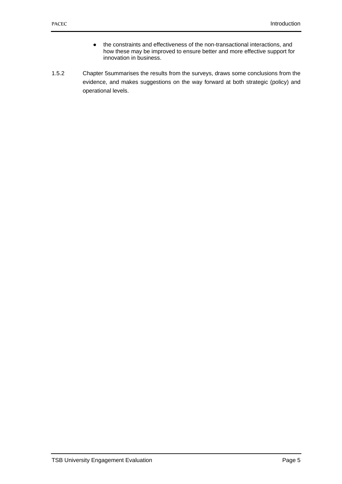- the constraints and effectiveness of the non-transactional interactions, and how these may be improved to ensure better and more effective support for innovation in business.
- 1.5.2 Chapter 5summarises the results from the surveys, draws some conclusions from the evidence, and makes suggestions on the way forward at both strategic (policy) and operational levels.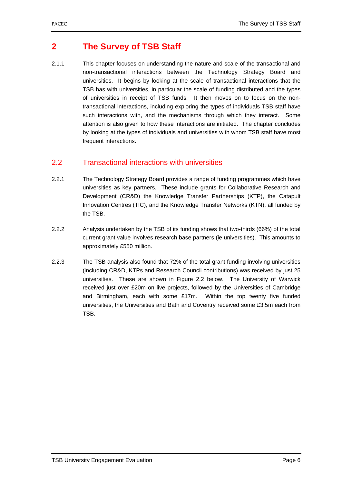### **2 The Survey of TSB Staff**

2.1.1 This chapter focuses on understanding the nature and scale of the transactional and non-transactional interactions between the Technology Strategy Board and universities. It begins by looking at the scale of transactional interactions that the TSB has with universities, in particular the scale of funding distributed and the types of universities in receipt of TSB funds. It then moves on to focus on the nontransactional interactions, including exploring the types of individuals TSB staff have such interactions with, and the mechanisms through which they interact. Some attention is also given to how these interactions are initiated. The chapter concludes by looking at the types of individuals and universities with whom TSB staff have most frequent interactions.

### 2.2 Transactional interactions with universities

- 2.2.1 The Technology Strategy Board provides a range of funding programmes which have universities as key partners. These include grants for Collaborative Research and Development (CR&D) the Knowledge Transfer Partnerships (KTP), the Catapult Innovation Centres (TIC), and the Knowledge Transfer Networks (KTN), all funded by the TSB.
- 2.2.2 Analysis undertaken by the TSB of its funding shows that two-thirds (66%) of the total current grant value involves research base partners (ie universities). This amounts to approximately £550 million.
- 2.2.3 The TSB analysis also found that 72% of the total grant funding involving universities (including CR&D, KTPs and Research Council contributions) was received by just 25 universities. These are shown in Figure 2.2 below. The University of Warwick received just over £20m on live projects, followed by the Universities of Cambridge and Birmingham, each with some £17m. Within the top twenty five funded universities, the Universities and Bath and Coventry received some £3.5m each from TSB.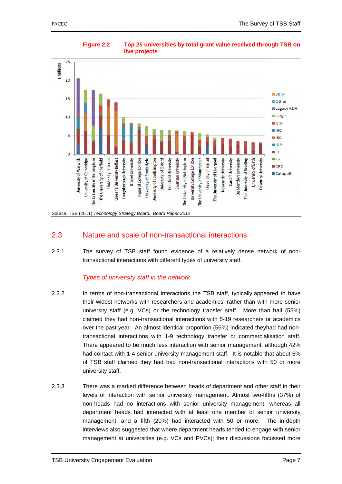

### **Figure 2.2 Top 25 universities by total grant value received through TSB on live projects**

Source: TSB (2011) *Technology Strategy Board. Board Paper 2012* 

### 2.3 Nature and scale of non-transactional interactions

2.3.1 The survey of TSB staff found evidence of a relatively dense network of nontransactional interactions with different types of university staff.

### *Types of university staff in the network*

- 2.3.2 In terms of non-transactional interactions the TSB staff, typically,appeared to have their widest networks with researchers and academics, rather than with more senior university staff (e.g. VCs) or the technology transfer staff. More than half (55%) claimed they had non-transactional interactions with 5-19 researchers or academics over the past year. An almost identical proportion (56%) indicated theyhad had nontransactional interactions with 1-9 technology transfer or commercialisation staff. There appeared to be much less interaction with senior management, although 42% had contact with 1-4 senior university management staff. It is notable that about 5% of TSB staff claimed they had had non-transactional interactions with 50 or more university staff.
- 2.3.3 There was a marked difference between heads of department and other staff in their levels of interaction with senior university management. Almost two-fifths (37%) of non-heads had no interactions with senior university management, whereas all department heads had interacted with at least one member of senior university management; and a fifth (20%) had interacted with 50 or more. The in-depth interviews also suggested that where department heads tended to engage with senior management at universities (e.g. VCs and PVCs); their discussions focussed more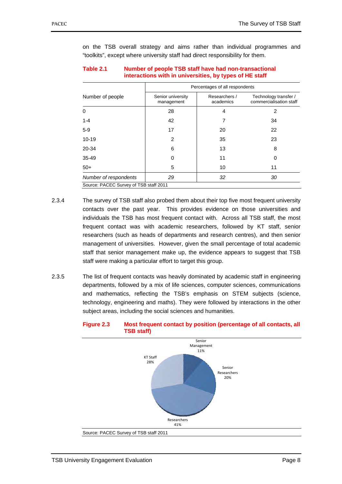on the TSB overall strategy and aims rather than individual programmes and "toolkits", except where university staff had direct responsibility for them.

| Table 2.1 | Number of people TSB staff have had non-transactional   |
|-----------|---------------------------------------------------------|
|           | interactions with in universities, by types of HE staff |

|                                        | Percentages of all respondents  |                            |                                                  |  |  |  |
|----------------------------------------|---------------------------------|----------------------------|--------------------------------------------------|--|--|--|
| Number of people                       | Senior university<br>management | Researchers /<br>academics | Technology transfer /<br>commercialisation staff |  |  |  |
| $\Omega$                               | 28                              | 4                          | 2                                                |  |  |  |
| $1 - 4$                                | 42                              | 7                          | 34                                               |  |  |  |
| $5-9$                                  | 17                              | 20                         | 22                                               |  |  |  |
| $10 - 19$                              | $\overline{2}$                  | 35                         | 23                                               |  |  |  |
| 20-34                                  | 6                               | 13                         | 8                                                |  |  |  |
| $35 - 49$                              | 0                               | 11                         | 0                                                |  |  |  |
| $50+$                                  | 5                               | 10                         | 11                                               |  |  |  |
| Number of respondents                  | 29                              | 32                         | 30                                               |  |  |  |
| Source: PACEC Survey of TSB staff 2011 |                                 |                            |                                                  |  |  |  |

- 2.3.4 The survey of TSB staff also probed them about their top five most frequent university contacts over the past year. This provides evidence on those universities and individuals the TSB has most frequent contact with. Across all TSB staff, the most frequent contact was with academic researchers, followed by KT staff, senior researchers (such as heads of departments and research centres), and then senior management of universities. However, given the small percentage of total academic staff that senior management make up, the evidence appears to suggest that TSB staff were making a particular effort to target this group.
- 2.3.5 The list of frequent contacts was heavily dominated by academic staff in engineering departments, followed by a mix of life sciences, computer sciences, communications and mathematics, reflecting the TSB's emphasis on STEM subjects (science, technology, engineering and maths). They were followed by interactions in the other subject areas, including the social sciences and humanities.



#### **Figure 2.3 Most frequent contact by position (percentage of all contacts, all TSB staff)**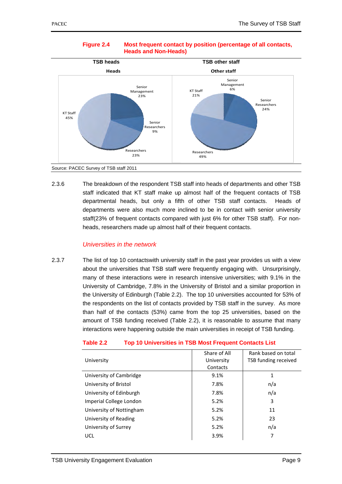

### **Figure 2.4 Most frequent contact by position (percentage of all contacts, Heads and Non-Heads)**

2.3.6 The breakdown of the respondent TSB staff into heads of departments and other TSB staff indicated that KT staff make up almost half of the frequent contacts of TSB departmental heads, but only a fifth of other TSB staff contacts. Heads of departments were also much more inclined to be in contact with senior university staff(23% of frequent contacts compared with just 6% for other TSB staff). For nonheads, researchers made up almost half of their frequent contacts.

### *Universities in the network*

2.3.7 The list of top 10 contactswith university staff in the past year provides us with a view about the universities that TSB staff were frequently engaging with. Unsurprisingly, many of these interactions were in research intensive universities; with 9.1% in the University of Cambridge, 7.8% in the University of Bristol and a similar proportion in the University of Edinburgh (Table 2.2). The top 10 universities accounted for 53% of the respondents on the list of contacts provided by TSB staff in the survey. As more than half of the contacts (53%) came from the top 25 universities, based on the amount of TSB funding received (Table 2.2), it is reasonable to assume that many interactions were happening outside the main universities in receipt of TSB funding.

|                          | Share of All | Rank based on total  |
|--------------------------|--------------|----------------------|
| University               | University   | TSB funding received |
|                          | Contacts     |                      |
| University of Cambridge  | 9.1%         | 1                    |
| University of Bristol    | 7.8%         | n/a                  |
| University of Edinburgh  | 7.8%         | n/a                  |
| Imperial College London  | 5.2%         | 3                    |
| University of Nottingham | 5.2%         | 11                   |
| University of Reading    | 5.2%         | 23                   |
| University of Surrey     | 5.2%         | n/a                  |
| UCL                      | 3.9%         | 7                    |

#### **Table 2.2 Top 10 Universities in TSB Most Frequent Contacts List**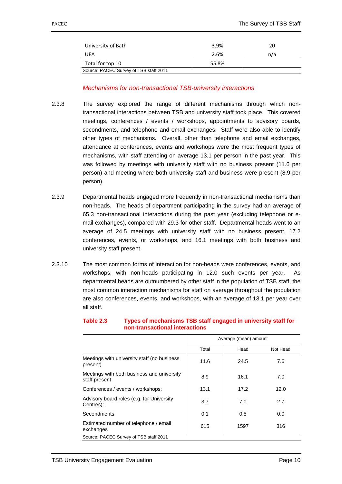| University of Bath                     | 3.9%  | 20  |  |  |  |  |
|----------------------------------------|-------|-----|--|--|--|--|
| UEA                                    | 2.6%  | n/a |  |  |  |  |
| Total for top 10                       | 55.8% |     |  |  |  |  |
| Source: PACEC Survey of TSB staff 2011 |       |     |  |  |  |  |

### *Mechanisms for non-transactional TSB-university interactions*

- 2.3.8 The survey explored the range of different mechanisms through which nontransactional interactions between TSB and university staff took place. This covered meetings, conferences / events / workshops, appointments to advisory boards, secondments, and telephone and email exchanges. Staff were also able to identify other types of mechanisms. Overall, other than telephone and email exchanges, attendance at conferences, events and workshops were the most frequent types of mechanisms, with staff attending on average 13.1 per person in the past year. This was followed by meetings with university staff with no business present (11.6 per person) and meeting where both university staff and business were present (8.9 per person).
- 2.3.9 Departmental heads engaged more frequently in non-transactional mechanisms than non-heads. The heads of department participating in the survey had an average of 65.3 non-transactional interactions during the past year (excluding telephone or email exchanges), compared with 29.3 for other staff. Departmental heads went to an average of 24.5 meetings with university staff with no business present, 17.2 conferences, events, or workshops, and 16.1 meetings with both business and university staff present.
- 2.3.10 The most common forms of interaction for non-heads were conferences, events, and workshops, with non-heads participating in 12.0 such events per year. As departmental heads are outnumbered by other staff in the population of TSB staff, the most common interaction mechanisms for staff on average throughout the population are also conferences, events, and workshops, with an average of 13.1 per year over all staff.

|                                                             | Average (mean) amount |      |          |  |  |
|-------------------------------------------------------------|-----------------------|------|----------|--|--|
|                                                             | Total                 | Head | Not Head |  |  |
| Meetings with university staff (no business<br>present)     | 11.6                  | 24.5 | 7.6      |  |  |
| Meetings with both business and university<br>staff present | 8.9                   | 16.1 | 7.0      |  |  |
| Conferences / events / workshops:                           | 13.1                  | 17.2 | 12.0     |  |  |
| Advisory board roles (e.g. for University<br>Centres):      | 3.7                   | 7.0  | 2.7      |  |  |
| Secondments                                                 | 0.1                   | 0.5  | 0.0      |  |  |
| Estimated number of telephone / email<br>exchanges          | 615                   | 1597 | 316      |  |  |
| Source: PACEC Survey of TSB staff 2011                      |                       |      |          |  |  |

#### **Table 2.3 Types of mechanisms TSB staff engaged in university staff for non-transactional interactions**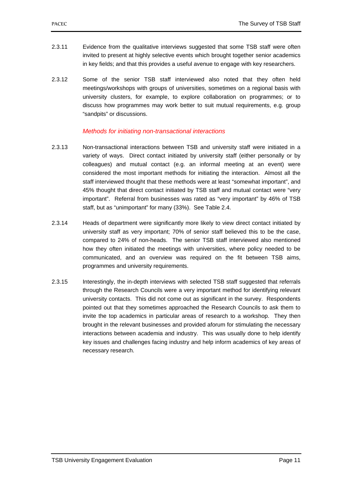- 2.3.11 Evidence from the qualitative interviews suggested that some TSB staff were often invited to present at highly selective events which brought together senior academics in key fields; and that this provides a useful avenue to engage with key researchers.
- 2.3.12 Some of the senior TSB staff interviewed also noted that they often held meetings/workshops with groups of universities, sometimes on a regional basis with university clusters, for example, to explore collaboration on programmes; or to discuss how programmes may work better to suit mutual requirements, e.g. group "sandpits" or discussions.

### *Methods for initiating non-transactional interactions*

- 2.3.13 Non-transactional interactions between TSB and university staff were initiated in a variety of ways. Direct contact initiated by university staff (either personally or by colleagues) and mutual contact (e.g. an informal meeting at an event) were considered the most important methods for initiating the interaction. Almost all the staff interviewed thought that these methods were at least "somewhat important", and 45% thought that direct contact initiated by TSB staff and mutual contact were "very important". Referral from businesses was rated as "very important" by 46% of TSB staff, but as "unimportant" for many (33%). See Table 2.4.
- 2.3.14 Heads of department were significantly more likely to view direct contact initiated by university staff as very important; 70% of senior staff believed this to be the case, compared to 24% of non-heads. The senior TSB staff interviewed also mentioned how they often initiated the meetings with universities, where policy needed to be communicated, and an overview was required on the fit between TSB aims, programmes and university requirements.
- 2.3.15 Interestingly, the in-depth interviews with selected TSB staff suggested that referrals through the Research Councils were a very important method for identifying relevant university contacts. This did not come out as significant in the survey. Respondents pointed out that they sometimes approached the Research Councils to ask them to invite the top academics in particular areas of research to a workshop. They then brought in the relevant businesses and provided aforum for stimulating the necessary interactions between academia and industry. This was usually done to help identify key issues and challenges facing industry and help inform academics of key areas of necessary research.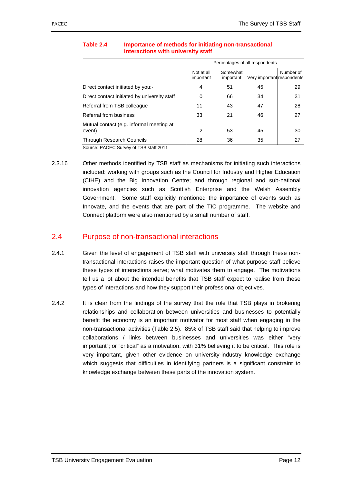|                                                    | Percentages of all respondents |                       |                            |           |  |  |
|----------------------------------------------------|--------------------------------|-----------------------|----------------------------|-----------|--|--|
|                                                    | Not at all<br>important        | Somewhat<br>important | Very important respondents | Number of |  |  |
| Direct contact initiated by you:-                  | 4                              | 51                    | 45                         | 29        |  |  |
| Direct contact initiated by university staff       | 0                              | 66                    | 34                         | 31        |  |  |
| Referral from TSB colleague                        | 11                             | 43                    | 47                         | 28        |  |  |
| Referral from business                             | 33                             | 21                    | 46                         | 27        |  |  |
| Mutual contact (e.g. informal meeting at<br>event) | 2                              | 53                    | 45                         | 30        |  |  |
| <b>Through Research Councils</b>                   | 28                             | 36                    | 35                         | 27        |  |  |
| Source: PACEC Survey of TSB staff 2011             |                                |                       |                            |           |  |  |

### **Table 2.4 Importance of methods for initiating non-transactional interactions with university staff**

2.3.16 Other methods identified by TSB staff as mechanisms for initiating such interactions included: working with groups such as the Council for Industry and Higher Education (CIHE) and the Big Innovation Centre; and through regional and sub-national innovation agencies such as Scottish Enterprise and the Welsh Assembly Government. Some staff explicitly mentioned the importance of events such as Innovate, and the events that are part of the TIC programme. The website and Connect platform were also mentioned by a small number of staff.

### 2.4 Purpose of non-transactional interactions

- 2.4.1 Given the level of engagement of TSB staff with university staff through these nontransactional interactions raises the important question of what purpose staff believe these types of interactions serve; what motivates them to engage. The motivations tell us a lot about the intended benefits that TSB staff expect to realise from these types of interactions and how they support their professional objectives.
- 2.4.2 It is clear from the findings of the survey that the role that TSB plays in brokering relationships and collaboration between universities and businesses to potentially benefit the economy is an important motivator for most staff when engaging in the non-transactional activities (Table 2.5). 85% of TSB staff said that helping to improve collaborations / links between businesses and universities was either "very important"; or "critical" as a motivation, with 31% believing it to be critical. This role is very important, given other evidence on university-industry knowledge exchange which suggests that difficulties in identifying partners is a significant constraint to knowledge exchange between these parts of the innovation system.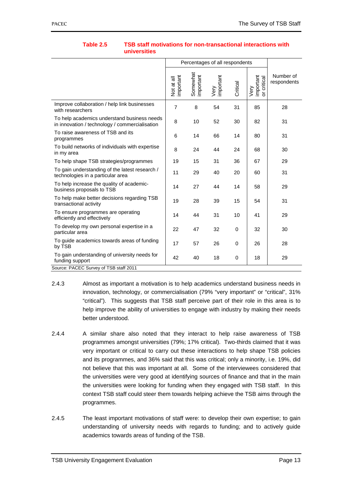|                                                                                                            |                         | Percentages of all respondents |                   |          |                                  |                          |
|------------------------------------------------------------------------------------------------------------|-------------------------|--------------------------------|-------------------|----------|----------------------------------|--------------------------|
|                                                                                                            | important<br>Not at all | Somewhat<br>important          | Very<br>important | Critical | Very<br>important<br>or critical | Number of<br>respondents |
| Improve collaboration / help link businesses<br>with researchers                                           | $\overline{7}$          | 8                              | 54                | 31       | 85                               | 28                       |
| To help academics understand business needs<br>in innovation / technology / commercialisation              | 8                       | 10                             | 52                | 30       | 82                               | 31                       |
| To raise awareness of TSB and its<br>programmes                                                            | 6                       | 14                             | 66                | 14       | 80                               | 31                       |
| To build networks of individuals with expertise<br>in my area                                              | 8                       | 24                             | 44                | 24       | 68                               | 30                       |
| To help shape TSB strategies/programmes                                                                    | 19                      | 15                             | 31                | 36       | 67                               | 29                       |
| To gain understanding of the latest research /<br>technologies in a particular area                        | 11                      | 29                             | 40                | 20       | 60                               | 31                       |
| To help increase the quality of academic-<br>business proposals to TSB                                     | 14                      | 27                             | 44                | 14       | 58                               | 29                       |
| To help make better decisions regarding TSB<br>transactional activity                                      | 19                      | 28                             | 39                | 15       | 54                               | 31                       |
| To ensure programmes are operating<br>efficiently and effectively                                          | 14                      | 44                             | 31                | 10       | 41                               | 29                       |
| To develop my own personal expertise in a<br>particular area                                               | 22                      | 47                             | 32                | 0        | 32                               | 30                       |
| To guide academics towards areas of funding<br>by TSB                                                      | 17                      | 57                             | 26                | 0        | 26                               | 28                       |
| To gain understanding of university needs for<br>funding support<br>Source: PACEC Survey of TSB staff 2011 | 42                      | 40                             | 18                | 0        | 18                               | 29                       |

#### **Table 2.5 TSB staff motivations for non-transactional interactions with universities**

- 2.4.3 Almost as important a motivation is to help academics understand business needs in innovation, technology, or commercialisation (79% "very important" or "critical", 31% "critical"). This suggests that TSB staff perceive part of their role in this area is to help improve the ability of universities to engage with industry by making their needs better understood.
- 2.4.4 A similar share also noted that they interact to help raise awareness of TSB programmes amongst universities (79%; 17% critical). Two-thirds claimed that it was very important or critical to carry out these interactions to help shape TSB policies and its programmes, and 36% said that this was critical; only a minority, i.e. 19%, did not believe that this was important at all. Some of the interviewees considered that the universities were very good at identifying sources of finance and that in the main the universities were looking for funding when they engaged with TSB staff. In this context TSB staff could steer them towards helping achieve the TSB aims through the programmes.
- 2.4.5 The least important motivations of staff were: to develop their own expertise; to gain understanding of university needs with regards to funding; and to actively guide academics towards areas of funding of the TSB.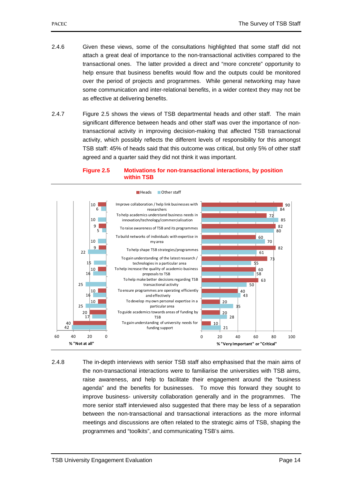- 2.4.6 Given these views, some of the consultations highlighted that some staff did not attach a great deal of importance to the non-transactional activities compared to the transactional ones. The latter provided a direct and "more concrete" opportunity to help ensure that business benefits would flow and the outputs could be monitored over the period of projects and programmes. While general networking may have some communication and inter-relational benefits, in a wider context they may not be as effective at delivering benefits.
- 2.4.7 Figure 2.5 shows the views of TSB departmental heads and other staff. The main significant difference between heads and other staff was over the importance of nontransactional activity in improving decision-making that affected TSB transactional activity, which possibly reflects the different levels of responsibility for this amongst TSB staff: 45% of heads said that this outcome was critical, but only 5% of other staff agreed and a quarter said they did not think it was important.

#### **Figure 2.5 Motivations for non-transactional interactions, by position within TSB**



2.4.8 The in-depth interviews with senior TSB staff also emphasised that the main aims of the non-transactional interactions were to familiarise the universities with TSB aims, raise awareness, and help to facilitate their engagement around the "business agenda" and the benefits for businesses. To move this forward they sought to improve business- university collaboration generally and in the programmes. The more senior staff interviewed also suggested that there may be less of a separation between the non-transactional and transactional interactions as the more informal meetings and discussions are often related to the strategic aims of TSB, shaping the programmes and "toolkits", and communicating TSB's aims.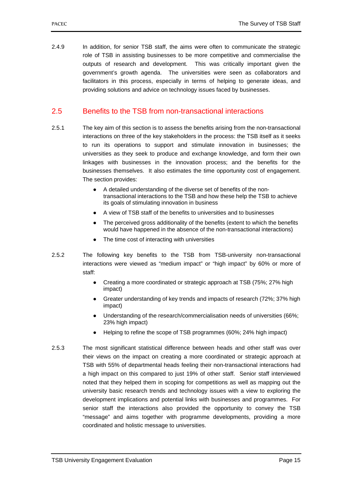2.4.9 In addition, for senior TSB staff, the aims were often to communicate the strategic role of TSB in assisting businesses to be more competitive and commercialise the outputs of research and development. This was critically important given the government's growth agenda. The universities were seen as collaborators and facilitators in this process, especially in terms of helping to generate ideas, and providing solutions and advice on technology issues faced by businesses.

### 2.5 Benefits to the TSB from non-transactional interactions

- 2.5.1 The key aim of this section is to assess the benefits arising from the non-transactional interactions on three of the key stakeholders in the process: the TSB itself as it seeks to run its operations to support and stimulate innovation in businesses; the universities as they seek to produce and exchange knowledge, and form their own linkages with businesses in the innovation process; and the benefits for the businesses themselves. It also estimates the time opportunity cost of engagement. The section provides:
	- A detailed understanding of the diverse set of benefits of the nontransactional interactions to the TSB and how these help the TSB to achieve its goals of stimulating innovation in business
	- A view of TSB staff of the benefits to universities and to businesses
	- The perceived gross additionality of the benefits (extent to which the benefits would have happened in the absence of the non-transactional interactions)
	- The time cost of interacting with universities
- 2.5.2 The following key benefits to the TSB from TSB-university non-transactional interactions were viewed as "medium impact" or "high impact" by 60% or more of staff:
	- Creating a more coordinated or strategic approach at TSB (75%; 27% high impact)
	- Greater understanding of key trends and impacts of research (72%; 37% high impact)
	- Understanding of the research/commercialisation needs of universities (66%; 23% high impact)
	- Helping to refine the scope of TSB programmes (60%; 24% high impact)
- 2.5.3 The most significant statistical difference between heads and other staff was over their views on the impact on creating a more coordinated or strategic approach at TSB with 55% of departmental heads feeling their non-transactional interactions had a high impact on this compared to just 19% of other staff. Senior staff interviewed noted that they helped them in scoping for competitions as well as mapping out the university basic research trends and technology issues with a view to exploring the development implications and potential links with businesses and programmes. For senior staff the interactions also provided the opportunity to convey the TSB "message" and aims together with programme developments, providing a more coordinated and holistic message to universities.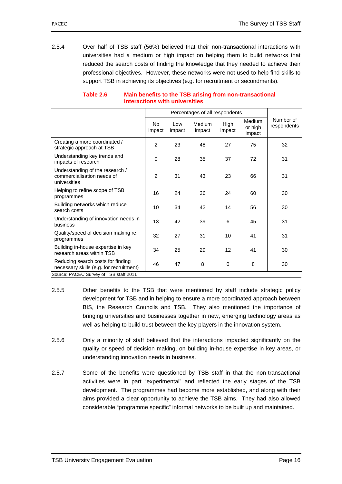2.5.4 Over half of TSB staff (56%) believed that their non-transactional interactions with universities had a medium or high impact on helping them to build networks that reduced the search costs of finding the knowledge that they needed to achieve their professional objectives. However, these networks were not used to help find skills to support TSB in achieving its objectives (e.g. for recruitment or secondments).

|                                                                               |               | Percentages of all respondents |                  |                |                                    |                          |  |
|-------------------------------------------------------------------------------|---------------|--------------------------------|------------------|----------------|------------------------------------|--------------------------|--|
|                                                                               | No.<br>impact | Low<br>impact                  | Medium<br>impact | High<br>impact | <b>Medium</b><br>or high<br>impact | Number of<br>respondents |  |
| Creating a more coordinated /<br>strategic approach at TSB                    | 2             | 23                             | 48               | 27             | 75                                 | 32                       |  |
| Understanding key trends and<br>impacts of research                           | 0             | 28                             | 35               | 37             | 72                                 | 31                       |  |
| Understanding of the research /<br>commercialisation needs of<br>universities | 2             | 31                             | 43               | 23             | 66                                 | 31                       |  |
| Helping to refine scope of TSB<br>programmes                                  | 16            | 24                             | 36               | 24             | 60                                 | 30                       |  |
| Building networks which reduce<br>search costs                                | 10            | 34                             | 42               | 14             | 56                                 | 30                       |  |
| Understanding of innovation needs in<br>business                              | 13            | 42                             | 39               | 6              | 45                                 | 31                       |  |
| Quality/speed of decision making re.<br>programmes                            | 32            | 27                             | 31               | 10             | 41                                 | 31                       |  |
| Building in-house expertise in key<br>research areas within TSB               | 34            | 25                             | 29               | 12             | 41                                 | 30                       |  |
| Reducing search costs for finding<br>necessary skills (e.g. for recruitment)  | 46            | 47                             | 8                | 0              | 8                                  | 30                       |  |
| Source: PACEC Survey of TSB staff 2011                                        |               |                                |                  |                |                                    |                          |  |

#### **Table 2.6 Main benefits to the TSB arising from non-transactional interactions with universities**

- 2.5.5 Other benefits to the TSB that were mentioned by staff include strategic policy development for TSB and in helping to ensure a more coordinated approach between BIS, the Research Councils and TSB. They also mentioned the importance of bringing universities and businesses together in new, emerging technology areas as well as helping to build trust between the key players in the innovation system.
- 2.5.6 Only a minority of staff believed that the interactions impacted significantly on the quality or speed of decision making, on building in-house expertise in key areas, or understanding innovation needs in business.
- 2.5.7 Some of the benefits were questioned by TSB staff in that the non-transactional activities were in part "experimental" and reflected the early stages of the TSB development. The programmes had become more established, and along with their aims provided a clear opportunity to achieve the TSB aims. They had also allowed considerable "programme specific" informal networks to be built up and maintained.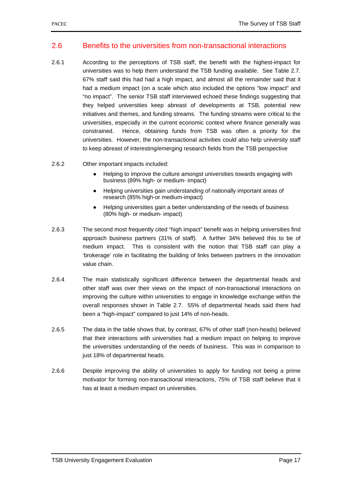### 2.6 Benefits to the universities from non-transactional interactions

- 2.6.1 According to the perceptions of TSB staff, the benefit with the highest-impact for universities was to help them understand the TSB funding available. See Table 2.7. 67% staff said this had had a high impact, and almost all the remainder said that it had a medium impact (on a scale which also included the options "low impact" and "no impact". The senior TSB staff interviewed echoed these findings suggesting that they helped universities keep abreast of developments at TSB, potential new initiatives and themes, and funding streams. The funding streams were critical to the universities, especially in the current economic context where finance generally was constrained. Hence, obtaining funds from TSB was often a priority for the universities. However, the non-transactional activities could also help university staff to keep abreast of interesting/emerging research fields from the TSB perspective
- 2.6.2 Other important impacts included:
	- Helping to improve the culture amongst universities towards engaging with business (89% high- or medium- impact)
	- Helping universities gain understanding of nationally important areas of research (85% high-or medium-impact)
	- Helping universities gain a better understanding of the needs of business (80% high- or medium- impact)
- 2.6.3 The second most frequently cited "high impact" benefit was in helping universities find approach business partners (31% of staff). A further 34% believed this to be of medium impact. This is consistent with the notion that TSB staff can play a 'brokerage' role in facilitating the building of links between partners in the innovation value chain.
- 2.6.4 The main statistically significant difference between the departmental heads and other staff was over their views on the impact of non-transactional interactions on improving the culture within universities to engage in knowledge exchange within the overall responses shown in Table 2.7. 55% of departmental heads said there had been a "high-impact" compared to just 14% of non-heads.
- 2.6.5 The data in the table shows that, by contrast, 67% of other staff (non-heads) believed that their interactions with universities had a medium impact on helping to improve the universities understanding of the needs of business. This was in comparison to just 18% of departmental heads.
- 2.6.6 Despite improving the ability of universities to apply for funding not being a prime motivator for forming non-transactional interactions, 75% of TSB staff believe that it has at least a medium impact on universities.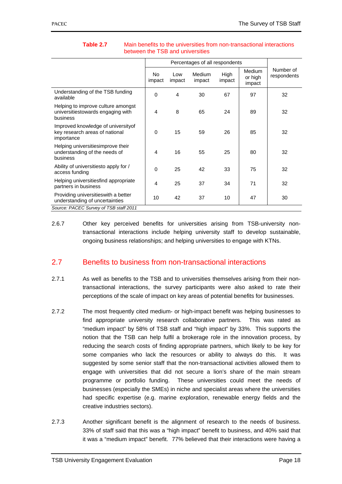|                                                                                     | No.<br>impact | Low<br>impact | <b>Medium</b><br>impact | High<br>impact | <b>Medium</b><br>or high<br>impact | Number of<br>respondents |
|-------------------------------------------------------------------------------------|---------------|---------------|-------------------------|----------------|------------------------------------|--------------------------|
| Understanding of the TSB funding<br>available                                       | $\Omega$      | 4             | 30                      | 67             | 97                                 | 32                       |
| Helping to improve culture amongst<br>universitiestowards engaging with<br>business | 4             | 8             | 65                      | 24             | 89                                 | 32                       |
| Improved knowledge of university of<br>key research areas of national<br>importance | $\Omega$      | 15            | 59                      | 26             | 85                                 | 32                       |
| Helping universitiesimprove their<br>understanding of the needs of<br>business      | 4             | 16            | 55                      | 25             | 80                                 | 32                       |
| Ability of universitiesto apply for /<br>access funding                             | $\Omega$      | 25            | 42                      | 33             | 75                                 | 32                       |
| Helping universitiesfind appropriate<br>partners in business                        | 4             | 25            | 37                      | 34             | 71                                 | 32                       |
| Providing universitieswith a better<br>understanding of uncertainties               | 10            | 42            | 37                      | 10             | 47                                 | 30                       |
| Source: PACEC Survey of TSB staff 2011                                              |               |               |                         |                |                                    |                          |

### **Table 2.7** Main benefits to the universities from non-transactional interactions between the TSB and universities

2.6.7 Other key perceived benefits for universities arising from TSB-university nontransactional interactions include helping university staff to develop sustainable, ongoing business relationships; and helping universities to engage with KTNs.

### 2.7 Benefits to business from non-transactional interactions

- 2.7.1 As well as benefits to the TSB and to universities themselves arising from their nontransactional interactions, the survey participants were also asked to rate their perceptions of the scale of impact on key areas of potential benefits for businesses.
- 2.7.2 The most frequently cited medium- or high-impact benefit was helping businesses to find appropriate university research collaborative partners. This was rated as "medium impact" by 58% of TSB staff and "high impact" by 33%. This supports the notion that the TSB can help fulfil a brokerage role in the innovation process, by reducing the search costs of finding appropriate partners, which likely to be key for some companies who lack the resources or ability to always do this. It was suggested by some senior staff that the non-transactional activities allowed them to engage with universities that did not secure a lion's share of the main stream programme or portfolio funding. These universities could meet the needs of businesses (especially the SMEs) in niche and specialist areas where the universities had specific expertise (e.g. marine exploration, renewable energy fields and the creative industries sectors).
- 2.7.3 Another significant benefit is the alignment of research to the needs of business. 33% of staff said that this was a "high impact" benefit to business, and 40% said that it was a "medium impact" benefit. 77% believed that their interactions were having a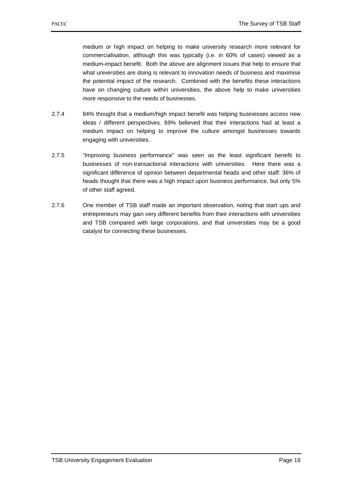medium or high impact on helping to make university research more relevant for commercialisation, although this was typically (i.e. in 60% of cases) viewed as a medium-impact benefit. Both the above are alignment issues that help to ensure that what universities are doing is relevant to innovation needs of business and maximise the potential impact of the research. Combined with the benefits these interactions have on changing culture within universities, the above help to make universities more responsive to the needs of businesses.

- 2.7.4 84% thought that a medium/high impact benefit was helping businesses access new ideas / different perspectives. 69% believed that their interactions had at least a medium impact on helping to improve the culture amongst businesses towards engaging with universities.
- 2.7.5 "Improving business performance" was seen as the least significant benefit to businesses of non-transactional interactions with universities. Here there was a significant difference of opinion between departmental heads and other staff: 36% of heads thought that there was a high impact upon business performance, but only 5% of other staff agreed.
- 2.7.6 One member of TSB staff made an important observation, noting that start ups and entrepreneurs may gain very different benefits from their interactions with universities and TSB compared with large corporations, and that universities may be a good catalyst for connecting these businesses.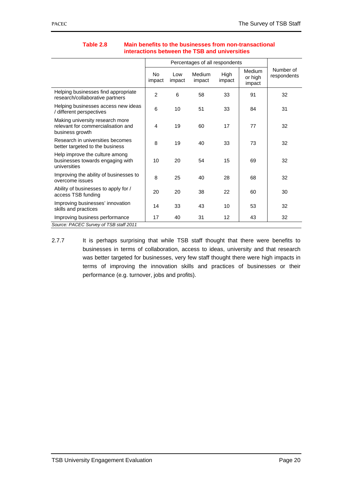|                                                                                          |              | Percentages of all respondents |                         |                |                                    |                          |  |
|------------------------------------------------------------------------------------------|--------------|--------------------------------|-------------------------|----------------|------------------------------------|--------------------------|--|
|                                                                                          | No<br>impact | Low<br>impact                  | <b>Medium</b><br>impact | High<br>impact | <b>Medium</b><br>or high<br>impact | Number of<br>respondents |  |
| Helping businesses find appropriate<br>research/collaborative partners                   | 2            | 6                              | 58                      | 33             | 91                                 | 32                       |  |
| Helping businesses access new ideas<br>/ different perspectives                          | 6            | 10                             | 51                      | 33             | 84                                 | 31                       |  |
| Making university research more<br>relevant for commercialisation and<br>business growth | 4            | 19                             | 60                      | 17             | 77                                 | 32                       |  |
| Research in universities becomes<br>better targeted to the business                      | 8            | 19                             | 40                      | 33             | 73                                 | 32                       |  |
| Help improve the culture among<br>businesses towards engaging with<br>universities       | 10           | 20                             | 54                      | 15             | 69                                 | 32                       |  |
| Improving the ability of businesses to<br>overcome issues                                | 8            | 25                             | 40                      | 28             | 68                                 | 32                       |  |
| Ability of businesses to apply for /<br>access TSB funding                               | 20           | 20                             | 38                      | 22             | 60                                 | 30                       |  |
| Improving businesses' innovation<br>skills and practices                                 | 14           | 33                             | 43                      | 10             | 53                                 | 32                       |  |
| Improving business performance                                                           | 17           | 40                             | 31                      | 12             | 43                                 | 32                       |  |
| Source: PACEC Survey of TSB staff 2011                                                   |              |                                |                         |                |                                    |                          |  |

### **Table 2.8 Main benefits to the businesses from non-transactional interactions between the TSB and universities**

2.7.7 It is perhaps surprising that while TSB staff thought that there were benefits to businesses in terms of collaboration, access to ideas, university and that research was better targeted for businesses, very few staff thought there were high impacts in terms of improving the innovation skills and practices of businesses or their performance (e.g. turnover, jobs and profits).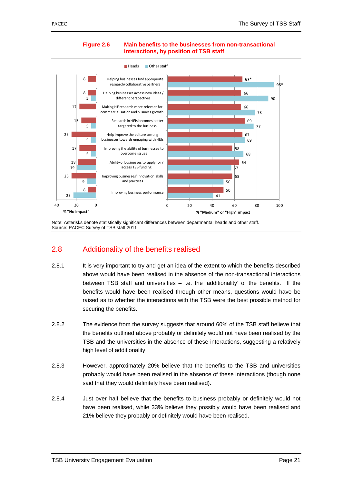

#### **Figure 2.6 Main benefits to the businesses from non-transactional interactions, by position of TSB staff**

Note: Asterisks denote statistically significant differences between departmental heads and other staff. Source: PACEC Survey of TSB staff 2011

### 2.8 Additionality of the benefits realised

- 2.8.1 It is very important to try and get an idea of the extent to which the benefits described above would have been realised in the absence of the non-transactional interactions between TSB staff and universities – i.e. the 'additionality' of the benefits. If the benefits would have been realised through other means, questions would have be raised as to whether the interactions with the TSB were the best possible method for securing the benefits.
- 2.8.2 The evidence from the survey suggests that around 60% of the TSB staff believe that the benefits outlined above probably or definitely would not have been realised by the TSB and the universities in the absence of these interactions, suggesting a relatively high level of additionality.
- 2.8.3 However, approximately 20% believe that the benefits to the TSB and universities probably would have been realised in the absence of these interactions (though none said that they would definitely have been realised).
- 2.8.4 Just over half believe that the benefits to business probably or definitely would not have been realised, while 33% believe they possibly would have been realised and 21% believe they probably or definitely would have been realised.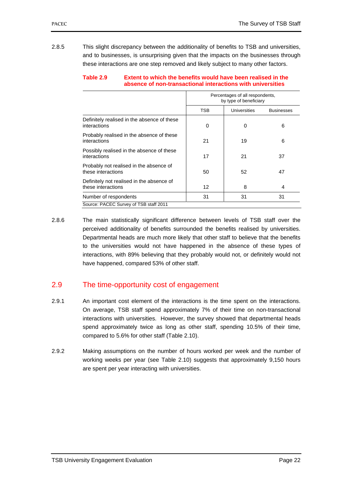2.8.5 This slight discrepancy between the additionality of benefits to TSB and universities, and to businesses, is unsurprising given that the impacts on the businesses through these interactions are one step removed and likely subject to many other factors.

|                                                                 | Percentages of all respondents,<br>by type of beneficiary |              |                   |  |
|-----------------------------------------------------------------|-----------------------------------------------------------|--------------|-------------------|--|
|                                                                 | <b>TSB</b>                                                | Universities | <b>Businesses</b> |  |
| Definitely realised in the absence of these<br>interactions     | 0                                                         | 0            | 6                 |  |
| Probably realised in the absence of these<br>interactions       | 21                                                        | 19           | 6                 |  |
| Possibly realised in the absence of these<br>interactions       | 17                                                        | 21           | 37                |  |
| Probably not realised in the absence of<br>these interactions   | 50                                                        | 52           | 47                |  |
| Definitely not realised in the absence of<br>these interactions | 12                                                        | 8            | 4                 |  |
| Number of respondents                                           | 31                                                        | 31           | 31                |  |

# **Table 2.9 Extent to which the benefits would have been realised in the absence of non-transactional interactions with universities**

2.8.6 The main statistically significant difference between levels of TSB staff over the perceived additionality of benefits surrounded the benefits realised by universities. Departmental heads are much more likely that other staff to believe that the benefits to the universities would not have happened in the absence of these types of interactions, with 89% believing that they probably would not, or definitely would not have happened, compared 53% of other staff.

# 2.9 The time-opportunity cost of engagement

- 2.9.1 An important cost element of the interactions is the time spent on the interactions. On average, TSB staff spend approximately 7% of their time on non-transactional interactions with universities. However, the survey showed that departmental heads spend approximately twice as long as other staff, spending 10.5% of their time, compared to 5.6% for other staff (Table 2.10).
- 2.9.2 Making assumptions on the number of hours worked per week and the number of working weeks per year (see Table 2.10) suggests that approximately 9,150 hours are spent per year interacting with universities.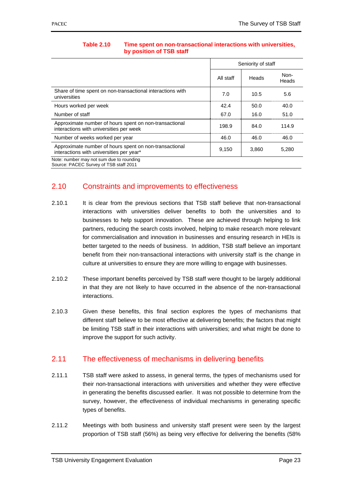|                                                                                                    | Seniority of staff |       |               |
|----------------------------------------------------------------------------------------------------|--------------------|-------|---------------|
|                                                                                                    | All staff          | Heads | Non-<br>Heads |
| Share of time spent on non-transactional interactions with<br>universities                         | 7.0                | 10.5  | 5.6           |
| Hours worked per week                                                                              | 42.4               | 50.0  | 40.0          |
| Number of staff                                                                                    | 67.0               | 16.0  | 51.0          |
| Approximate number of hours spent on non-transactional<br>interactions with universities per week  | 198.9              | 84.0  | 114.9         |
| Number of weeks worked per year                                                                    | 46.0               | 46.0  | 46.0          |
| Approximate number of hours spent on non-transactional<br>interactions with universities per year* | 9,150              | 3,860 | 5,280         |
| Note: number may not sum due to rounding<br>Source: PACEC Survey of TSB staff 2011                 |                    |       |               |

## **Table 2.10 Time spent on non-transactional interactions with universities, by position of TSB staff**

# 2.10 Constraints and improvements to effectiveness

- 2.10.1 It is clear from the previous sections that TSB staff believe that non-transactional interactions with universities deliver benefits to both the universities and to businesses to help support innovation. These are achieved through helping to link partners, reducing the search costs involved, helping to make research more relevant for commercialisation and innovation in businesses and ensuring research in HEIs is better targeted to the needs of business. In addition, TSB staff believe an important benefit from their non-transactional interactions with university staff is the change in culture at universities to ensure they are more willing to engage with businesses.
- 2.10.2 These important benefits perceived by TSB staff were thought to be largely additional in that they are not likely to have occurred in the absence of the non-transactional interactions.
- 2.10.3 Given these benefits, this final section explores the types of mechanisms that different staff believe to be most effective at delivering benefits; the factors that might be limiting TSB staff in their interactions with universities; and what might be done to improve the support for such activity.

# 2.11 The effectiveness of mechanisms in delivering benefits

- 2.11.1 TSB staff were asked to assess, in general terms, the types of mechanisms used for their non-transactional interactions with universities and whether they were effective in generating the benefits discussed earlier. It was not possible to determine from the survey, however, the effectiveness of individual mechanisms in generating specific types of benefits.
- 2.11.2 Meetings with both business and university staff present were seen by the largest proportion of TSB staff (56%) as being very effective for delivering the benefits (58%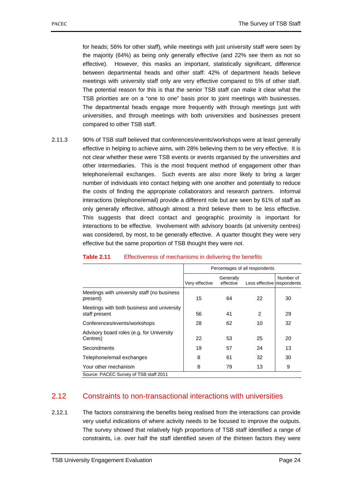for heads; 56% for other staff), while meetings with just university staff were seen by the majority (64%) as being only generally effective (and 22% see them as not so effective). However, this masks an important, statistically significant, difference between departmental heads and other staff: 42% of department heads believe meetings with university staff only are very effective compared to 5% of other staff. The potential reason for this is that the senior TSB staff can make it clear what the TSB priorities are on a "one to one" basis prior to joint meetings with businesses. The departmental heads engage more frequently with through meetings just with universities, and through meetings with both universities and businesses present compared to other TSB staff.

2.11.3 90% of TSB staff believed that conferences/events/workshops were at least generally effective in helping to achieve aims, with 28% believing them to be very effective. It is not clear whether these were TSB events or events organised by the universities and other intermediaries. This is the most frequent method of engagement other than telephone/email exchanges. Such events are also more likely to bring a larger number of individuals into contact helping with one another and potentially to reduce the costs of finding the appropriate collaborators and research partners. Informal interactions (telephone/email) provide a different role but are seen by 61% of staff as only generally effective, although almost a third believe them to be less effective. This suggests that direct contact and geographic proximity is important for interactions to be effective. Involvement with advisory boards (at university centres) was considered, by most, to be generally effective. A quarter thought they were very effective but the same proportion of TSB thought they were not.

|                                                             | Percentages of all respondents |                        |                            |           |
|-------------------------------------------------------------|--------------------------------|------------------------|----------------------------|-----------|
|                                                             | Very effective                 | Generally<br>effective | Less effective respondents | Number of |
| Meetings with university staff (no business<br>present)     | 15                             | 64                     | 22                         | 30        |
| Meetings with both business and university<br>staff present | 56                             | 41                     | $\overline{2}$             | 29        |
| Conferences/events/workshops                                | 28                             | 62                     | 10                         | 32        |
| Advisory board roles (e.g. for University<br>Centres)       | 22                             | 53                     | 25                         | 20        |
| Secondments                                                 | 19                             | 57                     | 24                         | 13        |
| Telephone/email exchanges                                   | 8                              | 61                     | 32                         | 30        |
| Your other mechanism                                        | 8                              | 79                     | 13                         | 9         |
| Source: PACEC Survey of TSB staff 2011                      |                                |                        |                            |           |

#### **Table 2.11** Effectiveness of mechanisms in delivering the benefits

┯

# 2.12 Constraints to non-transactional interactions with universities

2.12.1 The factors constraining the benefits being realised from the interactions can provide very useful indications of where activity needs to be focused to improve the outputs. The survey showed that relatively high proportions of TSB staff identified a range of constraints, i.e. over half the staff identified seven of the thirteen factors they were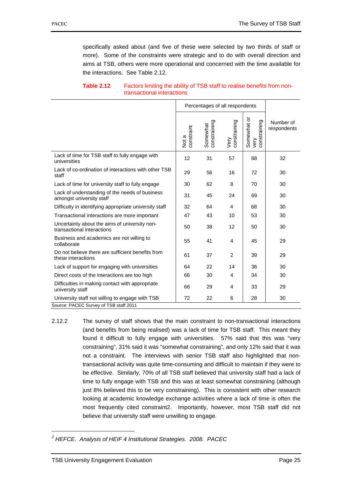specifically asked about (and five of these were selected by two thirds of staff or more). Some of the constraints were strategic and to do with overall direction and aims at TSB, others were more operational and concerned with the time available for the interactions. See Table 2.12.

|                                                                             | Percentages of all respondents |                          |                      |                                     |                          |
|-----------------------------------------------------------------------------|--------------------------------|--------------------------|----------------------|-------------------------------------|--------------------------|
|                                                                             | constraint<br>Not a            | Somewhat<br>constraining | constraining<br>Very | Somewhat or<br>constraining<br>yery | Number of<br>respondents |
| Lack of time for TSB staff to fully engage with<br>universities             | 12                             | 31                       | 57                   | 88                                  | 32                       |
| Lack of co-ordination of interactions with other TSB<br>staff               | 29                             | 56                       | 16                   | 72                                  | 30                       |
| Lack of time for university staff to fully engage                           | 30                             | 62                       | 8                    | 70                                  | 30                       |
| Lack of understanding of the needs of business<br>amongst university staff  | 31                             | 45                       | 24                   | 69                                  | 30                       |
| Difficulty in identifying appropriate university staff                      | 32                             | 64                       | 4                    | 68                                  | 30                       |
| Transactional interactions are more important                               | 47                             | 43                       | 10                   | 53                                  | 30                       |
| Uncertainty about the aims of university non-<br>transactional interactions | 50                             | 38                       | 12                   | 50                                  | 30                       |
| Business and academics are not willing to<br>collaborate                    | 55                             | 41                       | 4                    | 45                                  | 29                       |
| Do not believe there are sufficient benefits from<br>these interactions     | 61                             | 37                       | 2                    | 39                                  | 29                       |
| Lack of support for engaging with universities                              | 64                             | 22                       | 14                   | 36                                  | 30                       |
| Direct costs of the interactions are too high                               | 66                             | 30                       | 4                    | 34                                  | 30                       |
| Difficulties in making contact with appropriate<br>university staff         | 66                             | 29                       | 4                    | 33                                  | 29                       |
| University staff not willing to engage with TSB                             | 72                             | 22                       | 6                    | 28                                  | 30                       |
| Source: PACEC Survey of TSB staff 2011                                      |                                |                          |                      |                                     |                          |

# **Table 2.12 Factors limiting the ability of TSB staff to realise benefits from non**transactional interactions

2.12.2 The survey of staff shows that the main constraint to non-transactional interactions (and benefits from being realised) was a lack of time for TSB staff. This meant they found it difficult to fully engage with universities. 57% said that this was "very constraining", 31% said it was "somewhat constraining", and only 12% said that it was not a constraint. The interviews with senior TSB staff also highlighted that nontransactional activity was quite time-consuming and difficult to maintain if they were to be effective. Similarly, 70% of all TSB staff believed that university staff had a lack of time to fully engage with TSB and this was at least somewhat constraining (although just 8% believed this to be very constraining). This is consistent with other research looking at academic knowledge exchange activities where a lack of time is often the most frequently cited constraint2. Importantly, however, most TSB staff did not believe that university staff were unwilling to engage.

1

*<sup>2</sup> HEFCE. Analysis of HEIF 4 Institutional Strategies. 2008. PACEC*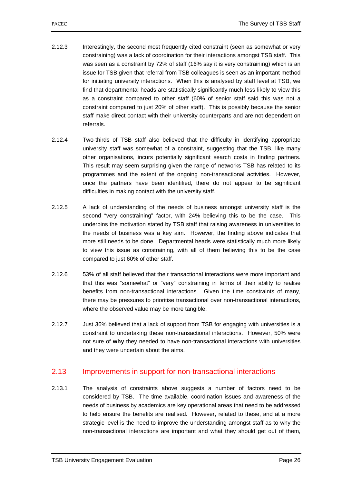- 2.12.3 Interestingly, the second most frequently cited constraint (seen as somewhat or very constraining) was a lack of coordination for their interactions amongst TSB staff. This was seen as a constraint by 72% of staff (16% say it is very constraining) which is an issue for TSB given that referral from TSB colleagues is seen as an important method for initiating university interactions. When this is analysed by staff level at TSB, we find that departmental heads are statistically significantly much less likely to view this as a constraint compared to other staff (60% of senior staff said this was not a constraint compared to just 20% of other staff). This is possibly because the senior staff make direct contact with their university counterparts and are not dependent on referrals.
- 2.12.4 Two-thirds of TSB staff also believed that the difficulty in identifying appropriate university staff was somewhat of a constraint, suggesting that the TSB, like many other organisations, incurs potentially significant search costs in finding partners. This result may seem surprising given the range of networks TSB has related to its programmes and the extent of the ongoing non-transactional activities. However, once the partners have been identified, there do not appear to be significant difficulties in making contact with the university staff.
- 2.12.5 A lack of understanding of the needs of business amongst university staff is the second "very constraining" factor, with 24% believing this to be the case. This underpins the motivation stated by TSB staff that raising awareness in universities to the needs of business was a key aim. However, the finding above indicates that more still needs to be done. Departmental heads were statistically much more likely to view this issue as constraining, with all of them believing this to be the case compared to just 60% of other staff.
- 2.12.6 53% of all staff believed that their transactional interactions were more important and that this was "somewhat" or "very" constraining in terms of their ability to realise benefits from non-transactional interactions. Given the time constraints of many, there may be pressures to prioritise transactional over non-transactional interactions, where the observed value may be more tangible.
- 2.12.7 Just 36% believed that a lack of support from TSB for engaging with universities is a constraint to undertaking these non-transactional interactions. However, 50% were not sure of **why** they needed to have non-transactional interactions with universities and they were uncertain about the aims.

# 2.13 Improvements in support for non-transactional interactions

2.13.1 The analysis of constraints above suggests a number of factors need to be considered by TSB. The time available, coordination issues and awareness of the needs of business by academics are key operational areas that need to be addressed to help ensure the benefits are realised. However, related to these, and at a more strategic level is the need to improve the understanding amongst staff as to why the non-transactional interactions are important and what they should get out of them,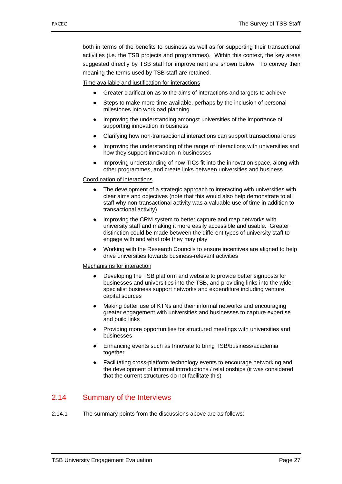both in terms of the benefits to business as well as for supporting their transactional activities (i.e. the TSB projects and programmes). Within this context, the key areas suggested directly by TSB staff for improvement are shown below. To convey their meaning the terms used by TSB staff are retained.

Time available and justification for interactions

- Greater clarification as to the aims of interactions and targets to achieve
- Steps to make more time available, perhaps by the inclusion of personal milestones into workload planning
- Improving the understanding amongst universities of the importance of supporting innovation in business
- Clarifying how non-transactional interactions can support transactional ones
- Improving the understanding of the range of interactions with universities and how they support innovation in businesses
- Improving understanding of how TICs fit into the innovation space, along with other programmes, and create links between universities and business

### Coordination of interactions

- The development of a strategic approach to interacting with universities with clear aims and objectives (note that this would also help demonstrate to all staff why non-transactional activity was a valuable use of time in addition to transactional activity)
- Improving the CRM system to better capture and map networks with university staff and making it more easily accessible and usable. Greater distinction could be made between the different types of university staff to engage with and what role they may play
- Working with the Research Councils to ensure incentives are aligned to help drive universities towards business-relevant activities

### Mechanisms for interaction

- Developing the TSB platform and website to provide better signposts for businesses and universities into the TSB, and providing links into the wider specialist business support networks and expenditure including venture capital sources
- Making better use of KTNs and their informal networks and encouraging greater engagement with universities and businesses to capture expertise and build links
- Providing more opportunities for structured meetings with universities and businesses
- Enhancing events such as Innovate to bring TSB/business/academia together
- Facilitating cross-platform technology events to encourage networking and the development of informal introductions / relationships (it was considered that the current structures do not facilitate this)

# 2.14 Summary of the Interviews

2.14.1 The summary points from the discussions above are as follows: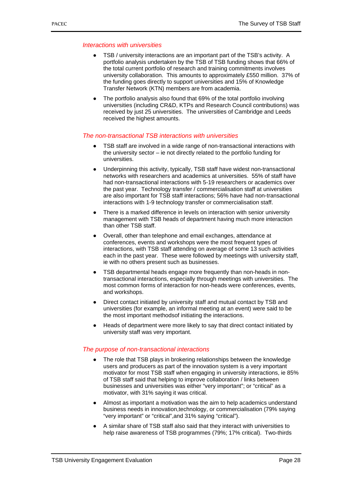### *Interactions with universities*

- TSB / university interactions are an important part of the TSB's activity. A portfolio analysis undertaken by the TSB of TSB funding shows that 66% of the total current portfolio of research and training commitments involves university collaboration. This amounts to approximately £550 million. 37% of the funding goes directly to support universities and 15% of Knowledge Transfer Network (KTN) members are from academia.
- The portfolio analysis also found that 69% of the total portfolio involving universities (including CR&D, KTPs and Research Council contributions) was received by just 25 universities. The universities of Cambridge and Leeds received the highest amounts.

## *The non-transactional TSB interactions with universities*

- TSB staff are involved in a wide range of non-transactional interactions with the university sector – ie not directly related to the portfolio funding for universities.
- Underpinning this activity, typically, TSB staff have widest non-transactional networks with researchers and academics at universities. 55% of staff have had non-transactional interactions with 5-19 researchers or academics over the past year. Technology transfer / commercialisation staff at universities are also important for TSB staff interactions; 56% have had non-transactional interactions with 1-9 technology transfer or commercialisation staff.
- There is a marked difference in levels on interaction with senior university management with TSB heads of department having much more interaction than other TSB staff.
- Overall, other than telephone and email exchanges, attendance at conferences, events and workshops were the most frequent types of interactions, with TSB staff attending on average of some 13 such activities each in the past year. These were followed by meetings with university staff, ie with no others present such as businesses.
- TSB departmental heads engage more frequently than non-heads in nontransactional interactions, especially through meetings with universities. The most common forms of interaction for non-heads were conferences, events, and workshops.
- Direct contact initiated by university staff and mutual contact by TSB and universities (for example, an informal meeting at an event) were said to be the most important methodsof initiating the interactions.
- Heads of department were more likely to say that direct contact initiated by university staff was very important.

# *The purpose of non-transactional interactions*

- The role that TSB plays in brokering relationships between the knowledge users and producers as part of the innovation system is a very important motivator for most TSB staff when engaging in university interactions, ie 85% of TSB staff said that helping to improve collaboration / links between businesses and universities was either "very important"; or "critical" as a motivator, with 31% saying it was critical.
- Almost as important a motivation was the aim to help academics understand business needs in innovation,technology, or commercialisation (79% saying "very important" or "critical",and 31% saying "critical").
- A similar share of TSB staff also said that they interact with universities to help raise awareness of TSB programmes (79%; 17% critical). Two-thirds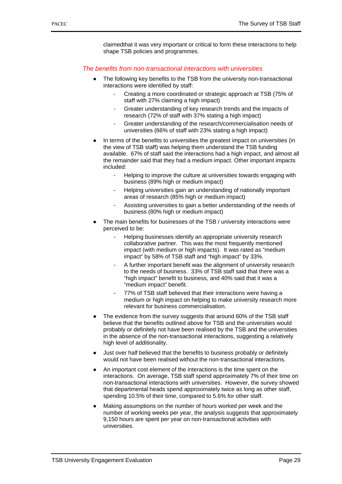claimedthat it was very important or critical to form these interactions to help shape TSB policies and programmes.

## *The benefits from non-transactional interactions with universities*

- The following key benefits to the TSB from the university non-transactional interactions were identified by staff:
	- Creating a more coordinated or strategic approach at TSB (75% of staff with 27% claiming a high impact)
	- Greater understanding of key research trends and the impacts of research (72% of staff with 37% stating a high impact)
	- Greater understanding of the research/commercialisation needs of universities (66% of staff with 23% stating a high impact)
- In terms of the benefits to universities the greatest impact on universities (in the view of TSB staff) was helping them understand the TSB funding available. 67% of staff said the interactions had a high impact, and almost all the remainder said that they had a medium impact. Other important impacts included:
	- Helping to improve the culture at universities towards engaging with business (89% high or medium impact)
	- Helping universities gain an understanding of nationally important areas of research (85% high or medium impact)
	- Assisting universities to gain a better understanding of the needs of business (80% high or medium impact)
- The main benefits for businesses of the TSB / university interactions were perceived to be:
	- Helping businesses identify an appropriate university research collaborative partner. This was the most frequently mentioned impact (with medium or high impacts). It was rated as "medium impact" by 58% of TSB staff and "high impact" by 33%.
	- A further important benefit was the alignment of university research to the needs of business. 33% of TSB staff said that there was a "high impact" benefit to business, and 40% said that it was a "medium impact" benefit.
	- 77% of TSB staff believed that their interactions were having a medium or high impact on helping to make university research more relevant for business commercialisation.
- The evidence from the survey suggests that around 60% of the TSB staff believe that the benefits outlined above for TSB and the universities would probably or definitely not have been realised by the TSB and the universities in the absence of the non-transactional interactions, suggesting a relatively high level of additionality.
- Just over half believed that the benefits to business probably or definitely would not have been realised without the non-transactional interactions.
- An important cost element of the interactions is the time spent on the interactions. On average, TSB staff spend approximately 7% of their time on non-transactional interactions with universities. However, the survey showed that departmental heads spend approximately twice as long as other staff, spending 10.5% of their time, compared to 5.6% for other staff.
- Making assumptions on the number of hours worked per week and the number of working weeks per year, the analysis suggests that approximately 9,150 hours are spent per year on non-transactional activities with universities.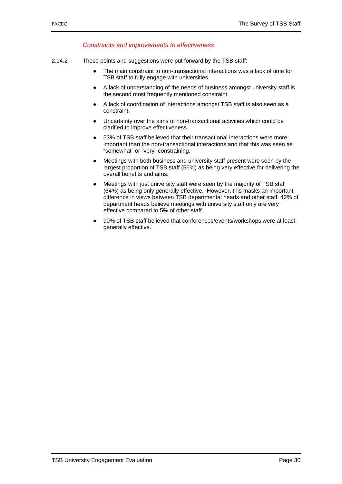## *Constraints and improvements to effectiveness*

- 2.14.2 These points and suggestions were put forward by the TSB staff:
	- The main constraint to non-transactional interactions was a lack of time for TSB staff to fully engage with universities.
	- A lack of understanding of the needs of business amongst university staff is the second most frequently mentioned constraint.
	- A lack of coordination of interactions amongst TSB staff is also seen as a constraint.
	- Uncertainty over the aims of non-transactional activities which could be clarified to improve effectiveness.
	- 53% of TSB staff believed that their transactional interactions were more important than the non-transactional interactions and that this was seen as "somewhat" or "very" constraining.
	- Meetings with both business and university staff present were seen by the largest proportion of TSB staff (56%) as being very effective for delivering the overall benefits and aims.
	- Meetings with just university staff were seen by the majority of TSB staff (64%) as being only generally effective. However, this masks an important difference in views between TSB departmental heads and other staff: 42% of department heads believe meetings with university staff only are very effective compared to 5% of other staff.
	- 90% of TSB staff believed that conferences/events/workshops were at least generally effective.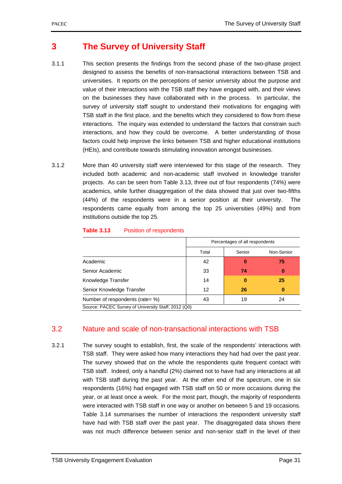# **3 The Survey of University Staff**

- 3.1.1 This section presents the findings from the second phase of the two-phase project designed to assess the benefits of non-transactional interactions between TSB and universities. It reports on the perceptions of senior university about the purpose and value of their interactions with the TSB staff they have engaged with, and their views on the businesses they have collaborated with in the process. In particular, the survey of university staff sought to understand their motivations for engaging with TSB staff in the first place, and the benefits which they considered to flow from these interactions. The inquiry was extended to understand the factors that constrain such interactions, and how they could be overcome. A better understanding of those factors could help improve the links between TSB and higher educational institutions (HEIs), and contribute towards stimulating innovation amongst businesses.
- 3.1.2 More than 40 university staff were interviewed for this stage of the research. They included both academic and non-academic staff involved in knowledge transfer projects. As can be seen from Table 3.13, three out of four respondents (74%) were academics, while further disaggregation of the data showed that just over two-fifths (44%) of the respondents were in a senior position at their university. The respondents came equally from among the top 25 universities (49%) and from institutions outside the top 25.

|                                                     | Percentages of all respondents |          |            |  |  |  |
|-----------------------------------------------------|--------------------------------|----------|------------|--|--|--|
|                                                     | Total                          | Senior   | Non-Senior |  |  |  |
| Academic                                            | 42                             | 0        | 75         |  |  |  |
| Senior Academic                                     | 33                             | 74       | $\bf{0}$   |  |  |  |
| Knowledge Transfer                                  | 14                             | $\bf{0}$ | 25         |  |  |  |
| Senior Knowledge Transfer                           | 12                             | 26       | $\bf{0}$   |  |  |  |
| Number of respondents (rate= %)                     | 43                             | 19       | 24         |  |  |  |
| Source: PACEC Survey of University Staff, 2012 (Q0) |                                |          |            |  |  |  |

### **Table 3.13** Position of respondents

# 3.2 Nature and scale of non-transactional interactions with TSB

3.2.1 The survey sought to establish, first, the scale of the respondents' interactions with TSB staff. They were asked how many interactions they had had over the past year. The survey showed that on the whole the respondents quite frequent contact with TSB staff. Indeed, only a handful (2%) claimed not to have had any interactions at all with TSB staff during the past year. At the other end of the spectrum, one in six respondents (16%) had engaged with TSB staff on 50 or more occasions during the year, or at least once a week. For the most part, though, the majority of respondents were interacted with TSB staff in one way or another on between 5 and 19 occasions. Table 3.14 summarises the number of interactions the respondent university staff have had with TSB staff over the past year. The disaggregated data shows there was not much difference between senior and non-senior staff in the level of their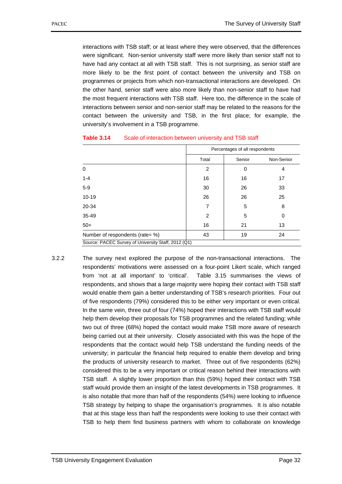interactions with TSB staff; or at least where they were observed, that the differences were significant. Non-senior university staff were more likely than senior staff not to have had any contact at all with TSB staff. This is not surprising, as senior staff are more likely to be the first point of contact between the university and TSB on programmes or projects from which non-transactional interactions are developed. On the other hand, senior staff were also more likely than non-senior staff to have had the most frequent interactions with TSB staff. Here too, the difference in the scale of interactions between senior and non-senior staff may be related to the reasons for the contact between the university and TSB, in the first place; for example, the university's involvement in a TSB programme.

|                                                     |                | Percentages of all respondents |            |  |  |  |
|-----------------------------------------------------|----------------|--------------------------------|------------|--|--|--|
|                                                     | Total          | Senior                         | Non-Senior |  |  |  |
| 0                                                   | $\overline{2}$ | 0                              | 4          |  |  |  |
| $1 - 4$                                             | 16             | 16                             | 17         |  |  |  |
| $5-9$                                               | 30             | 26                             | 33         |  |  |  |
| $10 - 19$                                           | 26             | 26                             | 25         |  |  |  |
| 20-34                                               | 7              | 5                              | 8          |  |  |  |
| 35-49                                               | $\overline{2}$ | 5                              | 0          |  |  |  |
| $50+$                                               | 16             | 21                             | 13         |  |  |  |
| Number of respondents (rate= %)                     | 43             | 19                             | 24         |  |  |  |
| Source: PACEC Survey of University Staff, 2012 (Q1) |                |                                |            |  |  |  |

3.2.2 The survey next explored the purpose of the non-transactional interactions. The respondents' motivations were assessed on a four-point Likert scale, which ranged from 'not at all important' to 'critical'. Table 3.15 summarises the views of respondents, and shows that a large majority were hoping their contact with TSB staff would enable them gain a better understanding of TSB's research priorities. Four out of five respondents (79%) considered this to be either very important or even critical. In the same vein, three out of four (74%) hoped their interactions with TSB staff would help them develop their proposals for TSB programmes and the related funding; while two out of three (68%) hoped the contact would make TSB more aware of research being carried out at their university. Closely associated with this was the hope of the respondents that the contact would help TSB understand the funding needs of the university; in particular the financial help required to enable them develop and bring the products of university research to market. Three out of five respondents (62%) considered this to be a very important or critical reason behind their interactions with TSB staff. A slightly lower proportion than this (59%) hoped their contact with TSB staff would provide them an insight of the latest developments in TSB programmes. It is also notable that more than half of the respondents (54%) were looking to influence TSB strategy by helping to shape the organisation's programmes. It is also notable that at this stage less than half the respondents were looking to use their contact with TSB to help them find business partners with whom to collaborate on knowledge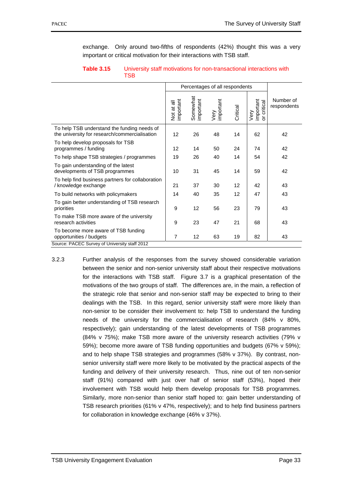exchange. Only around two-fifths of respondents (42%) thought this was a very important or critical motivation for their interactions with TSB staff.

|                                                                                              |                         | Percentages of all respondents |                   |          |                                                      |                          |
|----------------------------------------------------------------------------------------------|-------------------------|--------------------------------|-------------------|----------|------------------------------------------------------|--------------------------|
|                                                                                              | important<br>Not at all | Somewhat<br>important          | Very<br>important | Critical | Very<br>important<br>critical<br>$\overline{\sigma}$ | Number of<br>respondents |
| To help TSB understand the funding needs of<br>the university for research/commercialisation | 12                      | 26                             | 48                | 14       | 62                                                   | 42                       |
| To help develop proposals for TSB<br>programmes / funding                                    | 12                      | 14                             | 50                | 24       | 74                                                   | 42                       |
| To help shape TSB strategies / programmes                                                    | 19                      | 26                             | 40                | 14       | 54                                                   | 42                       |
| To gain understanding of the latest<br>developments of TSB programmes                        | 10                      | 31                             | 45                | 14       | 59                                                   | 42                       |
| To help find business partners for collaboration<br>/ knowledge exchange                     | 21                      | 37                             | 30                | 12       | 42                                                   | 43                       |
| To build networks with policymakers                                                          | 14                      | 40                             | 35                | 12       | 47                                                   | 43                       |
| To gain better understanding of TSB research<br>priorities                                   | 9                       | 12                             | 56                | 23       | 79                                                   | 43                       |
| To make TSB more aware of the university<br>research activities                              | 9                       | 23                             | 47                | 21       | 68                                                   | 43                       |
| To become more aware of TSB funding<br>opportunities / budgets                               | $\overline{7}$          | 12                             | 63                | 19       | 82                                                   | 43                       |
| Source: PACEC Survey of University staff 2012                                                |                         |                                |                   |          |                                                      |                          |

| Table 3.15 | University staff motivations for non-transactional interactions with<br>TSB |
|------------|-----------------------------------------------------------------------------|
|            |                                                                             |

3.2.3 Further analysis of the responses from the survey showed considerable variation between the senior and non-senior university staff about their respective motivations for the interactions with TSB staff. Figure 3.7 is a graphical presentation of the motivations of the two groups of staff. The differences are, in the main, a reflection of the strategic role that senior and non-senior staff may be expected to bring to their dealings with the TSB. In this regard, senior university staff were more likely than non-senior to be consider their involvement to: help TSB to understand the funding needs of the university for the commercialisation of research (84% v 80%, respectively); gain understanding of the latest developments of TSB programmes (84% v 75%); make TSB more aware of the university research activities (79% v 59%); become more aware of TSB funding opportunities and budgets (67% v 59%); and to help shape TSB strategies and programmes (58% v 37%). By contrast, nonsenior university staff were more likely to be motivated by the practical aspects of the funding and delivery of their university research. Thus, nine out of ten non-senior staff (91%) compared with just over half of senior staff (53%), hoped their involvement with TSB would help them develop proposals for TSB programmes. Similarly, more non-senior than senior staff hoped to: gain better understanding of TSB research priorities (61% v 47%, respectively); and to help find business partners for collaboration in knowledge exchange (46% v 37%).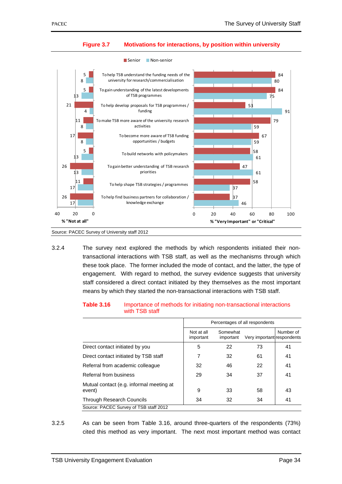

### **Figure 3.7 Motivations for interactions, by position within university**

■ Senior ■ Non-senior

3.2.4 The survey next explored the methods by which respondents initiated their nontransactional interactions with TSB staff, as well as the mechanisms through which these took place. The former included the mode of contact, and the latter, the type of engagement. With regard to method, the survey evidence suggests that university staff considered a direct contact initiated by they themselves as the most important means by which they started the non-transactional interactions with TSB staff.

| Table 3.16 | Importance of methods for initiating non-transactional interactions |
|------------|---------------------------------------------------------------------|
|            | with TSB staff                                                      |

|                                                    | Percentages of all respondents |                       |                            |           |  |
|----------------------------------------------------|--------------------------------|-----------------------|----------------------------|-----------|--|
|                                                    | Not at all<br>important        | Somewhat<br>important | Very important respondents | Number of |  |
| Direct contact initiated by you                    | 5                              | 22                    | 73                         | 41        |  |
| Direct contact initiated by TSB staff              | 7                              | 32                    | 61                         | 41        |  |
| Referral from academic colleague                   | 32                             | 46                    | 22                         | 41        |  |
| Referral from business                             | 29                             | 34                    | 37                         | 41        |  |
| Mutual contact (e.g. informal meeting at<br>event) | 9                              | 33                    | 58                         | 43        |  |
| <b>Through Research Councils</b>                   | 34                             | 32                    | 34                         | 41        |  |
| Source: PACEC Survey of TSB staff 2012             |                                |                       |                            |           |  |

3.2.5 As can be seen from Table 3.16, around three-quarters of the respondents (73%) cited this method as very important. The next most important method was contact

Source: PACEC Survey of University staff 2012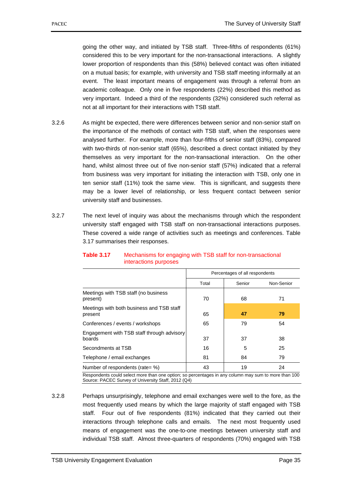going the other way, and initiated by TSB staff. Three-fifths of respondents (61%) considered this to be very important for the non-transactional interactions. A slightly lower proportion of respondents than this (58%) believed contact was often initiated on a mutual basis; for example, with university and TSB staff meeting informally at an event. The least important means of engagement was through a referral from an academic colleague. Only one in five respondents (22%) described this method as very important. Indeed a third of the respondents (32%) considered such referral as not at all important for their interactions with TSB staff.

- 3.2.6 As might be expected, there were differences between senior and non-senior staff on the importance of the methods of contact with TSB staff, when the responses were analysed further. For example, more than four-fifths of senior staff (83%), compared with two-thirds of non-senior staff (65%), described a direct contact initiated by they themselves as very important for the non-transactional interaction. On the other hand, whilst almost three out of five non-senior staff (57%) indicated that a referral from business was very important for initiating the interaction with TSB, only one in ten senior staff (11%) took the same view. This is significant, and suggests there may be a lower level of relationship, or less frequent contact between senior university staff and businesses.
- 3.2.7 The next level of inquiry was about the mechanisms through which the respondent university staff engaged with TSB staff on non-transactional interactions purposes. These covered a wide range of activities such as meetings and conferences. Table 3.17 summarises their responses.

|                                                      | Percentages of all respondents |        |            |  |
|------------------------------------------------------|--------------------------------|--------|------------|--|
|                                                      | Total                          | Senior | Non-Senior |  |
| Meetings with TSB staff (no business<br>present)     | 70                             | 68     | 71         |  |
| Meetings with both business and TSB staff<br>present | 65                             | 47     | 79         |  |
| Conferences / events / workshops                     | 65                             | 79     | 54         |  |
| Engagement with TSB staff through advisory<br>boards | 37                             | 37     | 38         |  |
| Secondments at TSB                                   | 16                             | 5      | 25         |  |
| Telephone / email exchanges                          | 81                             | 84     | 79         |  |
| Number of respondents (rate= %)                      | 43                             | 19     | 24         |  |

### **Table 3.17** Mechanisms for engaging with TSB staff for non-transactional interactions purposes

Respondents could select more than one option; so percentages in any column may sum to more than 100 Source: PACEC Survey of University Staff, 2012 (Q4)

<sup>3.2.8</sup> Perhaps unsurprisingly, telephone and email exchanges were well to the fore, as the most frequently used means by which the large majority of staff engaged with TSB staff. Four out of five respondents (81%) indicated that they carried out their interactions through telephone calls and emails. The next most frequently used means of engagement was the one-to-one meetings between university staff and individual TSB staff. Almost three-quarters of respondents (70%) engaged with TSB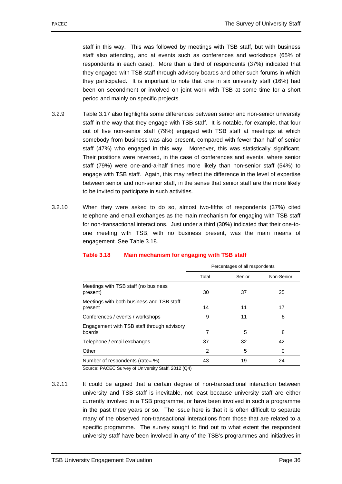staff in this way. This was followed by meetings with TSB staff, but with business staff also attending, and at events such as conferences and workshops (65% of respondents in each case). More than a third of respondents (37%) indicated that they engaged with TSB staff through advisory boards and other such forums in which they participated. It is important to note that one in six university staff (16%) had been on secondment or involved on joint work with TSB at some time for a short period and mainly on specific projects.

- 3.2.9 Table 3.17 also highlights some differences between senior and non-senior university staff in the way that they engage with TSB staff. It is notable, for example, that four out of five non-senior staff (79%) engaged with TSB staff at meetings at which somebody from business was also present, compared with fewer than half of senior staff (47%) who engaged in this way. Moreover, this was statistically significant. Their positions were reversed, in the case of conferences and events, where senior staff (79%) were one-and-a-half times more likely than non-senior staff (54%) to engage with TSB staff. Again, this may reflect the difference in the level of expertise between senior and non-senior staff, in the sense that senior staff are the more likely to be invited to participate in such activities.
- 3.2.10 When they were asked to do so, almost two-fifths of respondents (37%) cited telephone and email exchanges as the main mechanism for engaging with TSB staff for non-transactional interactions. Just under a third (30%) indicated that their one-toone meeting with TSB, with no business present, was the main means of engagement. See Table 3.18.

|                                                      | Percentages of all respondents |        |            |  |  |
|------------------------------------------------------|--------------------------------|--------|------------|--|--|
|                                                      | Total                          | Senior | Non-Senior |  |  |
| Meetings with TSB staff (no business<br>present)     | 30                             | 37     | 25         |  |  |
| Meetings with both business and TSB staff<br>present | 14                             | 11     | 17         |  |  |
| Conferences / events / workshops                     | 9                              | 11     | 8          |  |  |
| Engagement with TSB staff through advisory<br>boards | 7                              | 5      | 8          |  |  |
| Telephone / email exchanges                          | 37                             | 32     | 42         |  |  |
| Other                                                | $\overline{2}$                 | 5      | 0          |  |  |
| Number of respondents (rate= %)                      | 43                             | 19     | 24         |  |  |
| Source: PACEC Survey of University Staff, 2012 (Q4)  |                                |        |            |  |  |

### **Table 3.18 Main mechanism for engaging with TSB staff**

3.2.11 It could be argued that a certain degree of non-transactional interaction between university and TSB staff is inevitable, not least because university staff are either currently involved in a TSB programme, or have been involved in such a programme in the past three years or so. The issue here is that it is often difficult to separate many of the observed non-transactional interactions from those that are related to a specific programme. The survey sought to find out to what extent the respondent university staff have been involved in any of the TSB's programmes and initiatives in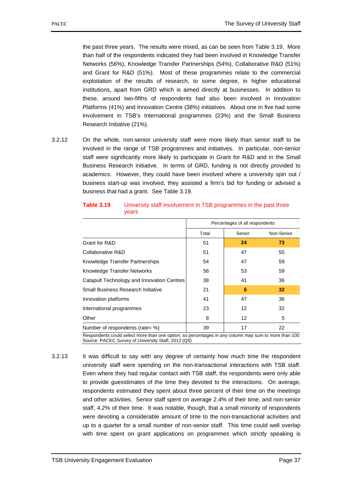the past three years. The results were mixed, as can be seen from Table 3.19. More than half of the respondents indicated they had been involved in Knowledge Transfer Networks (56%), Knowledge Transfer Partnerships (54%), Collaborative R&D (51%) and Grant for R&D (51%). Most of these programmes relate to the commercial exploitation of the results of research, to some degree, in higher educational institutions, apart from GRD which is aimed directly at businesses. In addition to these, around two-fifths of respondents had also been involved in Innovation Platforms (41%) and Innovation Centre (38%) initiatives. About one in five had some involvement in TSB's International programmes (23%) and the Small Business Research Initiative (21%).

3.2.12 On the whole, non-senior university staff were more likely than senior staff to be involved in the range of TSB programmes and initiatives. In particular, non-senior staff were significantly more likely to participate in Grant for R&D and in the Small Business Research initiative. In terms of GRD, funding is not directly provided to academics. However, they could have been involved where a university spin out / business start-up was involved, they assisted a firm's bid for funding or advised a business that had a grant. See Table 3.19.

|                                            | Percentages of all respondents |        |    |  |
|--------------------------------------------|--------------------------------|--------|----|--|
|                                            | Total                          | Senior |    |  |
| Grant for R&D                              | 51                             | 24     | 73 |  |
| Collaborative R&D                          | 51                             | 47     | 55 |  |
| Knowledge Transfer Partnerships            | 54                             | 47     | 59 |  |
| Knowledge Transfer Networks                | 56                             | 53     | 59 |  |
| Catapult Technology and Innovation Centres | 38                             | 41     | 36 |  |
| Small Business Research Initiative         | 21                             | 6      | 32 |  |
| Innovation platforms                       | 41                             | 47     | 36 |  |
| International programmes                   | 23                             | 12     | 32 |  |
| Other                                      | 8                              | 12     | 5  |  |
| Number of respondents (rate= %)            | 39                             | 17     | 22 |  |

**Table 3.19** University staff involvement in TSB programmes in the past three years

Respondents could select more than one option; so percentages in any column may sum to more than 100 Source: PACEC Survey of University Staff, 2012 (Q5)

3.2.13 It was difficult to say with any degree of certainty how much time the respondent university staff were spending on the non-transactional interactions with TSB staff. Even where they had regular contact with TSB staff, the respondents were only able to provide guesstimates of the time they devoted to the interactions. On average, respondents estimated they spent about three percent of their time on the meetings and other activities. Senior staff spent on average 2.4% of their time, and non-senior staff, 4.2% of their time. It was notable, though, that a small minority of respondents were devoting a considerable amount of time to the non-transactional activities and up to a quarter for a small number of non-senior staff. This time could well overlap with time spent on grant applications on programmes which strictly speaking is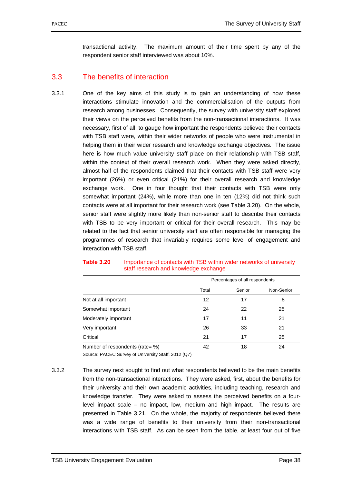transactional activity. The maximum amount of their time spent by any of the respondent senior staff interviewed was about 10%.

# 3.3 The benefits of interaction

3.3.1 One of the key aims of this study is to gain an understanding of how these interactions stimulate innovation and the commercialisation of the outputs from research among businesses. Consequently, the survey with university staff explored their views on the perceived benefits from the non-transactional interactions. It was necessary, first of all, to gauge how important the respondents believed their contacts with TSB staff were, within their wider networks of people who were instrumental in helping them in their wider research and knowledge exchange objectives. The issue here is how much value university staff place on their relationship with TSB staff, within the context of their overall research work. When they were asked directly, almost half of the respondents claimed that their contacts with TSB staff were very important (26%) or even critical (21%) for their overall research and knowledge exchange work. One in four thought that their contacts with TSB were only somewhat important (24%), while more than one in ten (12%) did not think such contacts were at all important for their research work (see Table 3.20). On the whole, senior staff were slightly more likely than non-senior staff to describe their contacts with TSB to be very important or critical for their overall research. This may be related to the fact that senior university staff are often responsible for managing the programmes of research that invariably requires some level of engagement and interaction with TSB staff.

|                                                     |       | Percentages of all respondents |            |  |  |  |
|-----------------------------------------------------|-------|--------------------------------|------------|--|--|--|
|                                                     | Total | Senior                         | Non-Senior |  |  |  |
| Not at all important                                | 12    | 17                             | 8          |  |  |  |
| Somewhat important                                  | 24    | 22                             | 25         |  |  |  |
| Moderately important                                | 17    | 11                             | 21         |  |  |  |
| Very important                                      | 26    | 33                             | 21         |  |  |  |
| Critical                                            | 21    | 17                             | 25         |  |  |  |
| Number of respondents (rate= %)                     | 42    | 18                             | 24         |  |  |  |
| Source: PACEC Survey of University Staff, 2012 (Q7) |       |                                |            |  |  |  |

#### **Table 3.20** Importance of contacts with TSB within wider networks of university staff research and knowledge exchange

3.3.2 The survey next sought to find out what respondents believed to be the main benefits from the non-transactional interactions. They were asked, first, about the benefits for their university and their own academic activities, including teaching, research and knowledge transfer. They were asked to assess the perceived benefits on a fourlevel impact scale – no impact, low, medium and high impact. The results are presented in Table 3.21. On the whole, the majority of respondents believed there was a wide range of benefits to their university from their non-transactional interactions with TSB staff. As can be seen from the table, at least four out of five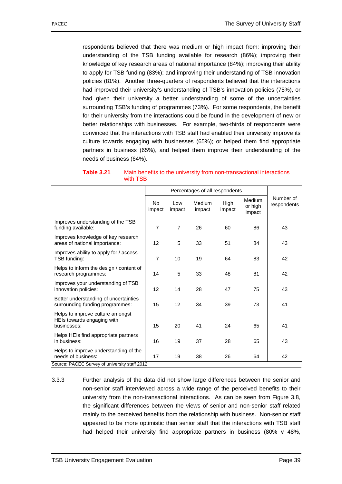respondents believed that there was medium or high impact from: improving their understanding of the TSB funding available for research (86%); improving their knowledge of key research areas of national importance (84%); improving their ability to apply for TSB funding (83%); and improving their understanding of TSB innovation policies (81%). Another three-quarters of respondents believed that the interactions had improved their university's understanding of TSB's innovation policies (75%), or had given their university a better understanding of some of the uncertainties surrounding TSB's funding of programmes (73%). For some respondents, the benefit for their university from the interactions could be found in the development of new or better relationships with businesses. For example, two-thirds of respondents were convinced that the interactions with TSB staff had enabled their university improve its culture towards engaging with businesses (65%); or helped them find appropriate partners in business (65%), and helped them improve their understanding of the needs of business (64%).

| Table 3.21 | Main benefits to the university from non-transactional interactions |
|------------|---------------------------------------------------------------------|
|            | with TSB                                                            |

|                                                                                                              | Percentages of all respondents |                |                  |                |                             |                          |
|--------------------------------------------------------------------------------------------------------------|--------------------------------|----------------|------------------|----------------|-----------------------------|--------------------------|
|                                                                                                              | <b>No</b><br>impact            | Low<br>impact  | Medium<br>impact | High<br>impact | Medium<br>or high<br>impact | Number of<br>respondents |
| Improves understanding of the TSB<br>funding available:                                                      | $\overline{7}$                 | $\overline{7}$ | 26               | 60             | 86                          | 43                       |
| Improves knowledge of key research<br>areas of national importance:                                          | 12                             | 5              | 33               | 51             | 84                          | 43                       |
| Improves ability to apply for / access<br>TSB funding:                                                       | $\overline{7}$                 | 10             | 19               | 64             | 83                          | 42                       |
| Helps to inform the design / content of<br>research programmes:                                              | 14                             | 5              | 33               | 48             | 81                          | 42                       |
| Improves your understanding of TSB<br>innovation policies:                                                   | 12                             | 14             | 28               | 47             | 75                          | 43                       |
| Better understanding of uncertainties<br>surrounding funding programmes:                                     | 15                             | 12             | 34               | 39             | 73                          | 41                       |
| Helps to improve culture amongst<br>HEIs towards engaging with<br>businesses:                                | 15                             | 20             | 41               | 24             | 65                          | 41                       |
| Helps HEIs find appropriate partners<br>in business:                                                         | 16                             | 19             | 37               | 28             | 65                          | 43                       |
| Helps to improve understanding of the<br>needs of business:<br>Source: PACEC Survey of university staff 2012 | 17                             | 19             | 38               | 26             | 64                          | 42                       |

<sup>3.3.3</sup> Further analysis of the data did not show large differences between the senior and non-senior staff interviewed across a wide range of the perceived benefits to their university from the non-transactional interactions. As can be seen from Figure 3.8, the significant differences between the views of senior and non-senior staff related mainly to the perceived benefits from the relationship with business. Non-senior staff appeared to be more optimistic than senior staff that the interactions with TSB staff had helped their university find appropriate partners in business (80% v 48%,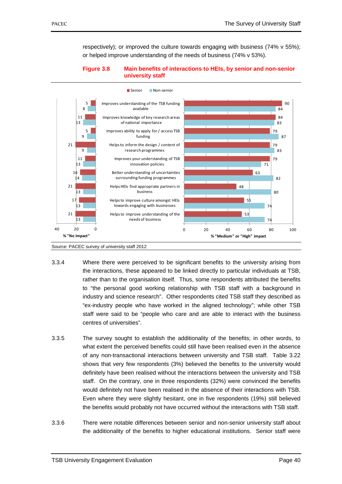respectively); or improved the culture towards engaging with business (74% v 55%); or helped improve understanding of the needs of business (74% v 53%).

### **Figure 3.8 Main benefits of interactions to HEIs, by senior and non-senior university staff**



Source: PACEC survey of university staff 2012

- 3.3.4 Where there were perceived to be significant benefits to the university arising from the interactions, these appeared to be linked directly to particular individuals at TSB, rather than to the organisation itself. Thus, some respondents attributed the benefits to "the personal good working relationship with TSB staff with a background in industry and science research". Other respondents cited TSB staff they described as "ex-industry people who have worked in the aligned technology"; while other TSB staff were said to be "people who care and are able to interact with the business centres of universities".
- 3.3.5 The survey sought to establish the additionality of the benefits; in other words, to what extent the perceived benefits could still have been realised even in the absence of any non-transactional interactions between university and TSB staff. Table 3.22 shows that very few respondents (3%) believed the benefits to the university would definitely have been realised without the interactions between the university and TSB staff. On the contrary, one in three respondents (32%) were convinced the benefits would definitely not have been realised in the absence of their interactions with TSB. Even where they were slightly hesitant, one in five respondents (19%) still believed the benefits would probably not have occurred without the interactions with TSB staff.
- 3.3.6 There were notable differences between senior and non-senior university staff about the additionality of the benefits to higher educational institutions. Senior staff were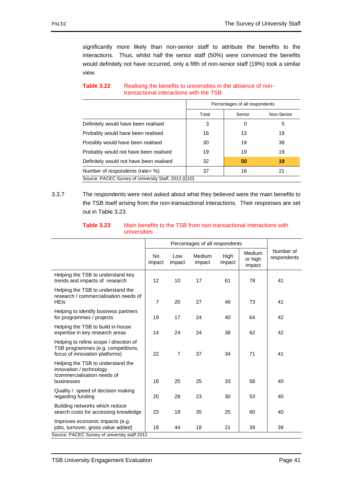significantly more likely than non-senior staff to attribute the benefits to the interactions. Thus, whilst half the senior staff (50%) were convinced the benefits would definitely not have occurred, only a fifth of non-senior staff (19%) took a similar view.

|                                                      |                               | Percentages of all respondents |    |  |  |
|------------------------------------------------------|-------------------------------|--------------------------------|----|--|--|
|                                                      | Total<br>Senior<br>Non-Senior |                                |    |  |  |
| Definitely would have been realised                  | 3                             | 0                              | 5  |  |  |
| Probably would have been realised                    | 16                            | 13                             | 19 |  |  |
| Possibly would have been realised                    | 30                            | 19                             | 38 |  |  |
| Probably would not have been realised                | 19                            | 19                             | 19 |  |  |
| Definitely would not have been realised              | 32                            | 50                             | 19 |  |  |
| Number of respondents (rate= %)                      | 37                            | 16                             | 21 |  |  |
| Source: PACEC Survey of University Staff, 2012 (Q10) |                               |                                |    |  |  |

### **Table 3.22** Realising the benefits to universities in the absence of nontransactional interactions with the TSB

3.3.7 The respondents were next asked about what they believed were the main benefits to the TSB itself arising from the non-transactional interactions. Their responses are set out in Table 3.23.

|                                                                                                                |                   |               | Percentages of all respondents |                |                             |                          |
|----------------------------------------------------------------------------------------------------------------|-------------------|---------------|--------------------------------|----------------|-----------------------------|--------------------------|
|                                                                                                                | No.<br>impact     | Low<br>impact | Medium<br>impact               | High<br>impact | Medium<br>or high<br>impact | Number of<br>respondents |
| Helping the TSB to understand key<br>trends and impacts of research                                            | $12 \overline{ }$ | 10            | 17                             | 61             | 78                          | 41                       |
| Helping the TSB to understand the<br>research / commercialisation needs of<br><b>HEIs</b>                      | $\overline{7}$    | 20            | 27                             | 46             | 73                          | 41                       |
| Helping to identify business partners<br>for programmes / projects                                             | 19                | 17            | 24                             | 40             | 64                          | 42                       |
| Helping the TSB to build in-house<br>expertise in key research areas                                           | 14                | 24            | 24                             | 38             | 62                          | 42                       |
| Helping to refine scope / direction of<br>TSB programmes (e.g. competitions,<br>focus of innovation platforms) | 22                | 7             | 37                             | 34             | 71                          | 41                       |
| Helping the TSB to understand the<br>innovation / technology<br>/commercialisation needs of<br>businesses      | 18                | 25            | 25                             | 33             | 58                          | 40                       |
| Quality / speed of decision making<br>regarding funding                                                        | 20                | 28            | 23                             | 30             | 53                          | 40                       |
| Building networks which reduce<br>search costs for accessing knowledge                                         | 23                | 18            | 35                             | 25             | 60                          | 40                       |
| Improves economic impacts (e.g.<br>jobs, turnover, gross value added)                                          | 18                | 44            | 18                             | 21             | 39                          | 39                       |
| Source: PACEC Survey of university staff 2012                                                                  |                   |               |                                |                |                             |                          |

#### **Table 3.23** Main benefits to the TSB from non-transactional interactions with universities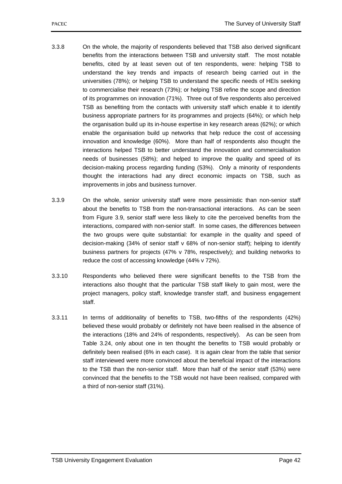- 3.3.8 On the whole, the majority of respondents believed that TSB also derived significant benefits from the interactions between TSB and university staff. The most notable benefits, cited by at least seven out of ten respondents, were: helping TSB to understand the key trends and impacts of research being carried out in the universities (78%); or helping TSB to understand the specific needs of HEIs seeking to commercialise their research (73%); or helping TSB refine the scope and direction of its programmes on innovation (71%). Three out of five respondents also perceived TSB as benefiting from the contacts with university staff which enable it to identify business appropriate partners for its programmes and projects (64%); or which help the organisation build up its in-house expertise in key research areas (62%); or which enable the organisation build up networks that help reduce the cost of accessing innovation and knowledge (60%). More than half of respondents also thought the interactions helped TSB to better understand the innovation and commercialisation needs of businesses (58%); and helped to improve the quality and speed of its decision-making process regarding funding (53%). Only a minority of respondents thought the interactions had any direct economic impacts on TSB, such as improvements in jobs and business turnover.
- 3.3.9 On the whole, senior university staff were more pessimistic than non-senior staff about the benefits to TSB from the non-transactional interactions. As can be seen from Figure 3.9, senior staff were less likely to cite the perceived benefits from the interactions, compared with non-senior staff. In some cases, the differences between the two groups were quite substantial: for example in the quality and speed of decision-making (34% of senior staff v 68% of non-senior staff); helping to identify business partners for projects (47% v 78%, respectively); and building networks to reduce the cost of accessing knowledge (44% v 72%).
- 3.3.10 Respondents who believed there were significant benefits to the TSB from the interactions also thought that the particular TSB staff likely to gain most, were the project managers, policy staff, knowledge transfer staff, and business engagement staff.
- 3.3.11 In terms of additionality of benefits to TSB, two-fifths of the respondents (42%) believed these would probably or definitely not have been realised in the absence of the interactions (18% and 24% of respondents, respectively). As can be seen from Table 3.24, only about one in ten thought the benefits to TSB would probably or definitely been realised (6% in each case). It is again clear from the table that senior staff interviewed were more convinced about the beneficial impact of the interactions to the TSB than the non-senior staff. More than half of the senior staff (53%) were convinced that the benefits to the TSB would not have been realised, compared with a third of non-senior staff (31%).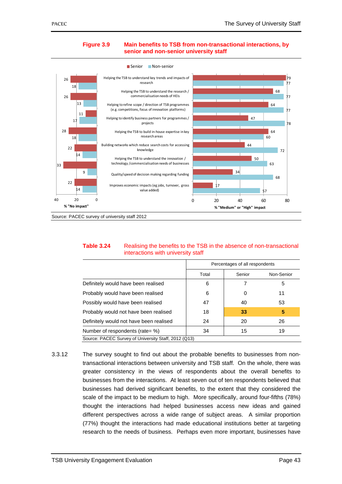

#### **Figure 3.9 Main benefits to TSB from non-transactional interactions, by senior and non-senior university staff**

Source: PACEC survey of university staff 2012

| Table 3.24 | Realising the benefits to the TSB in the absence of non-transactional |
|------------|-----------------------------------------------------------------------|
|            | interactions with university staff                                    |

|                                                      |       | Percentages of all respondents |            |  |  |
|------------------------------------------------------|-------|--------------------------------|------------|--|--|
|                                                      | Total | Senior                         | Non-Senior |  |  |
| Definitely would have been realised                  | 6     |                                | 5          |  |  |
| Probably would have been realised                    | 6     |                                | 11         |  |  |
| Possibly would have been realised                    | 47    | 40                             | 53         |  |  |
| Probably would not have been realised                | 18    | 33                             | 5          |  |  |
| Definitely would not have been realised              | 24    | 20                             | 26         |  |  |
| Number of respondents (rate= %)                      | 34    | 15                             | 19         |  |  |
| Source: PACEC Survey of University Staff, 2012 (Q13) |       |                                |            |  |  |

3.3.12 The survey sought to find out about the probable benefits to businesses from nontransactional interactions between university and TSB staff. On the whole, there was greater consistency in the views of respondents about the overall benefits to businesses from the interactions. At least seven out of ten respondents believed that businesses had derived significant benefits, to the extent that they considered the scale of the impact to be medium to high. More specifically, around four-fifths (78%) thought the interactions had helped businesses access new ideas and gained different perspectives across a wide range of subject areas. A similar proportion (77%) thought the interactions had made educational institutions better at targeting research to the needs of business. Perhaps even more important, businesses have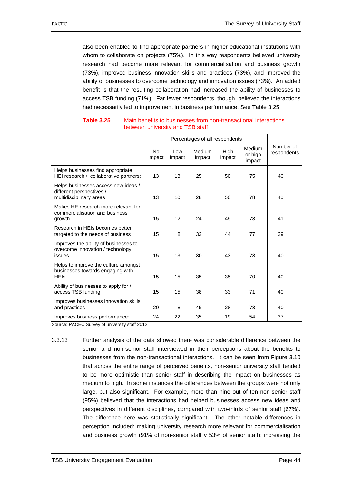also been enabled to find appropriate partners in higher educational institutions with whom to collaborate on projects (75%). In this way respondents believed university research had become more relevant for commercialisation and business growth (73%), improved business innovation skills and practices (73%), and improved the ability of businesses to overcome technology and innovation issues (73%). An added benefit is that the resulting collaboration had increased the ability of businesses to access TSB funding (71%). Far fewer respondents, though, believed the interactions had necessarily led to improvement in business performance. See Table 3.25.

|                                                                                            | Percentages of all respondents |               |                  |                |                             |                          |
|--------------------------------------------------------------------------------------------|--------------------------------|---------------|------------------|----------------|-----------------------------|--------------------------|
|                                                                                            | No.<br>impact                  | Low<br>impact | Medium<br>impact | High<br>impact | Medium<br>or high<br>impact | Number of<br>respondents |
| Helps businesses find appropriate<br>HEI research / collaborative partners:                | 13                             | 13            | 25               | 50             | 75                          | 40                       |
| Helps businesses access new ideas /<br>different perspectives /<br>multidisciplinary areas | 13                             | 10            | 28               | 50             | 78                          | 40                       |
| Makes HE research more relevant for<br>commercialisation and business<br>growth            | 15                             | 12            | 24               | 49             | 73                          | 41                       |
| Research in HEIs becomes better<br>targeted to the needs of business                       | 15                             | 8             | 33               | 44             | 77                          | 39                       |
| Improves the ability of businesses to<br>overcome innovation / technology<br>issues        | 15                             | 13            | 30               | 43             | 73                          | 40                       |
| Helps to improve the culture amongst<br>businesses towards engaging with<br><b>HEIs</b>    | 15                             | 15            | 35               | 35             | 70                          | 40                       |
| Ability of businesses to apply for /<br>access TSB funding                                 | 15                             | 15            | 38               | 33             | 71                          | 40                       |
| Improves businesses innovation skills<br>and practices                                     | 20                             | 8             | 45               | 28             | 73                          | 40                       |
| Improves business performance:                                                             | 24                             | 22            | 35               | 19             | 54                          | 37                       |
| Source: PACEC Survey of university staff 2012                                              |                                |               |                  |                |                             |                          |

#### **Table 3.25** Main benefits to businesses from non-transactional interactions between university and TSB staff

3.3.13 Further analysis of the data showed there was considerable difference between the senior and non-senior staff interviewed in their perceptions about the benefits to businesses from the non-transactional interactions. It can be seen from Figure 3.10 that across the entire range of perceived benefits, non-senior university staff tended to be more optimistic than senior staff in describing the impact on businesses as medium to high. In some instances the differences between the groups were not only large, but also significant. For example, more than nine out of ten non-senior staff (95%) believed that the interactions had helped businesses access new ideas and perspectives in different disciplines, compared with two-thirds of senior staff (67%). The difference here was statistically significant. The other notable differences in perception included: making university research more relevant for commercialisation and business growth (91% of non-senior staff  $v$  53% of senior staff); increasing the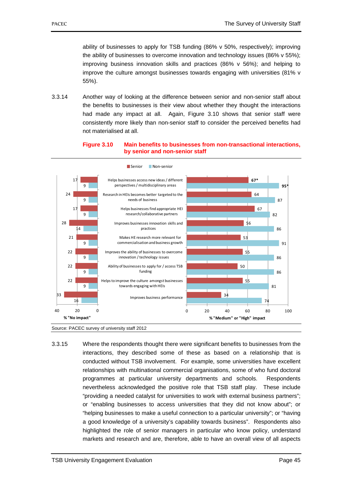ability of businesses to apply for TSB funding (86% v 50%, respectively); improving the ability of businesses to overcome innovation and technology issues (86% v 55%); improving business innovation skills and practices (86% v 56%); and helping to improve the culture amongst businesses towards engaging with universities (81% v 55%).

3.3.14 Another way of looking at the difference between senior and non-senior staff about the benefits to businesses is their view about whether they thought the interactions had made any impact at all. Again, Figure 3.10 shows that senior staff were consistently more likely than non-senior staff to consider the perceived benefits had not materialised at all.

#### **Figure 3.10 Main benefits to businesses from non-transactional interactions, by senior and non-senior staff**



Source: PACEC survey of university staff 2012

3.3.15 Where the respondents thought there were significant benefits to businesses from the interactions, they described some of these as based on a relationship that is conducted without TSB involvement. For example, some universities have excellent relationships with multinational commercial organisations, some of who fund doctoral programmes at particular university departments and schools. Respondents nevertheless acknowledged the positive role that TSB staff play. These include "providing a needed catalyst for universities to work with external business partners"; or "enabling businesses to access universities that they did not know about"; or "helping businesses to make a useful connection to a particular university"; or "having a good knowledge of a university's capability towards business". Respondents also highlighted the role of senior managers in particular who know policy, understand markets and research and are, therefore, able to have an overall view of all aspects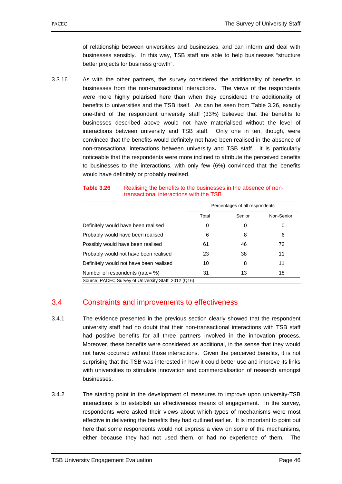of relationship between universities and businesses, and can inform and deal with businesses sensibly. In this way, TSB staff are able to help businesses "structure better projects for business growth".

3.3.16 As with the other partners, the survey considered the additionality of benefits to businesses from the non-transactional interactions. The views of the respondents were more highly polarised here than when they considered the additionality of benefits to universities and the TSB itself. As can be seen from Table 3.26, exactly one-third of the respondent university staff (33%) believed that the benefits to businesses described above would not have materialised without the level of interactions between university and TSB staff. Only one in ten, though, were convinced that the benefits would definitely not have been realised in the absence of non-transactional interactions between university and TSB staff. It is particularly noticeable that the respondents were more inclined to attribute the perceived benefits to businesses to the interactions, with only few (6%) convinced that the benefits would have definitely or probably realised.

### **Table 3.26** •• Realising the benefits to the businesses in the absence of nontransactional interactions with the TSB

|                                                      |       | Percentages of all respondents |            |  |  |  |
|------------------------------------------------------|-------|--------------------------------|------------|--|--|--|
|                                                      | Total | Senior                         | Non-Senior |  |  |  |
| Definitely would have been realised                  | 0     | 0                              |            |  |  |  |
| Probably would have been realised                    | 6     | 8                              | 6          |  |  |  |
| Possibly would have been realised                    | 61    | 46                             | 72         |  |  |  |
| Probably would not have been realised                | 23    | 38                             | 11         |  |  |  |
| Definitely would not have been realised              | 10    | 8                              | 11         |  |  |  |
| Number of respondents (rate= %)                      | 31    | 13                             | 18         |  |  |  |
| Source: PACEC Survey of University Staff, 2012 (Q16) |       |                                |            |  |  |  |

# 3.4 Constraints and improvements to effectiveness

- 3.4.1 The evidence presented in the previous section clearly showed that the respondent university staff had no doubt that their non-transactional interactions with TSB staff had positive benefits for all three partners involved in the innovation process. Moreover, these benefits were considered as additional, in the sense that they would not have occurred without those interactions. Given the perceived benefits, it is not surprising that the TSB was interested in how it could better use and improve its links with universities to stimulate innovation and commercialisation of research amongst businesses.
- 3.4.2 The starting point in the development of measures to improve upon university-TSB interactions is to establish an effectiveness means of engagement. In the survey, respondents were asked their views about which types of mechanisms were most effective in delivering the benefits they had outlined earlier. It is important to point out here that some respondents would not express a view on some of the mechanisms, either because they had not used them, or had no experience of them. The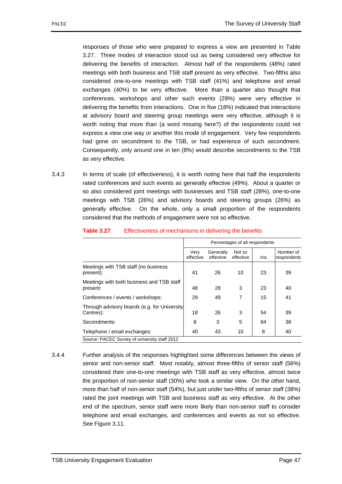responses of those who were prepared to express a view are presented in Table 3.27. Three modes of interaction stood out as being considered very effective for delivering the benefits of interaction. Almost half of the respondents (48%) rated meetings with both business and TSB staff present as very effective. Two-fifths also considered one-to-one meetings with TSB staff (41%) and telephone and email exchanges (40%) to be very effective. More than a quarter also thought that conferences, workshops and other such events (29%) were very effective in delivering the benefits from interactions. One in five (18%) indicated that interactions at advisory board and steering group meetings were very effective, although it is worth noting that more than (a word missing here?) of the respondents could not express a view one way or another this mode of engagement. Very few respondents had gone on secondment to the TSB, or had experience of such secondment. Consequently, only around one in ten (8%) would describe secondments to the TSB as very effective.

3.4.3 In terms of scale (of effectiveness), it is worth noting here that half the respondents rated conferences and such events as generally effective (49%). About a quarter or so also considered joint meetings with businesses and TSB staff (28%), one-to-one meetings with TSB (26%) and advisory boards and steering groups (26%) as generally effective. On the whole, only a small proportion of the respondents considered that the methods of engagement were not so effective.

|                                                           | Percentages of all respondents |                        |                     |     |                          |
|-----------------------------------------------------------|--------------------------------|------------------------|---------------------|-----|--------------------------|
|                                                           | Very<br>effective              | Generally<br>effective | Not so<br>effective | n/a | Number of<br>respondents |
| Meetings with TSB staff (no business<br>present):         | 41                             | 26                     | 10                  | 23  | 39                       |
| Meetings with both business and TSB staff<br>present:     | 48                             | 28                     | 3                   | 23  | 40                       |
| Conferences / events / workshops:                         | 29                             | 49                     | 7                   | 15  | 41                       |
| Through advisory boards (e.g. for University<br>Centres): | 18                             | 26                     | 3                   | 54  | 39                       |
| Secondments:                                              | 8                              | 3                      | 5                   | 84  | 38                       |
| Telephone / email exchanges:                              | 40                             | 43                     | 10                  | 8   | 40                       |
| Source: PACEC Survey of university staff 2012             |                                |                        |                     |     |                          |

#### **Table 3.27** Effectiveness of mechanisms in delivering the benefits

3.4.4 Further analysis of the responses highlighted some differences between the views of senior and non-senior staff. Most notably, almost three-fifths of senior staff (56%) considered their one-to-one meetings with TSB staff as very effective, almost twice the proportion of non-senior staff (30%) who took a similar view. On the other hand, more than half of non-senior staff (54%), but just under two-fifths of senior staff (38%) rated the joint meetings with TSB and business staff as very effective. At the other end of the spectrum, senior staff were more likely than non-senior staff to consider telephone and email exchanges, and conferences and events as not so effective. See Figure 3.11.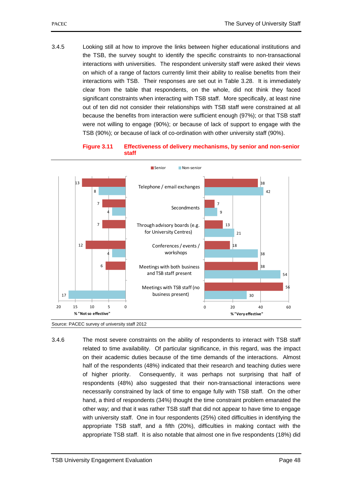3.4.5 Looking still at how to improve the links between higher educational institutions and the TSB, the survey sought to identify the specific constraints to non-transactional interactions with universities. The respondent university staff were asked their views on which of a range of factors currently limit their ability to realise benefits from their interactions with TSB. Their responses are set out in Table 3.28. It is immediately clear from the table that respondents, on the whole, did not think they faced significant constraints when interacting with TSB staff. More specifically, at least nine out of ten did not consider their relationships with TSB staff were constrained at all because the benefits from interaction were sufficient enough (97%); or that TSB staff were not willing to engage (90%); or because of lack of support to engage with the TSB (90%); or because of lack of co-ordination with other university staff (90%).

**Figure 3.11 Effectiveness of delivery mechanisms, by senior and non-senior staff** 





3.4.6 The most severe constraints on the ability of respondents to interact with TSB staff related to time availability. Of particular significance, in this regard, was the impact on their academic duties because of the time demands of the interactions. Almost half of the respondents (48%) indicated that their research and teaching duties were of higher priority. Consequently, it was perhaps not surprising that half of respondents (48%) also suggested that their non-transactional interactions were necessarily constrained by lack of time to engage fully with TSB staff. On the other hand, a third of respondents (34%) thought the time constraint problem emanated the other way; and that it was rather TSB staff that did not appear to have time to engage with university staff. One in four respondents (25%) cited difficulties in identifying the appropriate TSB staff, and a fifth (20%), difficulties in making contact with the appropriate TSB staff. It is also notable that almost one in five respondents (18%) did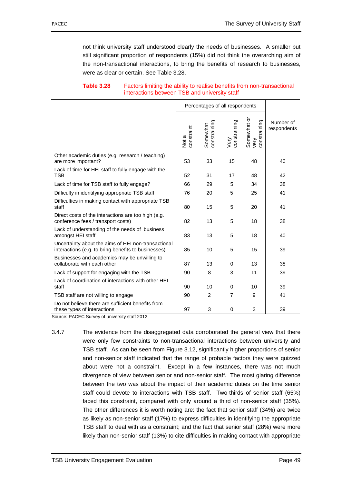not think university staff understood clearly the needs of businesses. A smaller but still significant proportion of respondents (15%) did not think the overarching aim of the non-transactional interactions, to bring the benefits of research to businesses, were as clear or certain. See Table 3.28.

|                                                                                                            | Percentages of all respondents |                          |                      |                                     |                          |  |  |
|------------------------------------------------------------------------------------------------------------|--------------------------------|--------------------------|----------------------|-------------------------------------|--------------------------|--|--|
|                                                                                                            | Not a<br>constraint            | Somewhat<br>constraining | constraining<br>Very | Somewhat or<br>constraining<br>very | Number of<br>respondents |  |  |
| Other academic duties (e.g. research / teaching)<br>are more important?                                    | 53                             | 33                       | 15                   | 48                                  | 40                       |  |  |
| Lack of time for HEI staff to fully engage with the<br><b>TSB</b>                                          | 52                             | 31                       | 17                   | 48                                  | 42                       |  |  |
| Lack of time for TSB staff to fully engage?                                                                | 66                             | 29                       | 5                    | 34                                  | 38                       |  |  |
| Difficulty in identifying appropriate TSB staff                                                            | 76                             | 20                       | 5                    | 25                                  | 41                       |  |  |
| Difficulties in making contact with appropriate TSB<br>staff                                               | 80                             | 15                       | 5                    | 20                                  | 41                       |  |  |
| Direct costs of the interactions are too high (e.g.<br>conference fees / transport costs)                  | 82                             | 13                       | 5                    | 18                                  | 38                       |  |  |
| Lack of understanding of the needs of business<br>amongst HEI staff                                        | 83                             | 13                       | 5                    | 18                                  | 40                       |  |  |
| Uncertainty about the aims of HEI non-transactional<br>interactions (e.g. to bring benefits to businesses) | 85                             | 10                       | 5                    | 15                                  | 39                       |  |  |
| Businesses and academics may be unwilling to<br>collaborate with each other                                | 87                             | 13                       | 0                    | 13                                  | 38                       |  |  |
| Lack of support for engaging with the TSB                                                                  | 90                             | 8                        | 3                    | 11                                  | 39                       |  |  |
| Lack of coordination of interactions with other HEI<br>staff                                               | 90                             | 10                       | $\Omega$             | 10                                  | 39                       |  |  |
| TSB staff are not willing to engage                                                                        | 90                             | $\overline{2}$           | 7                    | 9                                   | 41                       |  |  |
| Do not believe there are sufficient benefits from<br>these types of interactions                           | 97                             | 3                        | $\Omega$             | 3                                   | 39                       |  |  |
| Source: PACEC Survey of university staff 2012                                                              |                                |                          |                      |                                     |                          |  |  |

## **Table 3.28** Factors limiting the ability to realise benefits from non-transactional interactions between TSB and university staff

3.4.7 The evidence from the disaggregated data corroborated the general view that there were only few constraints to non-transactional interactions between university and TSB staff. As can be seen from Figure 3.12, significantly higher proportions of senior and non-senior staff indicated that the range of probable factors they were quizzed about were not a constraint. Except in a few instances, there was not much divergence of view between senior and non-senior staff. The most glaring difference between the two was about the impact of their academic duties on the time senior staff could devote to interactions with TSB staff. Two-thirds of senior staff (65%) faced this constraint, compared with only around a third of non-senior staff (35%). The other differences it is worth noting are: the fact that senior staff (34%) are twice as likely as non-senior staff (17%) to express difficulties in identifying the appropriate TSB staff to deal with as a constraint; and the fact that senior staff (28%) were more likely than non-senior staff (13%) to cite difficulties in making contact with appropriate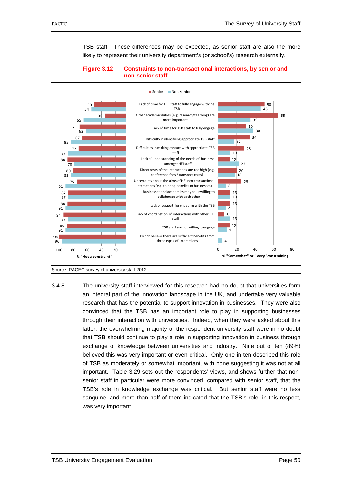TSB staff. These differences may be expected, as senior staff are also the more likely to represent their university department's (or school's) research externally.

## **Figure 3.12 Constraints to non-transactional interactions, by senior and non-senior staff**





3.4.8 The university staff interviewed for this research had no doubt that universities form an integral part of the innovation landscape in the UK, and undertake very valuable research that has the potential to support innovation in businesses. They were also convinced that the TSB has an important role to play in supporting businesses through their interaction with universities. Indeed, when they were asked about this latter, the overwhelming majority of the respondent university staff were in no doubt that TSB should continue to play a role in supporting innovation in business through exchange of knowledge between universities and industry. Nine out of ten (89%) believed this was very important or even critical. Only one in ten described this role of TSB as moderately or somewhat important, with none suggesting it was not at all important. Table 3.29 sets out the respondents' views, and shows further that nonsenior staff in particular were more convinced, compared with senior staff, that the TSB's role in knowledge exchange was critical. But senior staff were no less sanguine, and more than half of them indicated that the TSB's role, in this respect, was very important.

Source: PACEC survey of university staff 2012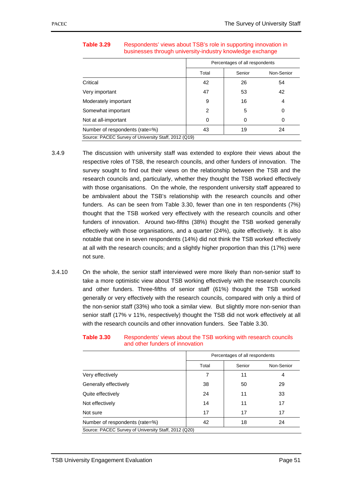|                                                      |       | Percentages of all respondents |            |  |  |
|------------------------------------------------------|-------|--------------------------------|------------|--|--|
|                                                      | Total | Senior                         | Non-Senior |  |  |
| Critical                                             | 42    | 26                             | 54         |  |  |
| Very important                                       | 47    | 53                             | 42         |  |  |
| Moderately important                                 | 9     | 16                             | 4          |  |  |
| Somewhat important                                   | 2     | 5                              | 0          |  |  |
| Not at all-important                                 | 0     | 0                              | 0          |  |  |
| Number of respondents (rate=%)                       | 43    | 19                             | 24         |  |  |
| Source: PACEC Survey of University Staff, 2012 (Q19) |       |                                |            |  |  |

# **Table 3.29** •• Respondents' views about TSB's role in supporting innovation in businesses through university-industry knowledge exchange

- 3.4.9 The discussion with university staff was extended to explore their views about the respective roles of TSB, the research councils, and other funders of innovation. The survey sought to find out their views on the relationship between the TSB and the research councils and, particularly, whether they thought the TSB worked effectively with those organisations. On the whole, the respondent university staff appeared to be ambivalent about the TSB's relationship with the research councils and other funders. As can be seen from Table 3.30, fewer than one in ten respondents (7%) thought that the TSB worked very effectively with the research councils and other funders of innovation. Around two-fifths (38%) thought the TSB worked generally effectively with those organisations, and a quarter (24%), quite effectively. It is also notable that one in seven respondents (14%) did not think the TSB worked effectively at all with the research councils; and a slightly higher proportion than this (17%) were not sure.
- 3.4.10 On the whole, the senior staff interviewed were more likely than non-senior staff to take a more optimistic view about TSB working effectively with the research councils and other funders. Three-fifths of senior staff (61%) thought the TSB worked generally or very effectively with the research councils, compared with only a third of the non-senior staff (33%) who took a similar view. But slightly more non-senior than senior staff (17% v 11%, respectively) thought the TSB did not work effectively at all with the research councils and other innovation funders. See Table 3.30.

|                                                      |       | Percentages of all respondents |            |  |  |
|------------------------------------------------------|-------|--------------------------------|------------|--|--|
|                                                      | Total | Senior                         | Non-Senior |  |  |
| Very effectively                                     | 7     | 11                             | 4          |  |  |
| Generally effectively                                | 38    | 50                             | 29         |  |  |
| Quite effectively                                    | 24    | 11                             | 33         |  |  |
| Not effectively                                      | 14    | 11                             | 17         |  |  |
| Not sure                                             | 17    | 17                             | 17         |  |  |
| Number of respondents (rate=%)                       | 42    | 18                             | 24         |  |  |
| Source: PACEC Survey of University Staff, 2012 (Q20) |       |                                |            |  |  |

#### **Table 3.30** Respondents' views about the TSB working with research councils and other funders of innovation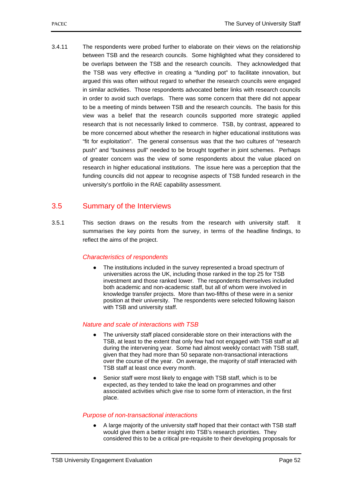3.4.11 The respondents were probed further to elaborate on their views on the relationship between TSB and the research councils. Some highlighted what they considered to be overlaps between the TSB and the research councils. They acknowledged that the TSB was very effective in creating a "funding pot" to facilitate innovation, but argued this was often without regard to whether the research councils were engaged in similar activities. Those respondents advocated better links with research councils in order to avoid such overlaps. There was some concern that there did not appear to be a meeting of minds between TSB and the research councils. The basis for this view was a belief that the research councils supported more strategic applied research that is not necessarily linked to commerce. TSB, by contrast, appeared to be more concerned about whether the research in higher educational institutions was "fit for exploitation". The general consensus was that the two cultures of "research push" and "business pull" needed to be brought together in joint schemes. Perhaps of greater concern was the view of some respondents about the value placed on research in higher educational institutions. The issue here was a perception that the funding councils did not appear to recognise aspects of TSB funded research in the university's portfolio in the RAE capability assessment.

# 3.5 Summary of the Interviews

3.5.1 This section draws on the results from the research with university staff. It summarises the key points from the survey, in terms of the headline findings, to reflect the aims of the project.

# *Characteristics of respondents*

● The institutions included in the survey represented a broad spectrum of universities across the UK, including those ranked in the top 25 for TSB investment and those ranked lower. The respondents themselves included both academic and non-academic staff, but all of whom were involved in knowledge transfer projects. More than two-fifths of these were in a senior position at their university. The respondents were selected following liaison with TSB and university staff.

# *Nature and scale of interactions with TSB*

- The university staff placed considerable store on their interactions with the TSB, at least to the extent that only few had not engaged with TSB staff at all during the intervening year. Some had almost weekly contact with TSB staff, given that they had more than 50 separate non-transactional interactions over the course of the year. On average, the majority of staff interacted with TSB staff at least once every month.
- Senior staff were most likely to engage with TSB staff, which is to be expected, as they tended to take the lead on programmes and other associated activities which give rise to some form of interaction, in the first place.

# *Purpose of non-transactional interactions*

A large majority of the university staff hoped that their contact with TSB staff would give them a better insight into TSB's research priorities. They considered this to be a critical pre-requisite to their developing proposals for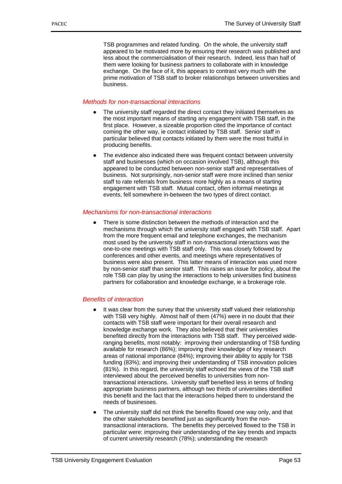TSB programmes and related funding. On the whole, the university staff appeared to be motivated more by ensuring their research was published and less about the commercialisation of their research. Indeed, less than half of them were looking for business partners to collaborate with in knowledge exchange. On the face of it, this appears to contrast very much with the prime motivation of TSB staff to broker relationships between universities and business.

## *Methods for non-transactional interactions*

- The university staff regarded the direct contact they initiated themselves as the most important means of starting any engagement with TSB staff, in the first place. However, a sizeable proportion cited the importance of contact coming the other way, ie contact initiated by TSB staff. Senior staff in particular believed that contacts initiated by them were the most fruitful in producing benefits.
- The evidence also indicated there was frequent contact between university staff and businesses (which on occasion involved TSB), although this appeared to be conducted between non-senior staff and representatives of business. Not surprisingly, non-senior staff were more inclined than senior staff to rate referrals from business more highly as a means of starting engagement with TSB staff. Mutual contact, often informal meetings at events, fell somewhere in-between the two types of direct contact.

### *Mechanisms for non-transactional interactions*

● There is some distinction between the methods of interaction and the mechanisms through which the university staff engaged with TSB staff. Apart from the more frequent email and telephone exchanges, the mechanism most used by the university staff in non-transactional interactions was the one-to-one meetings with TSB staff only. This was closely followed by conferences and other events, and meetings where representatives of business were also present. This latter means of interaction was used more by non-senior staff than senior staff. This raises an issue for policy, about the role TSB can play by using the interactions to help universities find business partners for collaboration and knowledge exchange, ie a brokerage role.

# *Benefits of interaction*

- It was clear from the survey that the university staff valued their relationship with TSB very highly. Almost half of them (47%) were in no doubt that their contacts with TSB staff were important for their overall research and knowledge exchange work. They also believed that their universities benefited directly from the interactions with TSB staff. They perceived wideranging benefits, most notably: improving their understanding of TSB funding available for research (86%); improving their knowledge of key research areas of national importance (84%); improving their ability to apply for TSB funding (83%); and improving their understanding of TSB innovation policies (81%). In this regard, the university staff echoed the views of the TSB staff interviewed about the perceived benefits to universities from nontransactional interactions. University staff benefited less in terms of finding appropriate business partners, although two thirds of universities identified this benefit and the fact that the interactions helped them to understand the needs of businesses.
- The university staff did not think the benefits flowed one way only, and that the other stakeholders benefited just as significantly from the nontransactional interactions. The benefits they perceived flowed to the TSB in particular were: improving their understanding of the key trends and impacts of current university research (78%); understanding the research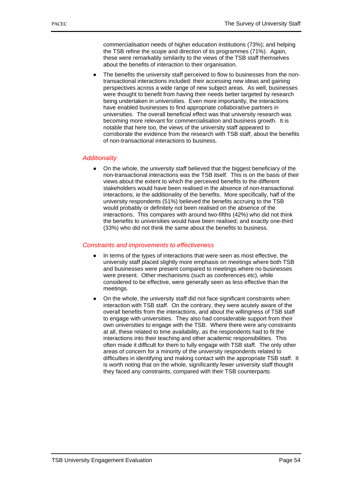commercialisation needs of higher education institutions (73%); and helping the TSB refine the scope and direction of its programmes (71%). Again, these were remarkably similarity to the views of the TSB staff themselves about the benefits of interaction to their organisation.

● The benefits the university staff perceived to flow to businesses from the nontransactional interactions included: their accessing new ideas and gaining perspectives across a wide range of new subject areas. As well, businesses were thought to benefit from having their needs better targeted by research being undertaken in universities. Even more importantly, the interactions have enabled businesses to find appropriate collaborative partners in universities. The overall beneficial effect was that university research was becoming more relevant for commercialisation and business growth. It is notable that here too, the views of the university staff appeared to corroborate the evidence from the research with TSB staff, about the benefits of non-transactional interactions to business.

### *Additionality*

● On the whole, the university staff believed that the biggest beneficiary of the non-transactional interactions was the TSB itself. This is on the basis of their views about the extent to which the perceived benefits to the different stakeholders would have been realised in the absence of non-transactional interactions, ie the additionality of the benefits. More specifically, half of the university respondents (51%) believed the benefits accruing to the TSB would probably or definitely not been realised on the absence of the interactions. This compares with around two-fifths (42%) who did not think the benefits to universities would have been realised; and exactly one-third (33%) who did not think the same about the benefits to business.

### *Constraints and improvements to effectiveness*

- In terms of the types of interactions that were seen as most effective, the university staff placed slightly more emphasis on meetings where both TSB and businesses were present compared to meetings where no businesses were present. Other mechanisms (such as conferences etc), while considered to be effective, were generally seen as less effective than the meetings.
- On the whole, the university staff did not face significant constraints when interaction with TSB staff. On the contrary, they were acutely aware of the overall benefits from the interactions, and about the willingness of TSB staff to engage with universities. They also had considerable support from their own universities to engage with the TSB. Where there were any constraints at all, these related to time availability, as the respondents had to fit the interactions into their teaching and other academic responsibilities. This often made it difficult for them to fully engage with TSB staff. The only other areas of concern for a minority of the university respondents related to difficulties in identifying and making contact with the appropriate TSB staff. It is worth noting that on the whole, significantly fewer university staff thought they faced any constraints, compared with their TSB counterparts.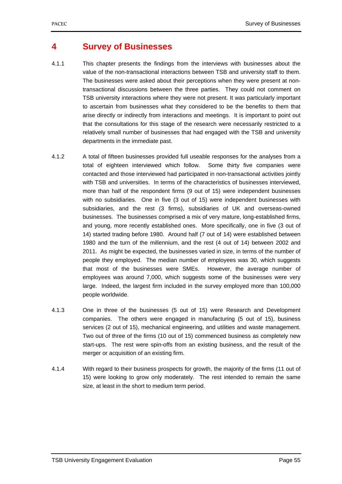# **4 Survey of Businesses**

- 4.1.1 This chapter presents the findings from the interviews with businesses about the value of the non-transactional interactions between TSB and university staff to them. The businesses were asked about their perceptions when they were present at nontransactional discussions between the three parties. They could not comment on TSB university interactions where they were not present. It was particularly important to ascertain from businesses what they considered to be the benefits to them that arise directly or indirectly from interactions and meetings. It is important to point out that the consultations for this stage of the research were necessarily restricted to a relatively small number of businesses that had engaged with the TSB and university departments in the immediate past.
- 4.1.2 A total of fifteen businesses provided full useable responses for the analyses from a total of eighteen interviewed which follow. Some thirty five companies were contacted and those interviewed had participated in non-transactional activities jointly with TSB and universities. In terms of the characteristics of businesses interviewed, more than half of the respondent firms (9 out of 15) were independent businesses with no subsidiaries. One in five (3 out of 15) were independent businesses with subsidiaries, and the rest (3 firms), subsidiaries of UK and overseas-owned businesses. The businesses comprised a mix of very mature, long-established firms, and young, more recently established ones. More specifically, one in five (3 out of 14) started trading before 1980. Around half (7 out of 14) were established between 1980 and the turn of the millennium, and the rest (4 out of 14) between 2002 and 2011. As might be expected, the businesses varied in size, in terms of the number of people they employed. The median number of employees was 30, which suggests that most of the businesses were SMEs. However, the average number of employees was around 7,000, which suggests some of the businesses were very large. Indeed, the largest firm included in the survey employed more than 100,000 people worldwide.
- 4.1.3 One in three of the businesses (5 out of 15) were Research and Development companies. The others were engaged in manufacturing (5 out of 15), business services (2 out of 15), mechanical engineering, and utilities and waste management. Two out of three of the firms (10 out of 15) commenced business as completely new start-ups. The rest were spin-offs from an existing business, and the result of the merger or acquisition of an existing firm.
- 4.1.4 With regard to their business prospects for growth, the majority of the firms (11 out of 15) were looking to grow only moderately. The rest intended to remain the same size, at least in the short to medium term period.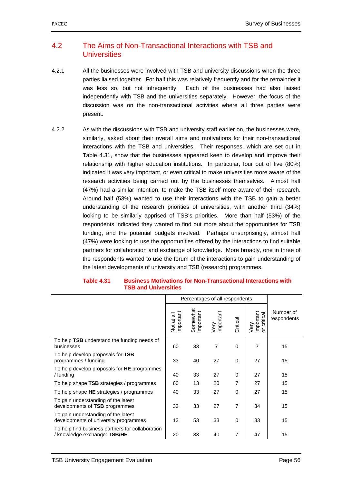# 4.2 The Aims of Non-Transactional Interactions with TSB and **Universities**

- 4.2.1 All the businesses were involved with TSB and university discussions when the three parties liaised together. For half this was relatively frequently and for the remainder it was less so, but not infrequently. Each of the businesses had also liaised independently with TSB and the universities separately. However, the focus of the discussion was on the non-transactional activities where all three parties were present.
- 4.2.2 As with the discussions with TSB and university staff earlier on, the businesses were, similarly, asked about their overall aims and motivations for their non-transactional interactions with the TSB and universities. Their responses, which are set out in Table 4.31, show that the businesses appeared keen to develop and improve their relationship with higher education institutions. In particular, four out of five (80%) indicated it was very important, or even critical to make universities more aware of the research activities being carried out by the businesses themselves. Almost half (47%) had a similar intention, to make the TSB itself more aware of their research. Around half (53%) wanted to use their interactions with the TSB to gain a better understanding of the research priorities of universities, with another third (34%) looking to be similarly apprised of TSB's priorities. More than half (53%) of the respondents indicated they wanted to find out more about the opportunities for TSB funding, and the potential budgets involved. Perhaps unsurprisingly, almost half (47%) were looking to use the opportunities offered by the interactions to find suitable partners for collaboration and exchange of knowledge. More broadly, one in three of the respondents wanted to use the forum of the interactions to gain understanding of the latest developments of university and TSB (research) programmes.

|                                                                                  | Percentages of all respondents |                       |                   |          |                               |                          |
|----------------------------------------------------------------------------------|--------------------------------|-----------------------|-------------------|----------|-------------------------------|--------------------------|
|                                                                                  | mportant<br>᠊ᢛ<br>Not at       | Somewhat<br>important | Very<br>important | Critical | important<br>critical<br>Very | Number of<br>respondents |
| To help TSB understand the funding needs of<br>businesses                        | 60                             | 33                    | 7                 | $\Omega$ | $\overline{7}$                | 15                       |
| To help develop proposals for TSB<br>programmes / funding                        | 33                             | 40                    | 27                | 0        | 27                            | 15                       |
| To help develop proposals for HE programmes<br>/ funding                         | 40                             | 33                    | 27                | $\Omega$ | 27                            | 15                       |
| To help shape TSB strategies / programmes                                        | 60                             | 13                    | 20                | 7        | 27                            | 15                       |
| To help shape HE strategies / programmes                                         | 40                             | 33                    | 27                | $\Omega$ | 27                            | 15                       |
| To gain understanding of the latest<br>developments of TSB programmes            | 33                             | 33                    | 27                | 7        | 34                            | 15                       |
| To gain understanding of the latest<br>developments of university programmes     | 13                             | 53                    | 33                | $\Omega$ | 33                            | 15                       |
| To help find business partners for collaboration<br>/ knowledge exchange: TSB/HE | 20                             | 33                    | 40                | 7        | 47                            | 15                       |

#### **Table 4.31 Business Motivations for Non-Transactional Interactions with TSB and Universities**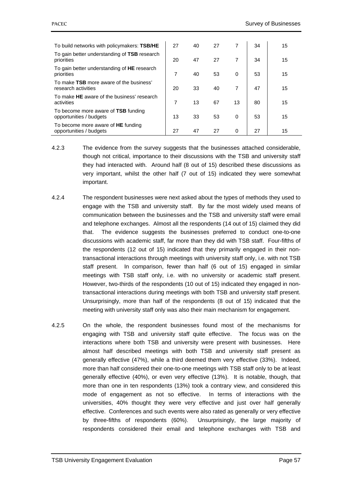| To build networks with policymakers: TSB/HE                    | 27 | 40 | 27 |                | 34 | 15 |
|----------------------------------------------------------------|----|----|----|----------------|----|----|
| To gain better understanding of TSB research<br>priorities     | 20 | 47 | 27 | 7              | 34 | 15 |
| To gain better understanding of HE research<br>priorities      | 7  | 40 | 53 | 0              | 53 | 15 |
| To make TSB more aware of the business'<br>research activities | 20 | 33 | 40 | $\overline{7}$ | 47 | 15 |
| To make HE aware of the business' research<br>activities       | 7  | 13 | 67 | 13             | 80 | 15 |
| To become more aware of TSB funding<br>opportunities / budgets | 13 | 33 | 53 | 0              | 53 | 15 |
| To become more aware of HE funding<br>opportunities / budgets  | 27 | 47 | 27 | 0              | 27 | 15 |

- 4.2.3 The evidence from the survey suggests that the businesses attached considerable, though not critical, importance to their discussions with the TSB and university staff they had interacted with. Around half (8 out of 15) described these discussions as very important, whilst the other half (7 out of 15) indicated they were somewhat important.
- 4.2.4 The respondent businesses were next asked about the types of methods they used to engage with the TSB and university staff. By far the most widely used means of communication between the businesses and the TSB and university staff were email and telephone exchanges. Almost all the respondents (14 out of 15) claimed they did that. The evidence suggests the businesses preferred to conduct one-to-one discussions with academic staff, far more than they did with TSB staff. Four-fifths of the respondents (12 out of 15) indicated that they primarily engaged in their nontransactional interactions through meetings with university staff only, i.e. with not TSB staff present. In comparison, fewer than half (6 out of 15) engaged in similar meetings with TSB staff only, i.e. with no university or academic staff present. However, two-thirds of the respondents (10 out of 15) indicated they engaged in nontransactional interactions during meetings with both TSB and university staff present. Unsurprisingly, more than half of the respondents (8 out of 15) indicated that the meeting with university staff only was also their main mechanism for engagement.
- 4.2.5 On the whole, the respondent businesses found most of the mechanisms for engaging with TSB and university staff quite effective. The focus was on the interactions where both TSB and university were present with businesses. Here almost half described meetings with both TSB and university staff present as generally effective (47%), while a third deemed them very effective (33%). Indeed, more than half considered their one-to-one meetings with TSB staff only to be at least generally effective (40%), or even very effective (13%). It is notable, though, that more than one in ten respondents (13%) took a contrary view, and considered this mode of engagement as not so effective. In terms of interactions with the universities, 40% thought they were very effective and just over half generally effective. Conferences and such events were also rated as generally or very effective by three-fifths of respondents (60%). Unsurprisingly, the large majority of respondents considered their email and telephone exchanges with TSB and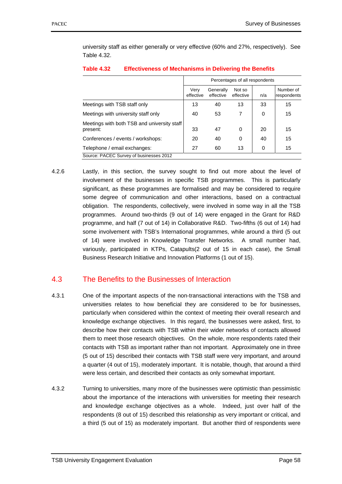university staff as either generally or very effective (60% and 27%, respectively). See Table 4.32.

|                                                         | Percentages of all respondents |                        |                     |     |                          |  |
|---------------------------------------------------------|--------------------------------|------------------------|---------------------|-----|--------------------------|--|
|                                                         | Very<br>effective              | Generally<br>effective | Not so<br>effective | n/a | Number of<br>respondents |  |
| Meetings with TSB staff only                            | 13                             | 40                     | 13                  | 33  | 15                       |  |
| Meetings with university staff only                     | 40                             | 53                     | 7                   | 0   | 15                       |  |
| Meetings with both TSB and university staff<br>present: | 33                             | 47                     | 0                   | 20  | 15                       |  |
| Conferences / events / workshops:                       | 20                             | 40                     | $\Omega$            | 40  | 15                       |  |
| Telephone / email exchanges:                            | 27                             | 60                     | 13                  | 0   | 15                       |  |
| Source: PACEC Survey of businesses 2012                 |                                |                        |                     |     |                          |  |

## **Table 4.32 Effectiveness of Mechanisms in Delivering the Benefits**

4.2.6 Lastly, in this section, the survey sought to find out more about the level of involvement of the businesses in specific TSB programmes. This is particularly significant, as these programmes are formalised and may be considered to require some degree of communication and other interactions, based on a contractual obligation. The respondents, collectively, were involved in some way in all the TSB programmes. Around two-thirds (9 out of 14) were engaged in the Grant for R&D programme, and half (7 out of 14) in Collaborative R&D. Two-fifths (6 out of 14) had some involvement with TSB's International programmes, while around a third (5 out of 14) were involved in Knowledge Transfer Networks. A small number had, variously, participated in KTPs, Catapults(2 out of 15 in each case), the Small Business Research Initiative and Innovation Platforms (1 out of 15).

# 4.3 The Benefits to the Businesses of Interaction

- 4.3.1 One of the important aspects of the non-transactional interactions with the TSB and universities relates to how beneficial they are considered to be for businesses, particularly when considered within the context of meeting their overall research and knowledge exchange objectives. In this regard, the businesses were asked, first, to describe how their contacts with TSB within their wider networks of contacts allowed them to meet those research objectives. On the whole, more respondents rated their contacts with TSB as important rather than not important. Approximately one in three (5 out of 15) described their contacts with TSB staff were very important, and around a quarter (4 out of 15), moderately important. It is notable, though, that around a third were less certain, and described their contacts as only somewhat important.
- 4.3.2 Turning to universities, many more of the businesses were optimistic than pessimistic about the importance of the interactions with universities for meeting their research and knowledge exchange objectives as a whole. Indeed, just over half of the respondents (8 out of 15) described this relationship as very important or critical, and a third (5 out of 15) as moderately important. But another third of respondents were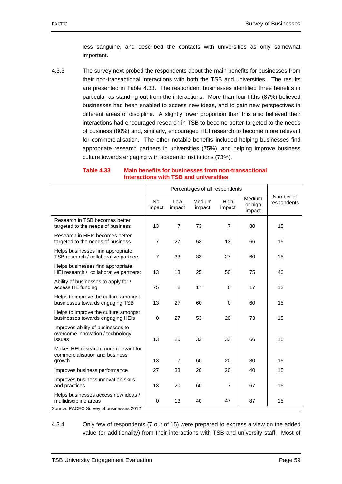less sanguine, and described the contacts with universities as only somewhat important.

4.3.3 The survey next probed the respondents about the main benefits for businesses from their non-transactional interactions with both the TSB and universities. The results are presented in Table 4.33. The respondent businesses identified three benefits in particular as standing out from the interactions. More than four-fifths (87%) believed businesses had been enabled to access new ideas, and to gain new perspectives in different areas of discipline. A slightly lower proportion than this also believed their interactions had encouraged research in TSB to become better targeted to the needs of business (80%) and, similarly, encouraged HEI research to become more relevant for commercialisation. The other notable benefits included helping businesses find appropriate research partners in universities (75%), and helping improve business culture towards engaging with academic institutions (73%).

#### **Table 4.33 Main benefits for businesses from non-transactional interactions with TSB and universities**

|                                                                                  | <b>No</b><br>impact | Low<br>impact  | Medium<br>impact | High<br>impact | Medium<br>or high<br>impact | Number of<br>respondents |
|----------------------------------------------------------------------------------|---------------------|----------------|------------------|----------------|-----------------------------|--------------------------|
| Research in TSB becomes better<br>targeted to the needs of business              | 13                  | $\overline{7}$ | 73               | $\overline{7}$ | 80                          | 15                       |
| Research in HEIs becomes better<br>targeted to the needs of business             | $\overline{7}$      | 27             | 53               | 13             | 66                          | 15                       |
| Helps businesses find appropriate<br>TSB research / collaborative partners       | $\overline{7}$      | 33             | 33               | 27             | 60                          | 15                       |
| Helps businesses find appropriate<br>HEI research / collaborative partners:      | 13                  | 13             | 25               | 50             | 75                          | 40                       |
| Ability of businesses to apply for /<br>access HE funding                        | 75                  | 8              | 17               | 0              | 17                          | 12                       |
| Helps to improve the culture amongst<br>businesses towards engaging TSB          | 13                  | 27             | 60               | 0              | 60                          | 15                       |
| Helps to improve the culture amongst<br>businesses towards engaging HEIs         | $\mathbf 0$         | 27             | 53               | 20             | 73                          | 15                       |
| Improves ability of businesses to<br>overcome innovation / technology<br>issues  | 13                  | 20             | 33               | 33             | 66                          | 15                       |
| Makes HEI research more relevant for<br>commercialisation and business<br>growth | 13                  | $\overline{7}$ | 60               | 20             | 80                          | 15                       |
| Improves business performance                                                    | 27                  | 33             | 20               | 20             | 40                          | 15                       |
| Improves business innovation skills<br>and practices                             | 13                  | 20             | 60               | $\overline{7}$ | 67                          | 15                       |
| Helps businesses access new ideas /<br>multidiscipline areas                     | $\mathbf 0$         | 13             | 40               | 47             | 87                          | 15                       |
| Source: PACEC Survey of businesses 2012                                          |                     |                |                  |                |                             |                          |

4.3.4 Only few of respondents (7 out of 15) were prepared to express a view on the added value (or additionality) from their interactions with TSB and university staff. Most of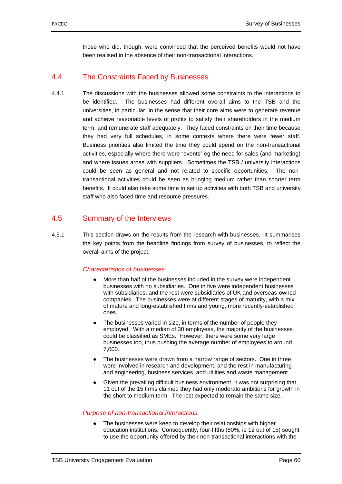those who did, though, were convinced that the perceived benefits would not have been realised in the absence of their non-transactional interactions.

# 4.4 The Constraints Faced by Businesses

4.4.1 The discussions with the businesses allowed some constraints to the interactions to be identified. The businesses had different overall aims to the TSB and the universities, in particular, in the sense that their core aims were to generate revenue and achieve reasonable levels of profits to satisfy their shareholders in the medium term, and remunerate staff adequately. They faced constraints on their time because they had very full schedules, in some contexts where there were fewer staff. Business priorities also limited the time they could spend on the non-transactional activities, especially where there were "events" eg the need for sales (and marketing) and where issues arose with suppliers. Sometimes the TSB / university interactions could be seen as general and not related to specific opportunities. The nontransactional activities could be seen as bringing medium rather than shorter term benefits. It could also take some time to set up activities with both TSB and university staff who also faced time and resource pressures.

# 4.5 Summary of the Interviews

4.5.1 This section draws on the results from the research with businesses. It summarises the key points from the headline findings from survey of businesses, to reflect the overall aims of the project.

## *Characteristics of businesses*

- More than half of the businesses included in the survey were independent businesses with no subsidiaries. One in five were independent businesses with subsidiaries, and the rest were subsidiaries of UK and overseas-owned companies. The businesses were at different stages of maturity, with a mix of mature and long-established firms and young, more recently-established ones.
- The businesses varied in size, in terms of the number of people they employed. With a median of 30 employees, the majority of the businesses could be classified as SMEs. However, there were some very large businesses too, thus pushing the average number of employees to around 7,000.
- The businesses were drawn from a narrow range of sectors. One in three were involved in research and development, and the rest in manufacturing and engineering, business services, and utilities and waste management.
- Given the prevailing difficult business environment, it was not surprising that 11 out of the 15 firms claimed they had only moderate ambitions for growth in the short to medium term. The rest expected to remain the same size.

#### *Purpose of non-transactional interactions*

The businesses were keen to develop their relationships with higher education institutions. Consequently, four-fifths (80%, ie 12 out of 15) sought to use the opportunity offered by their non-transactional interactions with the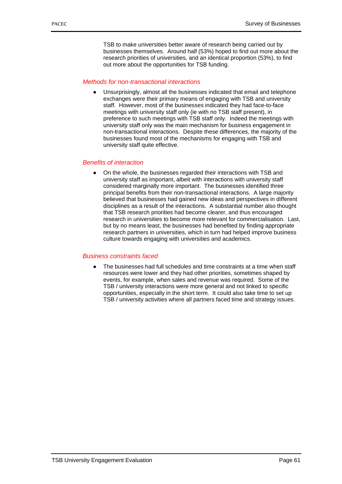TSB to make universities better aware of research being carried out by businesses themselves. Around half (53%) hoped to find out more about the research priorities of universities, and an identical proportion (53%), to find out more about the opportunities for TSB funding.

## *Methods for non-transactional interactions*

Unsurprisingly, almost all the businesses indicated that email and telephone exchanges were their primary means of engaging with TSB and university staff. However, most of the businesses indicated they had face-to-face meetings with university staff only (ie with no TSB staff present), in preference to such meetings with TSB staff only. Indeed the meetings with university staff only was the main mechanism for business engagement in non-transactional interactions. Despite these differences, the majority of the businesses found most of the mechanisms for engaging with TSB and university staff quite effective.

#### *Benefits of interaction*

On the whole, the businesses regarded their interactions with TSB and university staff as important, albeit with interactions with university staff considered marginally more important. The businesses identified three principal benefits from their non-transactional interactions. A large majority believed that businesses had gained new ideas and perspectives in different disciplines as a result of the interactions. A substantial number also thought that TSB research priorities had become clearer, and thus encouraged research in universities to become more relevant for commercialisation. Last, but by no means least, the businesses had benefited by finding appropriate research partners in universities, which in turn had helped improve business culture towards engaging with universities and academics.

#### *Business constraints faced*

The businesses had full schedules and time constraints at a time when staff resources were lower and they had other priorities, sometimes shaped by events, for example, when sales and revenue was required. Some of the TSB / university interactions were more general and not linked to specific opportunities, especially in the short term. It could also take time to set up TSB / university activities where all partners faced time and strategy issues.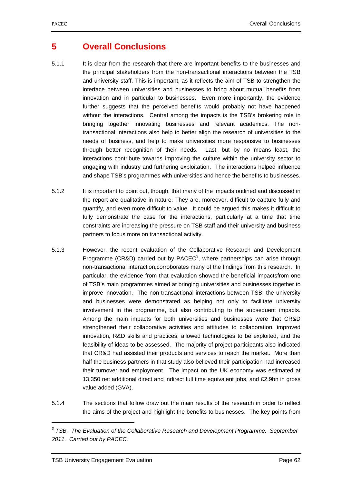# **5 Overall Conclusions**

- 5.1.1 It is clear from the research that there are important benefits to the businesses and the principal stakeholders from the non-transactional interactions between the TSB and university staff. This is important, as it reflects the aim of TSB to strengthen the interface between universities and businesses to bring about mutual benefits from innovation and in particular to businesses. Even more importantly, the evidence further suggests that the perceived benefits would probably not have happened without the interactions. Central among the impacts is the TSB's brokering role in bringing together innovating businesses and relevant academics. The nontransactional interactions also help to better align the research of universities to the needs of business, and help to make universities more responsive to businesses through better recognition of their needs. Last, but by no means least, the interactions contribute towards improving the culture within the university sector to engaging with industry and furthering exploitation. The interactions helped influence and shape TSB's programmes with universities and hence the benefits to businesses.
- 5.1.2 It is important to point out, though, that many of the impacts outlined and discussed in the report are qualitative in nature. They are, moreover, difficult to capture fully and quantify, and even more difficult to value. It could be argued this makes it difficult to fully demonstrate the case for the interactions, particularly at a time that time constraints are increasing the pressure on TSB staff and their university and business partners to focus more on transactional activity.
- 5.1.3 However, the recent evaluation of the Collaborative Research and Development Programme (CR&D) carried out by PACEC<sup>3</sup>, where partnerships can arise through non-transactional interaction,corroborates many of the findings from this research. In particular, the evidence from that evaluation showed the beneficial impactsfrom one of TSB's main programmes aimed at bringing universities and businesses together to improve innovation. The non-transactional interactions between TSB, the university and businesses were demonstrated as helping not only to facilitate university involvement in the programme, but also contributing to the subsequent impacts. Among the main impacts for both universities and businesses were that CR&D strengthened their collaborative activities and attitudes to collaboration, improved innovation, R&D skills and practices, allowed technologies to be exploited, and the feasibility of ideas to be assessed. The majority of project participants also indicated that CR&D had assisted their products and services to reach the market. More than half the business partners in that study also believed their participation had increased their turnover and employment. The impact on the UK economy was estimated at 13,350 net additional direct and indirect full time equivalent jobs, and £2.9bn in gross value added (GVA).
- 5.1.4 The sections that follow draw out the main results of the research in order to reflect the aims of the project and highlight the benefits to businesses. The key points from

1

<sup>&</sup>lt;sup>3</sup> TSB. The Evaluation of the Collaborative Research and Development Programme. September *2011. Carried out by PACEC.*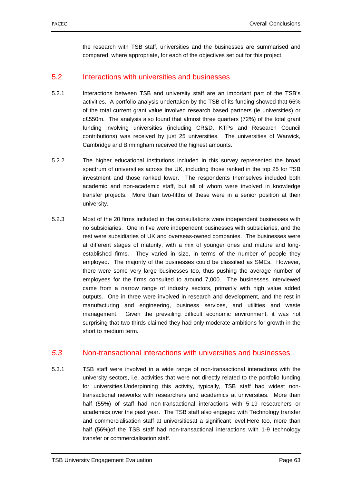the research with TSB staff, universities and the businesses are summarised and compared, where appropriate, for each of the objectives set out for this project.

# 5.2 Interactions with universities and businesses

- 5.2.1 Interactions between TSB and university staff are an important part of the TSB's activities. A portfolio analysis undertaken by the TSB of its funding showed that 66% of the total current grant value involved research based partners (ie universities) or c£550m. The analysis also found that almost three quarters (72%) of the total grant funding involving universities (including CR&D, KTPs and Research Council contributions) was received by just 25 universities. The universities of Warwick, Cambridge and Birmingham received the highest amounts.
- 5.2.2 The higher educational institutions included in this survey represented the broad spectrum of universities across the UK, including those ranked in the top 25 for TSB investment and those ranked lower. The respondents themselves included both academic and non-academic staff, but all of whom were involved in knowledge transfer projects. More than two-fifths of these were in a senior position at their university.
- 5.2.3 Most of the 20 firms included in the consultations were independent businesses with no subsidiaries. One in five were independent businesses with subsidiaries, and the rest were subsidiaries of UK and overseas-owned companies. The businesses were at different stages of maturity, with a mix of younger ones and mature and longestablished firms. They varied in size, in terms of the number of people they employed. The majority of the businesses could be classified as SMEs. However, there were some very large businesses too, thus pushing the average number of employees for the firms consulted to around 7,000. The businesses interviewed came from a narrow range of industry sectors, primarily with high value added outputs. One in three were involved in research and development, and the rest in manufacturing and engineering, business services, and utilities and waste management. Given the prevailing difficult economic environment, it was not surprising that two thirds claimed they had only moderate ambitions for growth in the short to medium term.

# *5.3* Non-transactional interactions with universities and businesses

5.3.1 TSB staff were involved in a wide range of non-transactional interactions with the university sectors, i.e. activities that were not directly related to the portfolio funding for universities.Underpinning this activity, typically, TSB staff had widest nontransactional networks with researchers and academics at universities. More than half (55%) of staff had non-transactional interactions with 5-19 researchers or academics over the past year. The TSB staff also engaged with Technology transfer and commercialisation staff at universitiesat a significant level.Here too, more than half (56%)of the TSB staff had non-transactional interactions with 1-9 technology transfer or commercialisation staff.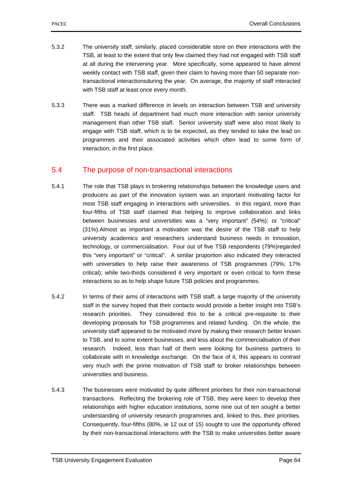- 5.3.2 The university staff, similarly, placed considerable store on their interactions with the TSB, at least to the extent that only few claimed they had not engaged with TSB staff at all during the intervening year. More specifically, some appeared to have almost weekly contact with TSB staff, given their claim to having more than 50 separate nontransactional interactionsduring the year. On average, the majority of staff interacted with TSB staff at least once every month.
- 5.3.3 There was a marked difference in levels on interaction between TSB and university staff. TSB heads of department had much more interaction with senior university management than other TSB staff. Senior university staff were also most likely to engage with TSB staff, which is to be expected, as they tended to take the lead on programmes and their associated activities which often lead to some form of interaction, in the first place.

# 5.4 The purpose of non-transactional interactions

- 5.4.1 The role that TSB plays in brokering relationships between the knowledge users and producers as part of the innovation system was an important motivating factor for most TSB staff engaging in interactions with universities. In this regard, more than four-fifths of TSB staff claimed that helping to improve collaboration and links between businesses and universities was a "very important" (54%); or "critical" (31%).Almost as important a motivation was the desire of the TSB staff to help university academics and researchers understand business needs in innovation, technology, or commercialisation. Four out of five TSB respondents (79%)regarded this "very important" or "critical". A similar proportion also indicated they interacted with universities to help raise their awareness of TSB programmes (79%; 17% critical); while two-thirds considered it very important or even critical to form these interactions so as to help shape future TSB policies and programmes.
- 5.4.2 In terms of their aims of interactions with TSB staff, a large majority of the university staff in the survey hoped that their contacts would provide a better insight into TSB's research priorities. They considered this to be a critical pre-requisite to their developing proposals for TSB programmes and related funding. On the whole, the university staff appeared to be motivated more by making their research better known to TSB, and to some extent businesses, and less about the commercialisation of their research. Indeed, less than half of them were looking for business partners to collaborate with in knowledge exchange. On the face of it, this appears to contrast very much with the prime motivation of TSB staff to broker relationships between universities and business.
- 5.4.3 The businesses were motivated by quite different priorities for their non-transactional transactions. Reflecting the brokering role of TSB, they were keen to develop their relationships with higher education institutions, some nine out of ten sought a better understanding of university research programmes and, linked to this, their priorities. Consequently, four-fifths (80%, ie 12 out of 15) sought to use the opportunity offered by their non-transactional interactions with the TSB to make universities better aware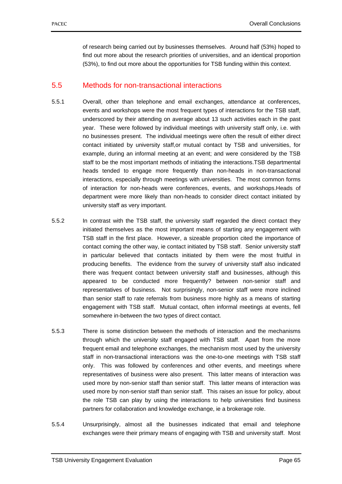of research being carried out by businesses themselves. Around half (53%) hoped to find out more about the research priorities of universities, and an identical proportion (53%), to find out more about the opportunities for TSB funding within this context.

## 5.5 Methods for non-transactional interactions

- 5.5.1 Overall, other than telephone and email exchanges, attendance at conferences, events and workshops were the most frequent types of interactions for the TSB staff, underscored by their attending on average about 13 such activities each in the past year. These were followed by individual meetings with university staff only, i.e. with no businesses present. The individual meetings were often the result of either direct contact initiated by university staff,or mutual contact by TSB and universities, for example, during an informal meeting at an event; and were considered by the TSB staff to be the most important methods of initiating the interactions.TSB departmental heads tended to engage more frequently than non-heads in non-transactional interactions, especially through meetings with universities. The most common forms of interaction for non-heads were conferences, events, and workshops.Heads of department were more likely than non-heads to consider direct contact initiated by university staff as very important.
- 5.5.2 In contrast with the TSB staff, the university staff regarded the direct contact they initiated themselves as the most important means of starting any engagement with TSB staff in the first place. However, a sizeable proportion cited the importance of contact coming the other way, ie contact initiated by TSB staff. Senior university staff in particular believed that contacts initiated by them were the most fruitful in producing benefits. The evidence from the survey of university staff also indicated there was frequent contact between university staff and businesses, although this appeared to be conducted more frequently? between non-senior staff and representatives of business. Not surprisingly, non-senior staff were more inclined than senior staff to rate referrals from business more highly as a means of starting engagement with TSB staff. Mutual contact, often informal meetings at events, fell somewhere in-between the two types of direct contact.
- 5.5.3 There is some distinction between the methods of interaction and the mechanisms through which the university staff engaged with TSB staff. Apart from the more frequent email and telephone exchanges, the mechanism most used by the university staff in non-transactional interactions was the one-to-one meetings with TSB staff only. This was followed by conferences and other events, and meetings where representatives of business were also present. This latter means of interaction was used more by non-senior staff than senior staff. This latter means of interaction was used more by non-senior staff than senior staff. This raises an issue for policy, about the role TSB can play by using the interactions to help universities find business partners for collaboration and knowledge exchange, ie a brokerage role.
- 5.5.4 Unsurprisingly, almost all the businesses indicated that email and telephone exchanges were their primary means of engaging with TSB and university staff. Most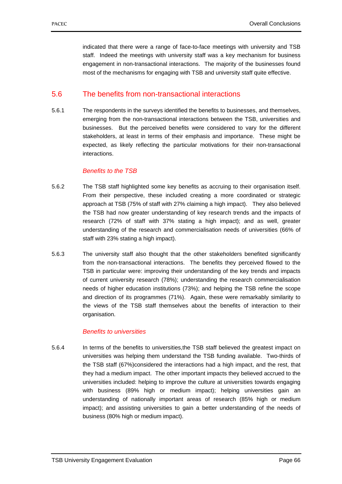indicated that there were a range of face-to-face meetings with university and TSB staff. Indeed the meetings with university staff was a key mechanism for business engagement in non-transactional interactions. The majority of the businesses found most of the mechanisms for engaging with TSB and university staff quite effective.

## 5.6 The benefits from non-transactional interactions

5.6.1 The respondents in the surveys identified the benefits to businesses, and themselves, emerging from the non-transactional interactions between the TSB, universities and businesses. But the perceived benefits were considered to vary for the different stakeholders, at least in terms of their emphasis and importance. These might be expected, as likely reflecting the particular motivations for their non-transactional interactions.

## *Benefits to the TSB*

- 5.6.2 The TSB staff highlighted some key benefits as accruing to their organisation itself. From their perspective, these included creating a more coordinated or strategic approach at TSB (75% of staff with 27% claiming a high impact). They also believed the TSB had now greater understanding of key research trends and the impacts of research (72% of staff with 37% stating a high impact); and as well, greater understanding of the research and commercialisation needs of universities (66% of staff with 23% stating a high impact).
- 5.6.3 The university staff also thought that the other stakeholders benefited significantly from the non-transactional interactions. The benefits they perceived flowed to the TSB in particular were: improving their understanding of the key trends and impacts of current university research (78%); understanding the research commercialisation needs of higher education institutions (73%); and helping the TSB refine the scope and direction of its programmes (71%). Again, these were remarkably similarity to the views of the TSB staff themselves about the benefits of interaction to their organisation.

## *Benefits to universities*

5.6.4 In terms of the benefits to universities,the TSB staff believed the greatest impact on universities was helping them understand the TSB funding available. Two-thirds of the TSB staff (67%)considered the interactions had a high impact, and the rest, that they had a medium impact. The other important impacts they believed accrued to the universities included: helping to improve the culture at universities towards engaging with business (89% high or medium impact); helping universities gain an understanding of nationally important areas of research (85% high or medium impact); and assisting universities to gain a better understanding of the needs of business (80% high or medium impact).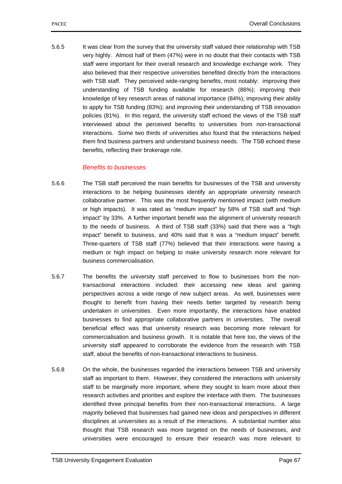5.6.5 It was clear from the survey that the university staff valued their relationship with TSB very highly. Almost half of them (47%) were in no doubt that their contacts with TSB staff were important for their overall research and knowledge exchange work. They also believed that their respective universities benefited directly from the interactions with TSB staff. They perceived wide-ranging benefits, most notably: improving their understanding of TSB funding available for research (86%); improving their knowledge of key research areas of national importance (84%); improving their ability to apply for TSB funding (83%); and improving their understanding of TSB innovation policies (81%). In this regard, the university staff echoed the views of the TSB staff interviewed about the perceived benefits to universities from non-transactional interactions. Some two thirds of universities also found that the interactions helped them find business partners and understand business needs. The TSB echoed these benefits, reflecting their brokerage role.

## *Benefits to businesses*

- 5.6.6 The TSB staff perceived the main benefits for businesses of the TSB and university interactions to be helping businesses identify an appropriate university research collaborative partner. This was the most frequently mentioned impact (with medium or high impacts). It was rated as "medium impact" by 58% of TSB staff and "high impact" by 33%. A further important benefit was the alignment of university research to the needs of business. A third of TSB staff (33%) said that there was a "high impact" benefit to business, and 40% said that it was a "medium impact" benefit. Three-quarters of TSB staff (77%) believed that their interactions were having a medium or high impact on helping to make university research more relevant for business commercialisation.
- 5.6.7 The benefits the university staff perceived to flow to businesses from the nontransactional interactions included: their accessing new ideas and gaining perspectives across a wide range of new subject areas. As well, businesses were thought to benefit from having their needs better targeted by research being undertaken in universities. Even more importantly, the interactions have enabled businesses to find appropriate collaborative partners in universities. The overall beneficial effect was that university research was becoming more relevant for commercialisation and business growth. It is notable that here too, the views of the university staff appeared to corroborate the evidence from the research with TSB staff, about the benefits of non-transactional interactions to business.
- 5.6.8 On the whole, the businesses regarded the interactions between TSB and university staff as important to them. However, they considered the interactions with university staff to be marginally more important, where they sought to learn more about their research activities and priorities and explore the interface with them. The businesses identified three principal benefits from their non-transactional interactions. A large majority believed that businesses had gained new ideas and perspectives in different disciplines at universities as a result of the interactions. A substantial number also thought that TSB research was more targeted on the needs of businesses, and universities were encouraged to ensure their research was more relevant to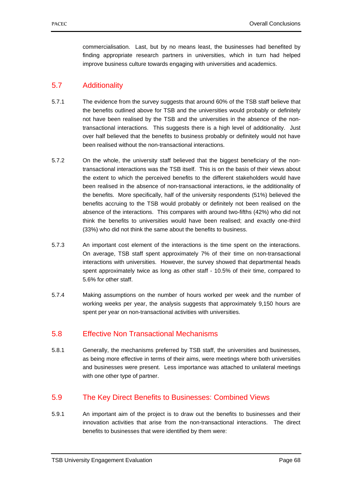commercialisation. Last, but by no means least, the businesses had benefited by finding appropriate research partners in universities, which in turn had helped improve business culture towards engaging with universities and academics.

# 5.7 Additionality

- 5.7.1 The evidence from the survey suggests that around 60% of the TSB staff believe that the benefits outlined above for TSB and the universities would probably or definitely not have been realised by the TSB and the universities in the absence of the nontransactional interactions. This suggests there is a high level of additionality. Just over half believed that the benefits to business probably or definitely would not have been realised without the non-transactional interactions.
- 5.7.2 On the whole, the university staff believed that the biggest beneficiary of the nontransactional interactions was the TSB itself. This is on the basis of their views about the extent to which the perceived benefits to the different stakeholders would have been realised in the absence of non-transactional interactions, ie the additionality of the benefits. More specifically, half of the university respondents (51%) believed the benefits accruing to the TSB would probably or definitely not been realised on the absence of the interactions. This compares with around two-fifths (42%) who did not think the benefits to universities would have been realised; and exactly one-third (33%) who did not think the same about the benefits to business.
- 5.7.3 An important cost element of the interactions is the time spent on the interactions. On average, TSB staff spent approximately 7% of their time on non-transactional interactions with universities. However, the survey showed that departmental heads spent approximately twice as long as other staff - 10.5% of their time, compared to 5.6% for other staff.
- 5.7.4 Making assumptions on the number of hours worked per week and the number of working weeks per year, the analysis suggests that approximately 9,150 hours are spent per year on non-transactional activities with universities.

# 5.8 Effective Non Transactional Mechanisms

5.8.1 Generally, the mechanisms preferred by TSB staff, the universities and businesses, as being more effective in terms of their aims, were meetings where both universities and businesses were present. Less importance was attached to unilateral meetings with one other type of partner.

# 5.9 The Key Direct Benefits to Businesses: Combined Views

5.9.1 An important aim of the project is to draw out the benefits to businesses and their innovation activities that arise from the non-transactional interactions. The direct benefits to businesses that were identified by them were: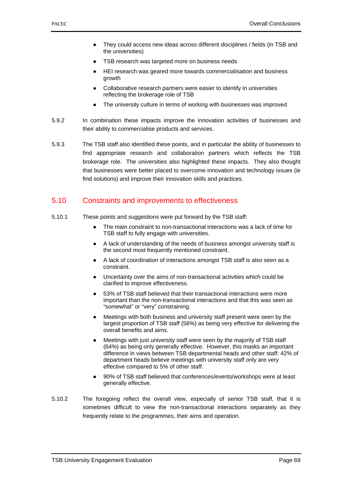- They could access new ideas across different disciplines / fields (in TSB and the universities)
- TSB research was targeted more on business needs
- HEI research was geared more towards commercialisation and business growth
- Collaborative research partners were easier to identify in universities reflecting the brokerage role of TSB
- The university culture in terms of working with businesses was improved
- 5.9.2 In combination these impacts improve the innovation activities of businesses and their ability to commercialise products and services.
- 5.9.3 The TSB staff also identified these points, and in particular the ability of businesses to find appropriate research and collaboration partners which reflects the TSB brokerage role. The universities also highlighted these impacts. They also thought that businesses were better placed to overcome innovation and technology issues (ie find solutions) and improve their innovation skills and practices.

## 5.10 Constraints and improvements to effectiveness

- 5.10.1 These points and suggestions were put forward by the TSB staff:
	- The main constraint to non-transactional interactions was a lack of time for TSB staff to fully engage with universities.
	- A lack of understanding of the needs of business amongst university staff is the second most frequently mentioned constraint.
	- A lack of coordination of interactions amongst TSB staff is also seen as a constraint.
	- Uncertainty over the aims of non-transactional activities which could be clarified to improve effectiveness.
	- 53% of TSB staff believed that their transactional interactions were more important than the non-transactional interactions and that this was seen as "somewhat" or "very" constraining.
	- Meetings with both business and university staff present were seen by the largest proportion of TSB staff (56%) as being very effective for delivering the overall benefits and aims.
	- Meetings with just university staff were seen by the majority of TSB staff (64%) as being only generally effective. However, this masks an important difference in views between TSB departmental heads and other staff: 42% of department heads believe meetings with university staff only are very effective compared to 5% of other staff.
	- 90% of TSB staff believed that conferences/events/workshops were at least generally effective.
- 5.10.2 The foregoing reflect the overall view, especially of senior TSB staff, that it is sometimes difficult to view the non-transactional interactions separately as they frequently relate to the programmes, their aims and operation.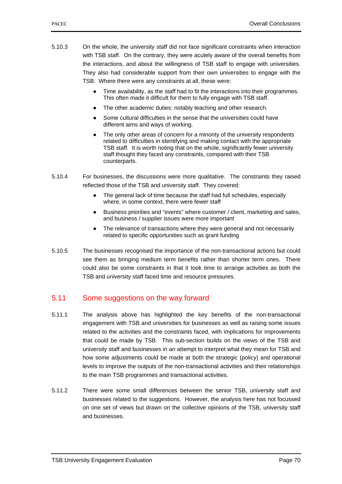- 5.10.3 On the whole, the university staff did not face significant constraints when interaction with TSB staff. On the contrary, they were acutely aware of the overall benefits from the interactions, and about the willingness of TSB staff to engage with universities. They also had considerable support from their own universities to engage with the TSB. Where there were any constraints at all, these were:
	- Time availability, as the staff had to fit the interactions into their programmes. This often made it difficult for them to fully engage with TSB staff.
	- The other academic duties: notably teaching and other research.
	- Some cultural difficulties in the sense that the universities could have different aims and ways of working.
	- The only other areas of concern for a minority of the university respondents related to difficulties in identifying and making contact with the appropriate TSB staff. It is worth noting that on the whole, significantly fewer university staff thought they faced any constraints, compared with their TSB counterparts.
- 5.10.4 For businesses, the discussions were more qualitative. The constraints they raised reflected those of the TSB and university staff. They covered:
	- The general lack of time because the staff had full schedules, especially where, in some context, there were fewer staff
	- Business priorities and "events" where customer / client, marketing and sales, and business / supplier issues were more important
	- The relevance of transactions where they were general and not necessarily related to specific opportunities such as grant funding
- 5.10.5 The businesses recognised the importance of the non-transactional actions but could see them as bringing medium term benefits rather than shorter term ones. There could also be some constraints in that it took time to arrange activities as both the TSB and university staff faced time and resource pressures.

## 5.11 Some suggestions on the way forward

- 5.11.1 The analysis above has highlighted the key benefits of the non-transactional engagement with TSB and universities for businesses as well as raising some issues related to the activities and the constraints faced, with implications for improvements that could be made by TSB. This sub-section builds on the views of the TSB and university staff and businesses in an attempt to interpret what they mean for TSB and how some adjustments could be made at both the strategic (policy) and operational levels to improve the outputs of the non-transactional activities and their relationships to the main TSB programmes and transactional activities.
- 5.11.2 There were some small differences between the senior TSB, university staff and businesses related to the suggestions. However, the analysis here has not focussed on one set of views but drawn on the collective opinions of the TSB, university staff and businesses.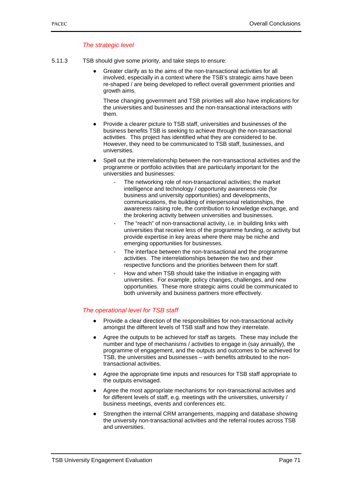## *The strategic level*

- 5.11.3 TSB should give some priority, and take steps to ensure:
	- Greater clarify as to the aims of the non-transactional activities for all involved, especially in a context where the TSB's strategic aims have been re-shaped / are being developed to reflect overall government priorities and growth aims.

These changing government and TSB priorities will also have implications for the universities and businesses and the non-transactional interactions with them.

- Provide a clearer picture to TSB staff, universities and businesses of the business benefits TSB is seeking to achieve through the non-transactional activities. This project has identified what they are considered to be. However, they need to be communicated to TSB staff, businesses, and universities.
- Spell out the interrelationship between the non-transactional activities and the programme or portfolio activities that are particularly important for the universities and businesses:
	- The networking role of non-transactional activities; the market intelligence and technology / opportunity awareness role (for business and university opportunities) and developments, communications, the building of interpersonal relationships, the awareness raising role, the contribution to knowledge exchange, and the brokering activity between universities and businesses.
	- The "reach" of non-transactional activity, i.e. in building links with universities that receive less of the programme funding, or activity but provide expertise in key areas where there may be niche and emerging opportunities for businesses.
	- The interface between the non-transactional and the programme activities. The interrelationships between the two and their respective functions and the priorities between them for staff.
	- How and when TSB should take the initiative in engaging with universities. For example, policy changes, challenges, and new opportunities. These more strategic aims could be communicated to both university and business partners more effectively.

#### *The operational level for TSB staff*

- Provide a clear direction of the responsibilities for non-transactional activity amongst the different levels of TSB staff and how they interrelate.
- Agree the outputs to be achieved for staff as targets. These may include the number and type of mechanisms / activities to engage in (say annually), the programme of engagement, and the outputs and outcomes to be achieved for TSB, the universities and businesses – with benefits attributed to the nontransactional activities.
- Agree the appropriate time inputs and resources for TSB staff appropriate to the outputs envisaged.
- Agree the most appropriate mechanisms for non-transactional activities and for different levels of staff, e.g. meetings with the universities, university / business meetings, events and conferences etc.
- Strengthen the internal CRM arrangements, mapping and database showing the university non-transactional activities and the referral routes across TSB and universities.